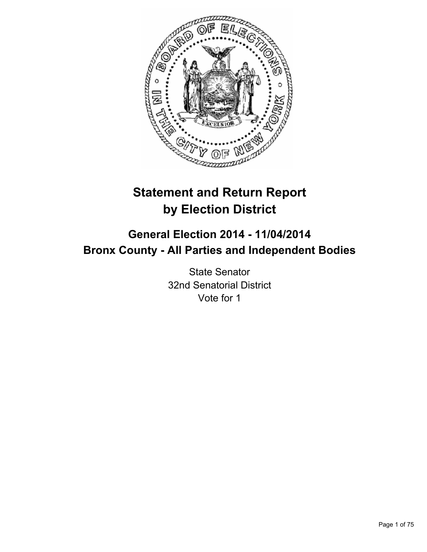

# **Statement and Return Report by Election District**

# **General Election 2014 - 11/04/2014 Bronx County - All Parties and Independent Bodies**

State Senator 32nd Senatorial District Vote for 1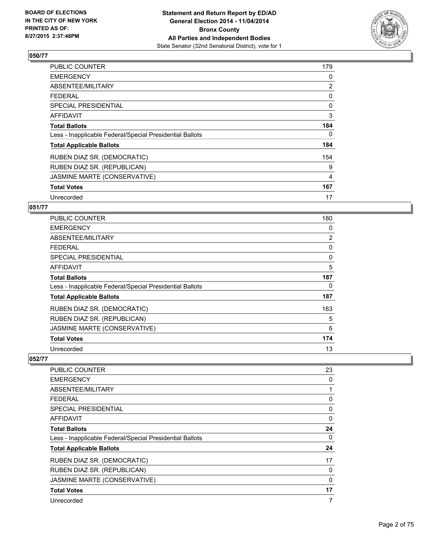

| PUBLIC COUNTER                                           | 179            |
|----------------------------------------------------------|----------------|
| <b>EMERGENCY</b>                                         | 0              |
| ABSENTEE/MILITARY                                        | 2              |
| <b>FEDERAL</b>                                           | 0              |
| <b>SPECIAL PRESIDENTIAL</b>                              | 0              |
| <b>AFFIDAVIT</b>                                         | 3              |
| <b>Total Ballots</b>                                     | 184            |
| Less - Inapplicable Federal/Special Presidential Ballots | 0              |
| <b>Total Applicable Ballots</b>                          | 184            |
| RUBEN DIAZ SR. (DEMOCRATIC)                              | 154            |
| RUBEN DIAZ SR. (REPUBLICAN)                              | 9              |
| JASMINE MARTE (CONSERVATIVE)                             | $\overline{4}$ |
| <b>Total Votes</b>                                       | 167            |
| Unrecorded                                               | 17             |

#### **051/77**

| PUBLIC COUNTER                                           | 180 |
|----------------------------------------------------------|-----|
| <b>EMERGENCY</b>                                         | 0   |
| ABSENTEE/MILITARY                                        | 2   |
| <b>FEDERAL</b>                                           | 0   |
| <b>SPECIAL PRESIDENTIAL</b>                              | 0   |
| <b>AFFIDAVIT</b>                                         | 5   |
| <b>Total Ballots</b>                                     | 187 |
| Less - Inapplicable Federal/Special Presidential Ballots | 0   |
| <b>Total Applicable Ballots</b>                          | 187 |
| RUBEN DIAZ SR. (DEMOCRATIC)                              | 163 |
| RUBEN DIAZ SR. (REPUBLICAN)                              | 5   |
| JASMINE MARTE (CONSERVATIVE)                             | 6   |
| <b>Total Votes</b>                                       | 174 |
| Unrecorded                                               | 13  |

| <b>PUBLIC COUNTER</b>                                    | 23       |
|----------------------------------------------------------|----------|
| <b>EMERGENCY</b>                                         | 0        |
| ABSENTEE/MILITARY                                        |          |
| <b>FEDERAL</b>                                           | 0        |
| SPECIAL PRESIDENTIAL                                     | 0        |
| AFFIDAVIT                                                | 0        |
| <b>Total Ballots</b>                                     | 24       |
| Less - Inapplicable Federal/Special Presidential Ballots | 0        |
| <b>Total Applicable Ballots</b>                          | 24       |
| RUBEN DIAZ SR. (DEMOCRATIC)                              | 17       |
| RUBEN DIAZ SR. (REPUBLICAN)                              | 0        |
| JASMINE MARTE (CONSERVATIVE)                             | $\Omega$ |
| <b>Total Votes</b>                                       | 17       |
| Unrecorded                                               | 7        |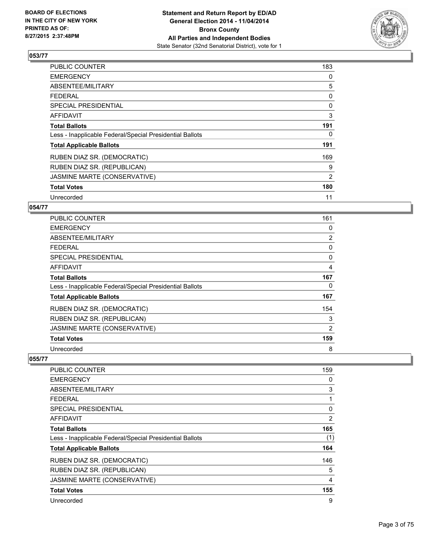

| PUBLIC COUNTER                                           | 183 |
|----------------------------------------------------------|-----|
| <b>EMERGENCY</b>                                         | 0   |
| ABSENTEE/MILITARY                                        | 5   |
| <b>FEDERAL</b>                                           | 0   |
| <b>SPECIAL PRESIDENTIAL</b>                              | 0   |
| <b>AFFIDAVIT</b>                                         | 3   |
| <b>Total Ballots</b>                                     | 191 |
| Less - Inapplicable Federal/Special Presidential Ballots | 0   |
| <b>Total Applicable Ballots</b>                          | 191 |
| RUBEN DIAZ SR. (DEMOCRATIC)                              | 169 |
| RUBEN DIAZ SR. (REPUBLICAN)                              | 9   |
| JASMINE MARTE (CONSERVATIVE)                             | 2   |
| <b>Total Votes</b>                                       | 180 |
| Unrecorded                                               | 11  |

## **054/77**

| PUBLIC COUNTER                                           | 161 |
|----------------------------------------------------------|-----|
| <b>EMERGENCY</b>                                         | 0   |
| ABSENTEE/MILITARY                                        | 2   |
| <b>FEDERAL</b>                                           | 0   |
| SPECIAL PRESIDENTIAL                                     | 0   |
| <b>AFFIDAVIT</b>                                         | 4   |
| <b>Total Ballots</b>                                     | 167 |
| Less - Inapplicable Federal/Special Presidential Ballots | 0   |
| <b>Total Applicable Ballots</b>                          | 167 |
| RUBEN DIAZ SR. (DEMOCRATIC)                              | 154 |
| RUBEN DIAZ SR. (REPUBLICAN)                              | 3   |
| JASMINE MARTE (CONSERVATIVE)                             | 2   |
| <b>Total Votes</b>                                       | 159 |
| Unrecorded                                               | 8   |

| <b>PUBLIC COUNTER</b>                                    | 159 |
|----------------------------------------------------------|-----|
| <b>EMERGENCY</b>                                         | 0   |
| ABSENTEE/MILITARY                                        | 3   |
| <b>FEDERAL</b>                                           |     |
| <b>SPECIAL PRESIDENTIAL</b>                              | 0   |
| <b>AFFIDAVIT</b>                                         | 2   |
| <b>Total Ballots</b>                                     | 165 |
| Less - Inapplicable Federal/Special Presidential Ballots | (1) |
| <b>Total Applicable Ballots</b>                          | 164 |
| RUBEN DIAZ SR. (DEMOCRATIC)                              | 146 |
| RUBEN DIAZ SR. (REPUBLICAN)                              | 5   |
| JASMINE MARTE (CONSERVATIVE)                             | 4   |
| <b>Total Votes</b>                                       | 155 |
| Unrecorded                                               | 9   |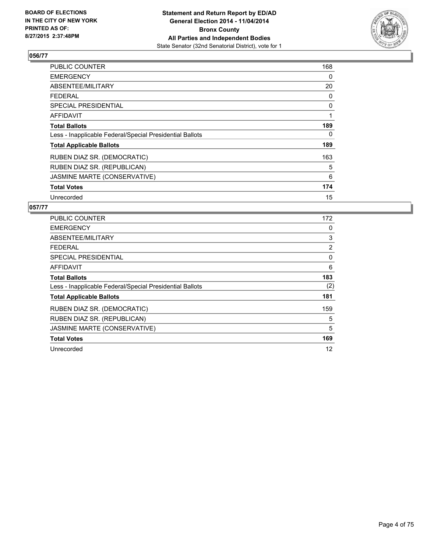

| <b>PUBLIC COUNTER</b>                                    | 168 |
|----------------------------------------------------------|-----|
| <b>EMERGENCY</b>                                         | 0   |
| ABSENTEE/MILITARY                                        | 20  |
| <b>FEDERAL</b>                                           | 0   |
| <b>SPECIAL PRESIDENTIAL</b>                              | 0   |
| <b>AFFIDAVIT</b>                                         | 1   |
| <b>Total Ballots</b>                                     | 189 |
| Less - Inapplicable Federal/Special Presidential Ballots | 0   |
| <b>Total Applicable Ballots</b>                          | 189 |
| RUBEN DIAZ SR. (DEMOCRATIC)                              | 163 |
| RUBEN DIAZ SR. (REPUBLICAN)                              | 5   |
| JASMINE MARTE (CONSERVATIVE)                             | 6   |
| <b>Total Votes</b>                                       | 174 |
| Unrecorded                                               | 15  |

| <b>PUBLIC COUNTER</b>                                    | 172            |
|----------------------------------------------------------|----------------|
| <b>EMERGENCY</b>                                         | 0              |
| ABSENTEE/MILITARY                                        | 3              |
| FEDERAL                                                  | $\overline{2}$ |
| <b>SPECIAL PRESIDENTIAL</b>                              | 0              |
| <b>AFFIDAVIT</b>                                         | 6              |
| <b>Total Ballots</b>                                     | 183            |
| Less - Inapplicable Federal/Special Presidential Ballots | (2)            |
| <b>Total Applicable Ballots</b>                          | 181            |
| RUBEN DIAZ SR. (DEMOCRATIC)                              | 159            |
| RUBEN DIAZ SR. (REPUBLICAN)                              | 5              |
| JASMINE MARTE (CONSERVATIVE)                             | 5              |
| <b>Total Votes</b>                                       | 169            |
| Unrecorded                                               | 12             |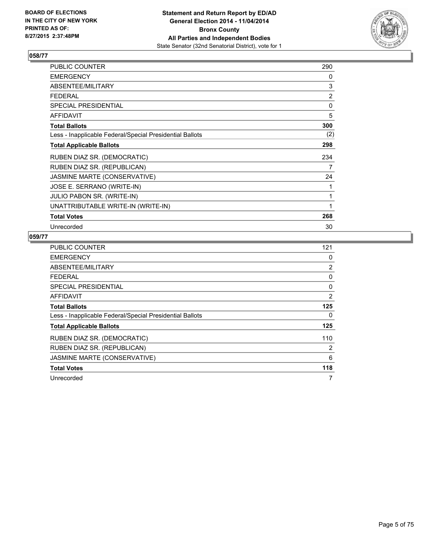

| PUBLIC COUNTER                                           | 290            |
|----------------------------------------------------------|----------------|
| <b>EMERGENCY</b>                                         | 0              |
| ABSENTEE/MILITARY                                        | 3              |
| <b>FEDERAL</b>                                           | $\overline{2}$ |
| <b>SPECIAL PRESIDENTIAL</b>                              | 0              |
| <b>AFFIDAVIT</b>                                         | 5              |
| <b>Total Ballots</b>                                     | 300            |
| Less - Inapplicable Federal/Special Presidential Ballots | (2)            |
| <b>Total Applicable Ballots</b>                          | 298            |
| RUBEN DIAZ SR. (DEMOCRATIC)                              | 234            |
| RUBEN DIAZ SR. (REPUBLICAN)                              | 7              |
| JASMINE MARTE (CONSERVATIVE)                             | 24             |
| JOSE E. SERRANO (WRITE-IN)                               | 1              |
| JULIO PABON SR. (WRITE-IN)                               | 1              |
| UNATTRIBUTABLE WRITE-IN (WRITE-IN)                       | 1              |
| <b>Total Votes</b>                                       | 268            |
| Unrecorded                                               | 30             |

| <b>PUBLIC COUNTER</b>                                    | 121 |
|----------------------------------------------------------|-----|
| <b>EMERGENCY</b>                                         | 0   |
| ABSENTEE/MILITARY                                        | 2   |
| <b>FEDERAL</b>                                           | 0   |
| SPECIAL PRESIDENTIAL                                     | 0   |
| AFFIDAVIT                                                | 2   |
| <b>Total Ballots</b>                                     | 125 |
| Less - Inapplicable Federal/Special Presidential Ballots | 0   |
| <b>Total Applicable Ballots</b>                          | 125 |
| RUBEN DIAZ SR. (DEMOCRATIC)                              | 110 |
| RUBEN DIAZ SR. (REPUBLICAN)                              | 2   |
| JASMINE MARTE (CONSERVATIVE)                             | 6   |
| <b>Total Votes</b>                                       | 118 |
| Unrecorded                                               | 7   |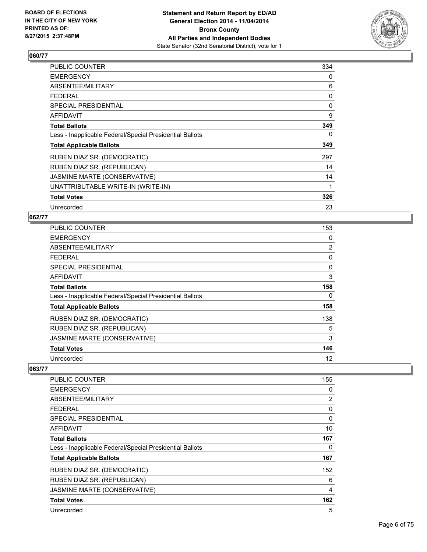

| PUBLIC COUNTER                                           | 334 |
|----------------------------------------------------------|-----|
| <b>EMERGENCY</b>                                         | 0   |
| ABSENTEE/MILITARY                                        | 6   |
| <b>FEDERAL</b>                                           | 0   |
| SPECIAL PRESIDENTIAL                                     | 0   |
| AFFIDAVIT                                                | 9   |
| <b>Total Ballots</b>                                     | 349 |
| Less - Inapplicable Federal/Special Presidential Ballots | 0   |
| <b>Total Applicable Ballots</b>                          | 349 |
| RUBEN DIAZ SR. (DEMOCRATIC)                              | 297 |
| RUBEN DIAZ SR. (REPUBLICAN)                              | 14  |
| JASMINE MARTE (CONSERVATIVE)                             | 14  |
| UNATTRIBUTABLE WRITE-IN (WRITE-IN)                       | 1   |
| <b>Total Votes</b>                                       | 326 |
| Unrecorded                                               | 23  |

### **062/77**

| <b>PUBLIC COUNTER</b>                                    | 153            |
|----------------------------------------------------------|----------------|
| <b>EMERGENCY</b>                                         | 0              |
| ABSENTEE/MILITARY                                        | $\overline{2}$ |
| <b>FEDERAL</b>                                           | 0              |
| SPECIAL PRESIDENTIAL                                     | 0              |
| AFFIDAVIT                                                | 3              |
| <b>Total Ballots</b>                                     | 158            |
| Less - Inapplicable Federal/Special Presidential Ballots | 0              |
| <b>Total Applicable Ballots</b>                          | 158            |
| RUBEN DIAZ SR. (DEMOCRATIC)                              | 138            |
| RUBEN DIAZ SR. (REPUBLICAN)                              | 5              |
| JASMINE MARTE (CONSERVATIVE)                             | 3              |
| <b>Total Votes</b>                                       | 146            |
| Unrecorded                                               | 12             |

| PUBLIC COUNTER                                           | 155            |
|----------------------------------------------------------|----------------|
| <b>EMERGENCY</b>                                         | 0              |
| ABSENTEE/MILITARY                                        | $\overline{2}$ |
| <b>FEDERAL</b>                                           | 0              |
| SPECIAL PRESIDENTIAL                                     | 0              |
| AFFIDAVIT                                                | 10             |
| <b>Total Ballots</b>                                     | 167            |
| Less - Inapplicable Federal/Special Presidential Ballots | 0              |
| <b>Total Applicable Ballots</b>                          | 167            |
| RUBEN DIAZ SR. (DEMOCRATIC)                              | 152            |
| RUBEN DIAZ SR. (REPUBLICAN)                              | 6              |
| JASMINE MARTE (CONSERVATIVE)                             | 4              |
| <b>Total Votes</b>                                       | 162            |
| Unrecorded                                               | 5              |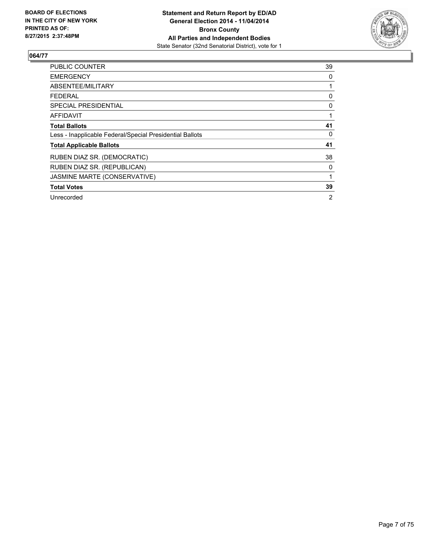

| <b>PUBLIC COUNTER</b>                                    | 39             |
|----------------------------------------------------------|----------------|
| <b>EMERGENCY</b>                                         | 0              |
| ABSENTEE/MILITARY                                        |                |
| <b>FEDERAL</b>                                           | 0              |
| SPECIAL PRESIDENTIAL                                     | 0              |
| <b>AFFIDAVIT</b>                                         |                |
| <b>Total Ballots</b>                                     | 41             |
| Less - Inapplicable Federal/Special Presidential Ballots | 0              |
| <b>Total Applicable Ballots</b>                          | 41             |
| RUBEN DIAZ SR. (DEMOCRATIC)                              | 38             |
| RUBEN DIAZ SR. (REPUBLICAN)                              | 0              |
| JASMINE MARTE (CONSERVATIVE)                             |                |
| <b>Total Votes</b>                                       | 39             |
| Unrecorded                                               | $\overline{2}$ |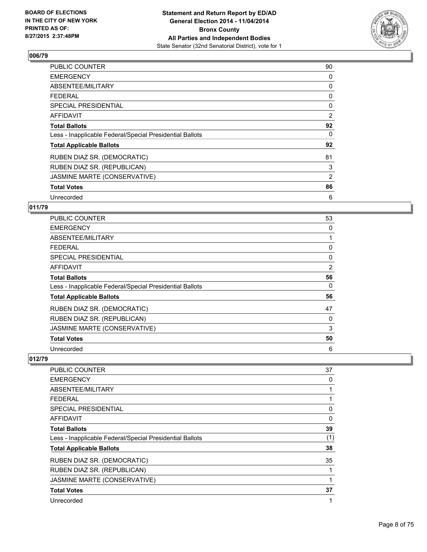

| PUBLIC COUNTER                                           | 90             |
|----------------------------------------------------------|----------------|
| <b>EMERGENCY</b>                                         | 0              |
| ABSENTEE/MILITARY                                        | 0              |
| FEDERAL                                                  | 0              |
| SPECIAL PRESIDENTIAL                                     | 0              |
| AFFIDAVIT                                                | 2              |
| <b>Total Ballots</b>                                     | 92             |
| Less - Inapplicable Federal/Special Presidential Ballots | 0              |
| <b>Total Applicable Ballots</b>                          | 92             |
| RUBEN DIAZ SR. (DEMOCRATIC)                              | 81             |
| RUBEN DIAZ SR. (REPUBLICAN)                              | 3              |
| JASMINE MARTE (CONSERVATIVE)                             | $\overline{2}$ |
| <b>Total Votes</b>                                       | 86             |
| Unrecorded                                               | 6              |

#### **011/79**

| PUBLIC COUNTER                                           | 53 |
|----------------------------------------------------------|----|
| <b>EMERGENCY</b>                                         | 0  |
| ABSENTEE/MILITARY                                        |    |
| <b>FEDERAL</b>                                           | 0  |
| <b>SPECIAL PRESIDENTIAL</b>                              | 0  |
| <b>AFFIDAVIT</b>                                         | 2  |
| <b>Total Ballots</b>                                     | 56 |
| Less - Inapplicable Federal/Special Presidential Ballots | 0  |
| <b>Total Applicable Ballots</b>                          | 56 |
| RUBEN DIAZ SR. (DEMOCRATIC)                              | 47 |
| RUBEN DIAZ SR. (REPUBLICAN)                              | 0  |
| JASMINE MARTE (CONSERVATIVE)                             | 3  |
| <b>Total Votes</b>                                       | 50 |
| Unrecorded                                               | 6  |

| <b>PUBLIC COUNTER</b>                                    | 37  |
|----------------------------------------------------------|-----|
| <b>EMERGENCY</b>                                         | 0   |
| ABSENTEE/MILITARY                                        |     |
| <b>FEDERAL</b>                                           |     |
| SPECIAL PRESIDENTIAL                                     | 0   |
| AFFIDAVIT                                                | 0   |
| <b>Total Ballots</b>                                     | 39  |
| Less - Inapplicable Federal/Special Presidential Ballots | (1) |
| <b>Total Applicable Ballots</b>                          | 38  |
| RUBEN DIAZ SR. (DEMOCRATIC)                              | 35  |
| RUBEN DIAZ SR. (REPUBLICAN)                              |     |
| JASMINE MARTE (CONSERVATIVE)                             |     |
| <b>Total Votes</b>                                       | 37  |
| Unrecorded                                               | 1   |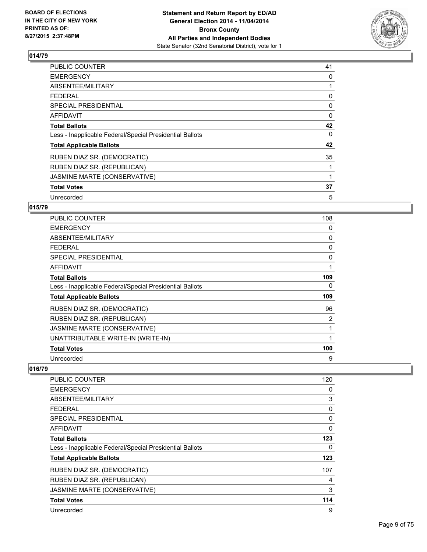

| PUBLIC COUNTER                                           | 41 |
|----------------------------------------------------------|----|
| <b>EMERGENCY</b>                                         | 0  |
| ABSENTEE/MILITARY                                        |    |
| FEDERAL                                                  | 0  |
| SPECIAL PRESIDENTIAL                                     | 0  |
| <b>AFFIDAVIT</b>                                         | 0  |
| <b>Total Ballots</b>                                     | 42 |
| Less - Inapplicable Federal/Special Presidential Ballots | 0  |
| <b>Total Applicable Ballots</b>                          | 42 |
| RUBEN DIAZ SR. (DEMOCRATIC)                              | 35 |
| RUBEN DIAZ SR. (REPUBLICAN)                              |    |
| JASMINE MARTE (CONSERVATIVE)                             |    |
| <b>Total Votes</b>                                       | 37 |
| Unrecorded                                               | 5  |

#### **015/79**

| <b>PUBLIC COUNTER</b>                                    | 108 |
|----------------------------------------------------------|-----|
| <b>EMERGENCY</b>                                         | 0   |
| ABSENTEE/MILITARY                                        | 0   |
| <b>FEDERAL</b>                                           | 0   |
| <b>SPECIAL PRESIDENTIAL</b>                              | 0   |
| AFFIDAVIT                                                | 1   |
| <b>Total Ballots</b>                                     | 109 |
| Less - Inapplicable Federal/Special Presidential Ballots | 0   |
| <b>Total Applicable Ballots</b>                          | 109 |
| RUBEN DIAZ SR. (DEMOCRATIC)                              | 96  |
| RUBEN DIAZ SR. (REPUBLICAN)                              | 2   |
| JASMINE MARTE (CONSERVATIVE)                             |     |
| UNATTRIBUTABLE WRITE-IN (WRITE-IN)                       | 1   |
| <b>Total Votes</b>                                       | 100 |
| Unrecorded                                               | 9   |

| <b>PUBLIC COUNTER</b>                                    | 120          |
|----------------------------------------------------------|--------------|
| <b>EMERGENCY</b>                                         | 0            |
| ABSENTEE/MILITARY                                        | 3            |
| <b>FEDERAL</b>                                           | 0            |
| <b>SPECIAL PRESIDENTIAL</b>                              | 0            |
| <b>AFFIDAVIT</b>                                         | $\mathbf{0}$ |
| <b>Total Ballots</b>                                     | 123          |
| Less - Inapplicable Federal/Special Presidential Ballots | 0            |
| <b>Total Applicable Ballots</b>                          | 123          |
| RUBEN DIAZ SR. (DEMOCRATIC)                              | 107          |
| RUBEN DIAZ SR. (REPUBLICAN)                              | 4            |
| JASMINE MARTE (CONSERVATIVE)                             | 3            |
| <b>Total Votes</b>                                       | 114          |
| Unrecorded                                               | 9            |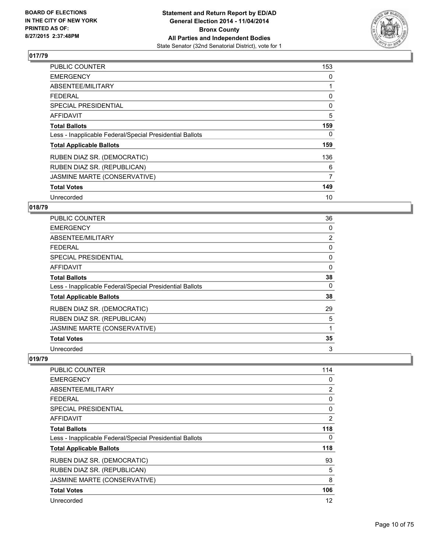

| <b>PUBLIC COUNTER</b>                                    | 153 |
|----------------------------------------------------------|-----|
| <b>EMERGENCY</b>                                         | 0   |
| ABSENTEE/MILITARY                                        | 1   |
| <b>FEDERAL</b>                                           | 0   |
| SPECIAL PRESIDENTIAL                                     | 0   |
| AFFIDAVIT                                                | 5   |
| <b>Total Ballots</b>                                     | 159 |
| Less - Inapplicable Federal/Special Presidential Ballots | 0   |
| <b>Total Applicable Ballots</b>                          | 159 |
| RUBEN DIAZ SR. (DEMOCRATIC)                              | 136 |
| RUBEN DIAZ SR. (REPUBLICAN)                              | 6   |
| JASMINE MARTE (CONSERVATIVE)                             | 7   |
| <b>Total Votes</b>                                       | 149 |
| Unrecorded                                               | 10  |

## **018/79**

| PUBLIC COUNTER                                           | 36 |
|----------------------------------------------------------|----|
| <b>EMERGENCY</b>                                         | 0  |
| ABSENTEE/MILITARY                                        | 2  |
| <b>FEDERAL</b>                                           | 0  |
| SPECIAL PRESIDENTIAL                                     | 0  |
| <b>AFFIDAVIT</b>                                         | 0  |
| <b>Total Ballots</b>                                     | 38 |
| Less - Inapplicable Federal/Special Presidential Ballots | 0  |
| <b>Total Applicable Ballots</b>                          | 38 |
| RUBEN DIAZ SR. (DEMOCRATIC)                              | 29 |
| RUBEN DIAZ SR. (REPUBLICAN)                              | 5  |
| JASMINE MARTE (CONSERVATIVE)                             | 1  |
| <b>Total Votes</b>                                       | 35 |
| Unrecorded                                               | 3  |

| <b>PUBLIC COUNTER</b>                                    | 114            |
|----------------------------------------------------------|----------------|
| <b>EMERGENCY</b>                                         | 0              |
| ABSENTEE/MILITARY                                        | 2              |
| <b>FEDERAL</b>                                           | 0              |
| SPECIAL PRESIDENTIAL                                     | 0              |
| AFFIDAVIT                                                | $\overline{2}$ |
| <b>Total Ballots</b>                                     | 118            |
| Less - Inapplicable Federal/Special Presidential Ballots | 0              |
| <b>Total Applicable Ballots</b>                          | 118            |
| RUBEN DIAZ SR. (DEMOCRATIC)                              | 93             |
| RUBEN DIAZ SR. (REPUBLICAN)                              | 5              |
| JASMINE MARTE (CONSERVATIVE)                             | 8              |
| <b>Total Votes</b>                                       | 106            |
| Unrecorded                                               | 12             |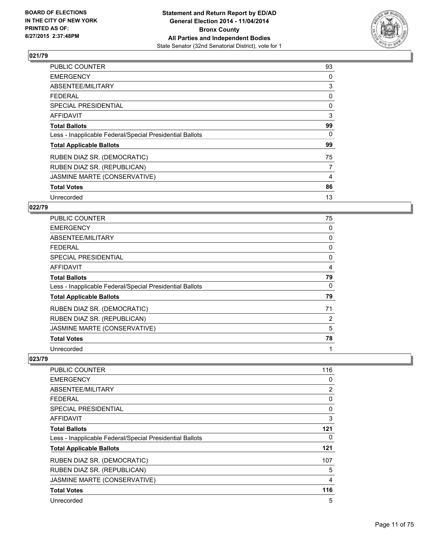

| <b>PUBLIC COUNTER</b>                                    | 93 |
|----------------------------------------------------------|----|
| <b>EMERGENCY</b>                                         | 0  |
| ABSENTEE/MILITARY                                        | 3  |
| <b>FEDERAL</b>                                           | 0  |
| <b>SPECIAL PRESIDENTIAL</b>                              | 0  |
| <b>AFFIDAVIT</b>                                         | 3  |
| <b>Total Ballots</b>                                     | 99 |
| Less - Inapplicable Federal/Special Presidential Ballots | 0  |
| <b>Total Applicable Ballots</b>                          | 99 |
| RUBEN DIAZ SR. (DEMOCRATIC)                              | 75 |
| RUBEN DIAZ SR. (REPUBLICAN)                              | 7  |
| JASMINE MARTE (CONSERVATIVE)                             | 4  |
| <b>Total Votes</b>                                       | 86 |
| Unrecorded                                               | 13 |

## **022/79**

| PUBLIC COUNTER                                           | 75 |
|----------------------------------------------------------|----|
| <b>EMERGENCY</b>                                         | 0  |
| ABSENTEE/MILITARY                                        | 0  |
| FEDERAL                                                  | 0  |
| <b>SPECIAL PRESIDENTIAL</b>                              | 0  |
| <b>AFFIDAVIT</b>                                         | 4  |
| <b>Total Ballots</b>                                     | 79 |
| Less - Inapplicable Federal/Special Presidential Ballots | 0  |
| <b>Total Applicable Ballots</b>                          | 79 |
| RUBEN DIAZ SR. (DEMOCRATIC)                              | 71 |
| RUBEN DIAZ SR. (REPUBLICAN)                              | 2  |
| JASMINE MARTE (CONSERVATIVE)                             | 5  |
| <b>Total Votes</b>                                       | 78 |
| Unrecorded                                               | 1  |

| <b>PUBLIC COUNTER</b>                                    | 116 |
|----------------------------------------------------------|-----|
| <b>EMERGENCY</b>                                         | 0   |
| ABSENTEE/MILITARY                                        | 2   |
| <b>FEDERAL</b>                                           | 0   |
| SPECIAL PRESIDENTIAL                                     | 0   |
| AFFIDAVIT                                                | 3   |
| <b>Total Ballots</b>                                     | 121 |
| Less - Inapplicable Federal/Special Presidential Ballots | 0   |
| <b>Total Applicable Ballots</b>                          | 121 |
| RUBEN DIAZ SR. (DEMOCRATIC)                              | 107 |
| RUBEN DIAZ SR. (REPUBLICAN)                              | 5   |
| JASMINE MARTE (CONSERVATIVE)                             | 4   |
| <b>Total Votes</b>                                       | 116 |
| Unrecorded                                               | 5   |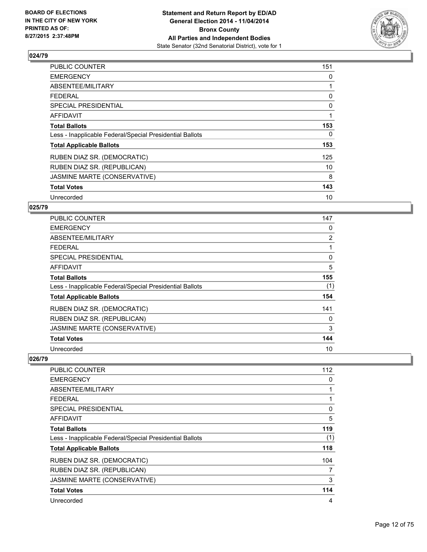

| <b>PUBLIC COUNTER</b>                                    | 151 |
|----------------------------------------------------------|-----|
| <b>EMERGENCY</b>                                         | 0   |
| ABSENTEE/MILITARY                                        | 1   |
| <b>FEDERAL</b>                                           | 0   |
| SPECIAL PRESIDENTIAL                                     | 0   |
| AFFIDAVIT                                                | 1   |
| <b>Total Ballots</b>                                     | 153 |
| Less - Inapplicable Federal/Special Presidential Ballots | 0   |
| <b>Total Applicable Ballots</b>                          | 153 |
| RUBEN DIAZ SR. (DEMOCRATIC)                              | 125 |
| RUBEN DIAZ SR. (REPUBLICAN)                              | 10  |
| JASMINE MARTE (CONSERVATIVE)                             | 8   |
| <b>Total Votes</b>                                       | 143 |
| Unrecorded                                               | 10  |

#### **025/79**

| PUBLIC COUNTER                                           | 147            |
|----------------------------------------------------------|----------------|
| <b>EMERGENCY</b>                                         | 0              |
| ABSENTEE/MILITARY                                        | $\overline{2}$ |
| <b>FEDERAL</b>                                           | 1              |
| SPECIAL PRESIDENTIAL                                     | 0              |
| <b>AFFIDAVIT</b>                                         | 5              |
| <b>Total Ballots</b>                                     | 155            |
| Less - Inapplicable Federal/Special Presidential Ballots | (1)            |
| <b>Total Applicable Ballots</b>                          | 154            |
| RUBEN DIAZ SR. (DEMOCRATIC)                              | 141            |
| RUBEN DIAZ SR. (REPUBLICAN)                              | 0              |
| JASMINE MARTE (CONSERVATIVE)                             | 3              |
| <b>Total Votes</b>                                       | 144            |
| Unrecorded                                               | 10             |

| <b>PUBLIC COUNTER</b>                                    | 112 |
|----------------------------------------------------------|-----|
| <b>EMERGENCY</b>                                         | 0   |
| ABSENTEE/MILITARY                                        |     |
| <b>FEDERAL</b>                                           |     |
| SPECIAL PRESIDENTIAL                                     | 0   |
| AFFIDAVIT                                                | 5   |
| <b>Total Ballots</b>                                     | 119 |
| Less - Inapplicable Federal/Special Presidential Ballots | (1) |
| <b>Total Applicable Ballots</b>                          | 118 |
| RUBEN DIAZ SR. (DEMOCRATIC)                              | 104 |
| RUBEN DIAZ SR. (REPUBLICAN)                              | 7   |
| JASMINE MARTE (CONSERVATIVE)                             | 3   |
| <b>Total Votes</b>                                       | 114 |
| Unrecorded                                               | 4   |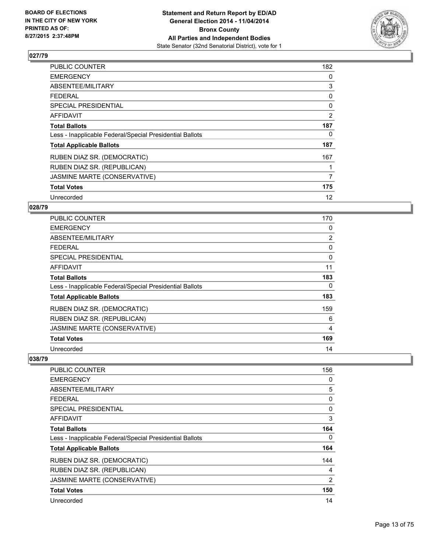

| PUBLIC COUNTER                                           | 182 |
|----------------------------------------------------------|-----|
| <b>EMERGENCY</b>                                         | 0   |
| ABSENTEE/MILITARY                                        | 3   |
| <b>FEDERAL</b>                                           | 0   |
| SPECIAL PRESIDENTIAL                                     | 0   |
| <b>AFFIDAVIT</b>                                         | 2   |
| <b>Total Ballots</b>                                     | 187 |
| Less - Inapplicable Federal/Special Presidential Ballots | 0   |
| <b>Total Applicable Ballots</b>                          | 187 |
| RUBEN DIAZ SR. (DEMOCRATIC)                              | 167 |
| RUBEN DIAZ SR. (REPUBLICAN)                              | 1   |
| JASMINE MARTE (CONSERVATIVE)                             | 7   |
| <b>Total Votes</b>                                       | 175 |
| Unrecorded                                               | 12  |

## **028/79**

| <b>PUBLIC COUNTER</b>                                    | 170            |
|----------------------------------------------------------|----------------|
| <b>EMERGENCY</b>                                         | 0              |
| ABSENTEE/MILITARY                                        | $\overline{2}$ |
| <b>FEDERAL</b>                                           | 0              |
| <b>SPECIAL PRESIDENTIAL</b>                              | 0              |
| <b>AFFIDAVIT</b>                                         | 11             |
| <b>Total Ballots</b>                                     | 183            |
| Less - Inapplicable Federal/Special Presidential Ballots | 0              |
| <b>Total Applicable Ballots</b>                          | 183            |
| RUBEN DIAZ SR. (DEMOCRATIC)                              | 159            |
| RUBEN DIAZ SR. (REPUBLICAN)                              | 6              |
| JASMINE MARTE (CONSERVATIVE)                             | 4              |
| <b>Total Votes</b>                                       | 169            |
| Unrecorded                                               | 14             |

| <b>PUBLIC COUNTER</b>                                    | 156 |
|----------------------------------------------------------|-----|
| <b>EMERGENCY</b>                                         | 0   |
| ABSENTEE/MILITARY                                        | 5   |
| <b>FEDERAL</b>                                           | 0   |
| SPECIAL PRESIDENTIAL                                     | 0   |
| AFFIDAVIT                                                | 3   |
| <b>Total Ballots</b>                                     | 164 |
| Less - Inapplicable Federal/Special Presidential Ballots | 0   |
| <b>Total Applicable Ballots</b>                          | 164 |
| RUBEN DIAZ SR. (DEMOCRATIC)                              | 144 |
| RUBEN DIAZ SR. (REPUBLICAN)                              | 4   |
| JASMINE MARTE (CONSERVATIVE)                             | 2   |
| <b>Total Votes</b>                                       | 150 |
| Unrecorded                                               | 14  |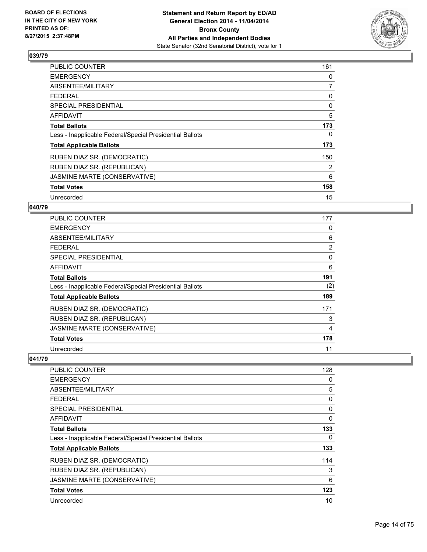

| PUBLIC COUNTER                                           | 161 |
|----------------------------------------------------------|-----|
| <b>EMERGENCY</b>                                         | 0   |
| ABSENTEE/MILITARY                                        | 7   |
| <b>FEDERAL</b>                                           | 0   |
| <b>SPECIAL PRESIDENTIAL</b>                              | 0   |
| <b>AFFIDAVIT</b>                                         | 5   |
| <b>Total Ballots</b>                                     | 173 |
| Less - Inapplicable Federal/Special Presidential Ballots | 0   |
| <b>Total Applicable Ballots</b>                          | 173 |
| RUBEN DIAZ SR. (DEMOCRATIC)                              | 150 |
| RUBEN DIAZ SR. (REPUBLICAN)                              | 2   |
| JASMINE MARTE (CONSERVATIVE)                             | 6   |
| <b>Total Votes</b>                                       | 158 |
| Unrecorded                                               | 15  |

#### **040/79**

| PUBLIC COUNTER                                           | 177            |
|----------------------------------------------------------|----------------|
| <b>EMERGENCY</b>                                         | 0              |
| ABSENTEE/MILITARY                                        | 6              |
| <b>FEDERAL</b>                                           | $\overline{2}$ |
| <b>SPECIAL PRESIDENTIAL</b>                              | 0              |
| AFFIDAVIT                                                | 6              |
| <b>Total Ballots</b>                                     | 191            |
| Less - Inapplicable Federal/Special Presidential Ballots | (2)            |
| <b>Total Applicable Ballots</b>                          | 189            |
| RUBEN DIAZ SR. (DEMOCRATIC)                              | 171            |
| RUBEN DIAZ SR. (REPUBLICAN)                              | 3              |
| JASMINE MARTE (CONSERVATIVE)                             | 4              |
| <b>Total Votes</b>                                       | 178            |
| Unrecorded                                               | 11             |

| <b>PUBLIC COUNTER</b>                                    | 128 |
|----------------------------------------------------------|-----|
| <b>EMERGENCY</b>                                         | 0   |
| ABSENTEE/MILITARY                                        | 5   |
| <b>FEDERAL</b>                                           | 0   |
| <b>SPECIAL PRESIDENTIAL</b>                              | 0   |
| <b>AFFIDAVIT</b>                                         | 0   |
| <b>Total Ballots</b>                                     | 133 |
| Less - Inapplicable Federal/Special Presidential Ballots | 0   |
| <b>Total Applicable Ballots</b>                          | 133 |
| RUBEN DIAZ SR. (DEMOCRATIC)                              | 114 |
| RUBEN DIAZ SR. (REPUBLICAN)                              | 3   |
| JASMINE MARTE (CONSERVATIVE)                             | 6   |
| <b>Total Votes</b>                                       | 123 |
| Unrecorded                                               | 10  |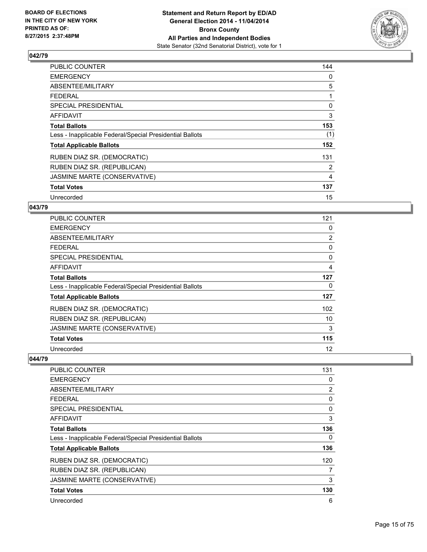

| PUBLIC COUNTER                                           | 144            |
|----------------------------------------------------------|----------------|
| <b>EMERGENCY</b>                                         | 0              |
| ABSENTEE/MILITARY                                        | 5              |
| <b>FEDERAL</b>                                           | 1              |
| <b>SPECIAL PRESIDENTIAL</b>                              | 0              |
| <b>AFFIDAVIT</b>                                         | 3              |
| <b>Total Ballots</b>                                     | 153            |
| Less - Inapplicable Federal/Special Presidential Ballots | (1)            |
| <b>Total Applicable Ballots</b>                          | 152            |
| RUBEN DIAZ SR. (DEMOCRATIC)                              | 131            |
| RUBEN DIAZ SR. (REPUBLICAN)                              | 2              |
| JASMINE MARTE (CONSERVATIVE)                             | $\overline{4}$ |
| <b>Total Votes</b>                                       | 137            |
| Unrecorded                                               | 15             |

#### **043/79**

| PUBLIC COUNTER                                           | 121            |
|----------------------------------------------------------|----------------|
| <b>EMERGENCY</b>                                         | 0              |
| ABSENTEE/MILITARY                                        | $\overline{2}$ |
| <b>FEDERAL</b>                                           | 0              |
| <b>SPECIAL PRESIDENTIAL</b>                              | 0              |
| <b>AFFIDAVIT</b>                                         | 4              |
| <b>Total Ballots</b>                                     | 127            |
| Less - Inapplicable Federal/Special Presidential Ballots | 0              |
| <b>Total Applicable Ballots</b>                          | 127            |
| RUBEN DIAZ SR. (DEMOCRATIC)                              | 102            |
| RUBEN DIAZ SR. (REPUBLICAN)                              | 10             |
| JASMINE MARTE (CONSERVATIVE)                             | 3              |
| <b>Total Votes</b>                                       | 115            |
| Unrecorded                                               | 12             |

| <b>PUBLIC COUNTER</b>                                    | 131 |
|----------------------------------------------------------|-----|
| <b>EMERGENCY</b>                                         | 0   |
| ABSENTEE/MILITARY                                        | 2   |
| <b>FEDERAL</b>                                           | 0   |
| SPECIAL PRESIDENTIAL                                     | 0   |
| AFFIDAVIT                                                | 3   |
| <b>Total Ballots</b>                                     | 136 |
| Less - Inapplicable Federal/Special Presidential Ballots | 0   |
| <b>Total Applicable Ballots</b>                          | 136 |
| RUBEN DIAZ SR. (DEMOCRATIC)                              | 120 |
| RUBEN DIAZ SR. (REPUBLICAN)                              | 7   |
| JASMINE MARTE (CONSERVATIVE)                             | 3   |
| <b>Total Votes</b>                                       | 130 |
| Unrecorded                                               | 6   |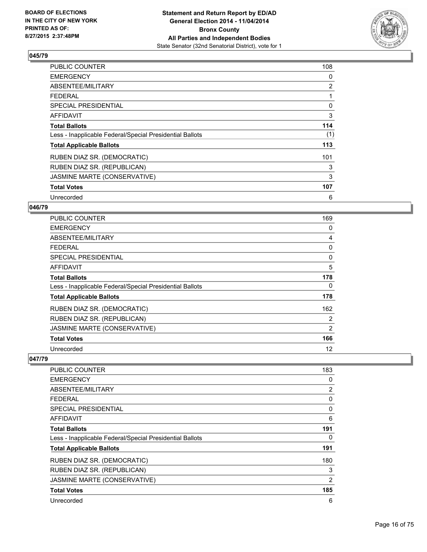

| <b>PUBLIC COUNTER</b>                                    | 108 |
|----------------------------------------------------------|-----|
| <b>EMERGENCY</b>                                         | 0   |
| ABSENTEE/MILITARY                                        | 2   |
| <b>FEDERAL</b>                                           |     |
| SPECIAL PRESIDENTIAL                                     | 0   |
| AFFIDAVIT                                                | 3   |
| <b>Total Ballots</b>                                     | 114 |
| Less - Inapplicable Federal/Special Presidential Ballots | (1) |
| <b>Total Applicable Ballots</b>                          | 113 |
| RUBEN DIAZ SR. (DEMOCRATIC)                              | 101 |
| RUBEN DIAZ SR. (REPUBLICAN)                              | 3   |
| JASMINE MARTE (CONSERVATIVE)                             | 3   |
| <b>Total Votes</b>                                       | 107 |
| Unrecorded                                               | 6   |

#### **046/79**

| PUBLIC COUNTER                                           | 169 |
|----------------------------------------------------------|-----|
| <b>EMERGENCY</b>                                         | 0   |
| ABSENTEE/MILITARY                                        | 4   |
| <b>FEDERAL</b>                                           | 0   |
| <b>SPECIAL PRESIDENTIAL</b>                              | 0   |
| <b>AFFIDAVIT</b>                                         | 5   |
| <b>Total Ballots</b>                                     | 178 |
| Less - Inapplicable Federal/Special Presidential Ballots | 0   |
| <b>Total Applicable Ballots</b>                          | 178 |
| RUBEN DIAZ SR. (DEMOCRATIC)                              | 162 |
| RUBEN DIAZ SR. (REPUBLICAN)                              | 2   |
| JASMINE MARTE (CONSERVATIVE)                             | 2   |
| <b>Total Votes</b>                                       | 166 |
| Unrecorded                                               | 12  |

| <b>PUBLIC COUNTER</b>                                    | 183            |
|----------------------------------------------------------|----------------|
| <b>EMERGENCY</b>                                         | 0              |
| ABSENTEE/MILITARY                                        | $\overline{2}$ |
| <b>FEDERAL</b>                                           | 0              |
| SPECIAL PRESIDENTIAL                                     | 0              |
| AFFIDAVIT                                                | 6              |
| <b>Total Ballots</b>                                     | 191            |
| Less - Inapplicable Federal/Special Presidential Ballots | 0              |
| <b>Total Applicable Ballots</b>                          | 191            |
| RUBEN DIAZ SR. (DEMOCRATIC)                              | 180            |
| RUBEN DIAZ SR. (REPUBLICAN)                              | 3              |
| JASMINE MARTE (CONSERVATIVE)                             | 2              |
| <b>Total Votes</b>                                       | 185            |
| Unrecorded                                               | 6              |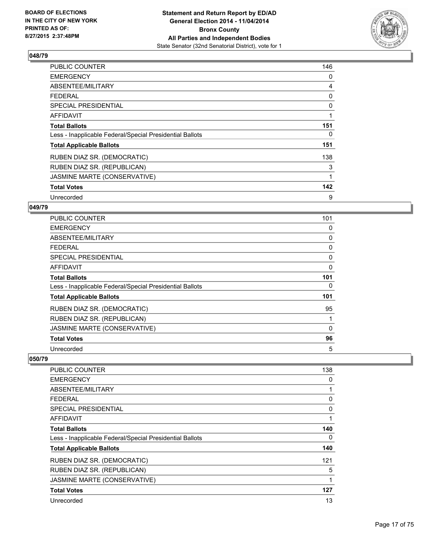

| PUBLIC COUNTER                                           | 146 |
|----------------------------------------------------------|-----|
| <b>EMERGENCY</b>                                         | 0   |
| ABSENTEE/MILITARY                                        | 4   |
| <b>FEDERAL</b>                                           | 0   |
| <b>SPECIAL PRESIDENTIAL</b>                              | 0   |
| AFFIDAVIT                                                | 1   |
| <b>Total Ballots</b>                                     | 151 |
| Less - Inapplicable Federal/Special Presidential Ballots | 0   |
| <b>Total Applicable Ballots</b>                          | 151 |
| RUBEN DIAZ SR. (DEMOCRATIC)                              | 138 |
| RUBEN DIAZ SR. (REPUBLICAN)                              | 3   |
| JASMINE MARTE (CONSERVATIVE)                             | 1   |
| <b>Total Votes</b>                                       | 142 |
| Unrecorded                                               | 9   |

#### **049/79**

| <b>PUBLIC COUNTER</b>                                    | 101          |
|----------------------------------------------------------|--------------|
| <b>EMERGENCY</b>                                         | 0            |
| ABSENTEE/MILITARY                                        | 0            |
| <b>FEDERAL</b>                                           | 0            |
| <b>SPECIAL PRESIDENTIAL</b>                              | 0            |
| <b>AFFIDAVIT</b>                                         | 0            |
| <b>Total Ballots</b>                                     | 101          |
| Less - Inapplicable Federal/Special Presidential Ballots | 0            |
| <b>Total Applicable Ballots</b>                          | 101          |
| RUBEN DIAZ SR. (DEMOCRATIC)                              | 95           |
| RUBEN DIAZ SR. (REPUBLICAN)                              |              |
| JASMINE MARTE (CONSERVATIVE)                             | $\mathbf{0}$ |
| <b>Total Votes</b>                                       | 96           |
| Unrecorded                                               | 5            |

| <b>PUBLIC COUNTER</b>                                    | 138 |
|----------------------------------------------------------|-----|
| <b>EMERGENCY</b>                                         | 0   |
| ABSENTEE/MILITARY                                        |     |
| <b>FEDERAL</b>                                           | 0   |
| <b>SPECIAL PRESIDENTIAL</b>                              | 0   |
| <b>AFFIDAVIT</b>                                         |     |
| <b>Total Ballots</b>                                     | 140 |
| Less - Inapplicable Federal/Special Presidential Ballots | 0   |
| <b>Total Applicable Ballots</b>                          | 140 |
| RUBEN DIAZ SR. (DEMOCRATIC)                              | 121 |
| RUBEN DIAZ SR. (REPUBLICAN)                              | 5   |
| JASMINE MARTE (CONSERVATIVE)                             | 1   |
| <b>Total Votes</b>                                       | 127 |
| Unrecorded                                               | 13  |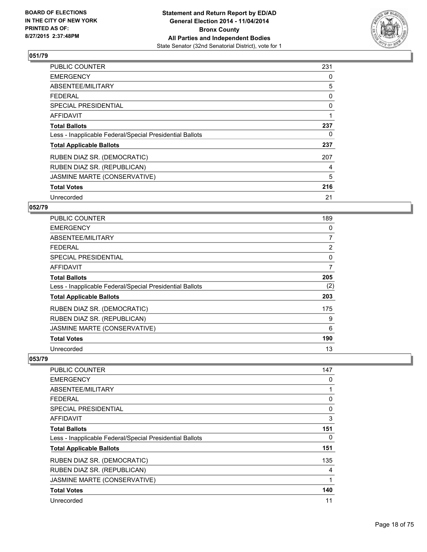

| <b>PUBLIC COUNTER</b>                                    | 231 |
|----------------------------------------------------------|-----|
| <b>EMERGENCY</b>                                         | 0   |
| ABSENTEE/MILITARY                                        | 5   |
| FEDERAL                                                  | 0   |
| SPECIAL PRESIDENTIAL                                     | 0   |
| <b>AFFIDAVIT</b>                                         | 1   |
| <b>Total Ballots</b>                                     | 237 |
| Less - Inapplicable Federal/Special Presidential Ballots | 0   |
| <b>Total Applicable Ballots</b>                          | 237 |
| RUBEN DIAZ SR. (DEMOCRATIC)                              | 207 |
| RUBEN DIAZ SR. (REPUBLICAN)                              | 4   |
| JASMINE MARTE (CONSERVATIVE)                             | 5   |
| <b>Total Votes</b>                                       | 216 |
| Unrecorded                                               | 21  |

## **052/79**

| PUBLIC COUNTER                                           | 189            |
|----------------------------------------------------------|----------------|
| <b>EMERGENCY</b>                                         | 0              |
| ABSENTEE/MILITARY                                        | 7              |
| <b>FEDERAL</b>                                           | $\overline{2}$ |
| <b>SPECIAL PRESIDENTIAL</b>                              | 0              |
| <b>AFFIDAVIT</b>                                         | 7              |
| <b>Total Ballots</b>                                     | 205            |
| Less - Inapplicable Federal/Special Presidential Ballots | (2)            |
| <b>Total Applicable Ballots</b>                          | 203            |
| RUBEN DIAZ SR. (DEMOCRATIC)                              | 175            |
| RUBEN DIAZ SR. (REPUBLICAN)                              | 9              |
| JASMINE MARTE (CONSERVATIVE)                             | 6              |
| <b>Total Votes</b>                                       | 190            |
| Unrecorded                                               | 13             |

| <b>PUBLIC COUNTER</b>                                    | 147          |
|----------------------------------------------------------|--------------|
| <b>EMERGENCY</b>                                         | 0            |
| ABSENTEE/MILITARY                                        | 1            |
| <b>FEDERAL</b>                                           | 0            |
| <b>SPECIAL PRESIDENTIAL</b>                              | 0            |
| AFFIDAVIT                                                | 3            |
| <b>Total Ballots</b>                                     | 151          |
| Less - Inapplicable Federal/Special Presidential Ballots | 0            |
| <b>Total Applicable Ballots</b>                          | 151          |
| RUBEN DIAZ SR. (DEMOCRATIC)                              | 135          |
| RUBEN DIAZ SR. (REPUBLICAN)                              | 4            |
| JASMINE MARTE (CONSERVATIVE)                             | $\mathbf{1}$ |
| <b>Total Votes</b>                                       | 140          |
| Unrecorded                                               | 11           |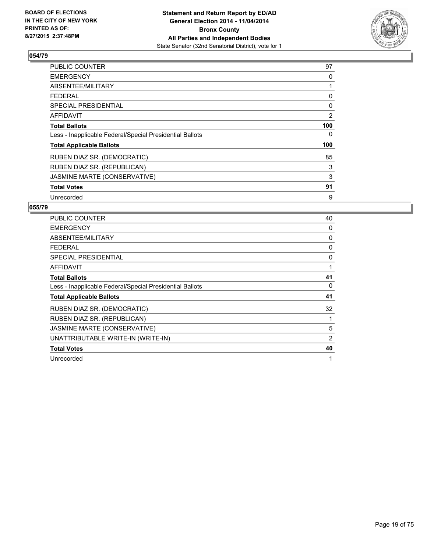

| <b>PUBLIC COUNTER</b>                                    | 97  |
|----------------------------------------------------------|-----|
| <b>EMERGENCY</b>                                         | 0   |
| ABSENTEE/MILITARY                                        | 1   |
| <b>FEDERAL</b>                                           | 0   |
| SPECIAL PRESIDENTIAL                                     | 0   |
| AFFIDAVIT                                                | 2   |
| <b>Total Ballots</b>                                     | 100 |
| Less - Inapplicable Federal/Special Presidential Ballots | 0   |
| <b>Total Applicable Ballots</b>                          | 100 |
| RUBEN DIAZ SR. (DEMOCRATIC)                              | 85  |
| RUBEN DIAZ SR. (REPUBLICAN)                              | 3   |
| JASMINE MARTE (CONSERVATIVE)                             | 3   |
| <b>Total Votes</b>                                       | 91  |
| Unrecorded                                               | 9   |

| <b>PUBLIC COUNTER</b>                                    | 40             |
|----------------------------------------------------------|----------------|
| <b>EMERGENCY</b>                                         | 0              |
| ABSENTEE/MILITARY                                        | 0              |
| <b>FEDERAL</b>                                           | 0              |
| SPECIAL PRESIDENTIAL                                     | 0              |
| <b>AFFIDAVIT</b>                                         | 1              |
| <b>Total Ballots</b>                                     | 41             |
| Less - Inapplicable Federal/Special Presidential Ballots | 0              |
| <b>Total Applicable Ballots</b>                          | 41             |
| RUBEN DIAZ SR. (DEMOCRATIC)                              | 32             |
| RUBEN DIAZ SR. (REPUBLICAN)                              | 1              |
| JASMINE MARTE (CONSERVATIVE)                             | 5              |
| UNATTRIBUTABLE WRITE-IN (WRITE-IN)                       | $\overline{2}$ |
| <b>Total Votes</b>                                       | 40             |
| Unrecorded                                               | 1              |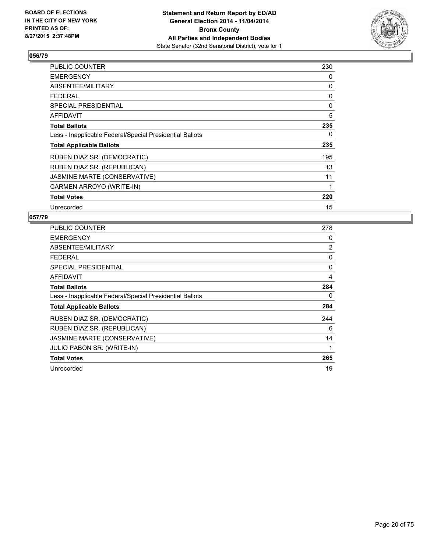

| PUBLIC COUNTER                                           | 230 |
|----------------------------------------------------------|-----|
| <b>EMERGENCY</b>                                         | 0   |
| ABSENTEE/MILITARY                                        | 0   |
| <b>FEDERAL</b>                                           | 0   |
| <b>SPECIAL PRESIDENTIAL</b>                              | 0   |
| <b>AFFIDAVIT</b>                                         | 5   |
| <b>Total Ballots</b>                                     | 235 |
| Less - Inapplicable Federal/Special Presidential Ballots | 0   |
| <b>Total Applicable Ballots</b>                          | 235 |
| RUBEN DIAZ SR. (DEMOCRATIC)                              | 195 |
| RUBEN DIAZ SR. (REPUBLICAN)                              | 13  |
| JASMINE MARTE (CONSERVATIVE)                             | 11  |
| CARMEN ARROYO (WRITE-IN)                                 | 1   |
| <b>Total Votes</b>                                       | 220 |
| Unrecorded                                               | 15  |

| PUBLIC COUNTER                                           | 278 |
|----------------------------------------------------------|-----|
| <b>EMERGENCY</b>                                         | 0   |
| ABSENTEE/MILITARY                                        | 2   |
| <b>FEDERAL</b>                                           | 0   |
| <b>SPECIAL PRESIDENTIAL</b>                              | 0   |
| AFFIDAVIT                                                | 4   |
| <b>Total Ballots</b>                                     | 284 |
| Less - Inapplicable Federal/Special Presidential Ballots | 0   |
| <b>Total Applicable Ballots</b>                          | 284 |
| RUBEN DIAZ SR. (DEMOCRATIC)                              | 244 |
| RUBEN DIAZ SR. (REPUBLICAN)                              | 6   |
| JASMINE MARTE (CONSERVATIVE)                             | 14  |
| JULIO PABON SR. (WRITE-IN)                               | 1   |
| <b>Total Votes</b>                                       | 265 |
| Unrecorded                                               | 19  |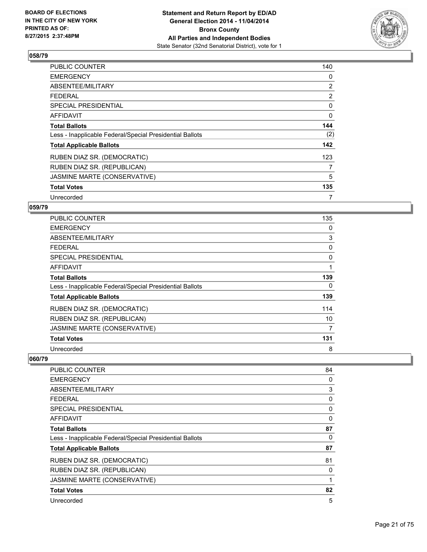

| <b>PUBLIC COUNTER</b>                                    | 140 |
|----------------------------------------------------------|-----|
| <b>EMERGENCY</b>                                         | 0   |
| ABSENTEE/MILITARY                                        | 2   |
| <b>FEDERAL</b>                                           | 2   |
| SPECIAL PRESIDENTIAL                                     | 0   |
| <b>AFFIDAVIT</b>                                         | 0   |
| <b>Total Ballots</b>                                     | 144 |
| Less - Inapplicable Federal/Special Presidential Ballots | (2) |
| <b>Total Applicable Ballots</b>                          | 142 |
| RUBEN DIAZ SR. (DEMOCRATIC)                              | 123 |
| RUBEN DIAZ SR. (REPUBLICAN)                              | 7   |
| JASMINE MARTE (CONSERVATIVE)                             | 5   |
| <b>Total Votes</b>                                       | 135 |
| Unrecorded                                               | 7   |

## **059/79**

| PUBLIC COUNTER                                           | 135 |
|----------------------------------------------------------|-----|
| <b>EMERGENCY</b>                                         | 0   |
| ABSENTEE/MILITARY                                        | 3   |
| <b>FEDERAL</b>                                           | 0   |
| <b>SPECIAL PRESIDENTIAL</b>                              | 0   |
| AFFIDAVIT                                                | 1   |
| <b>Total Ballots</b>                                     | 139 |
| Less - Inapplicable Federal/Special Presidential Ballots | 0   |
| <b>Total Applicable Ballots</b>                          | 139 |
| RUBEN DIAZ SR. (DEMOCRATIC)                              | 114 |
| RUBEN DIAZ SR. (REPUBLICAN)                              | 10  |
| JASMINE MARTE (CONSERVATIVE)                             | 7   |
| <b>Total Votes</b>                                       | 131 |
| Unrecorded                                               | 8   |

| <b>PUBLIC COUNTER</b>                                    | 84 |
|----------------------------------------------------------|----|
| <b>EMERGENCY</b>                                         | 0  |
| ABSENTEE/MILITARY                                        | 3  |
| <b>FEDERAL</b>                                           | 0  |
| <b>SPECIAL PRESIDENTIAL</b>                              | 0  |
| AFFIDAVIT                                                | 0  |
| <b>Total Ballots</b>                                     | 87 |
| Less - Inapplicable Federal/Special Presidential Ballots | 0  |
| <b>Total Applicable Ballots</b>                          | 87 |
| RUBEN DIAZ SR. (DEMOCRATIC)                              | 81 |
| RUBEN DIAZ SR. (REPUBLICAN)                              | 0  |
| JASMINE MARTE (CONSERVATIVE)                             | 1  |
| <b>Total Votes</b>                                       | 82 |
| Unrecorded                                               | 5  |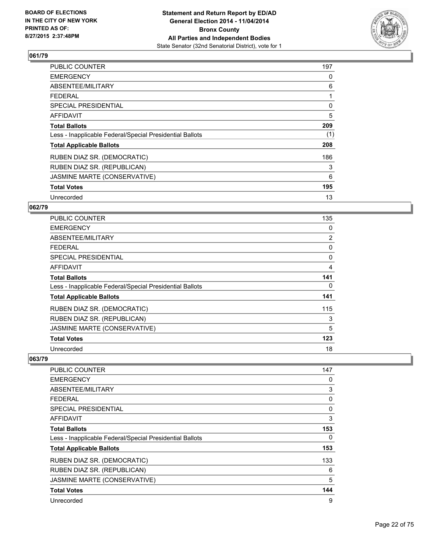

| <b>PUBLIC COUNTER</b>                                    | 197 |
|----------------------------------------------------------|-----|
| <b>EMERGENCY</b>                                         | 0   |
| ABSENTEE/MILITARY                                        | 6   |
| <b>FEDERAL</b>                                           | 1   |
| <b>SPECIAL PRESIDENTIAL</b>                              | 0   |
| AFFIDAVIT                                                | 5   |
| <b>Total Ballots</b>                                     | 209 |
| Less - Inapplicable Federal/Special Presidential Ballots | (1) |
| <b>Total Applicable Ballots</b>                          | 208 |
| RUBEN DIAZ SR. (DEMOCRATIC)                              | 186 |
| RUBEN DIAZ SR. (REPUBLICAN)                              | 3   |
| JASMINE MARTE (CONSERVATIVE)                             | 6   |
| <b>Total Votes</b>                                       | 195 |
| Unrecorded                                               | 13  |

## **062/79**

| PUBLIC COUNTER                                           | 135            |
|----------------------------------------------------------|----------------|
| <b>EMERGENCY</b>                                         | 0              |
| ABSENTEE/MILITARY                                        | $\overline{2}$ |
| <b>FEDERAL</b>                                           | 0              |
| <b>SPECIAL PRESIDENTIAL</b>                              | 0              |
| AFFIDAVIT                                                | 4              |
| <b>Total Ballots</b>                                     | 141            |
| Less - Inapplicable Federal/Special Presidential Ballots | 0              |
| <b>Total Applicable Ballots</b>                          | 141            |
| RUBEN DIAZ SR. (DEMOCRATIC)                              | 115            |
| RUBEN DIAZ SR. (REPUBLICAN)                              | 3              |
| JASMINE MARTE (CONSERVATIVE)                             | 5              |
| <b>Total Votes</b>                                       | 123            |
| Unrecorded                                               | 18             |

| <b>PUBLIC COUNTER</b>                                    | 147 |
|----------------------------------------------------------|-----|
| <b>EMERGENCY</b>                                         | 0   |
| ABSENTEE/MILITARY                                        | 3   |
| <b>FEDERAL</b>                                           | 0   |
| SPECIAL PRESIDENTIAL                                     | 0   |
| AFFIDAVIT                                                | 3   |
| <b>Total Ballots</b>                                     | 153 |
| Less - Inapplicable Federal/Special Presidential Ballots | 0   |
| <b>Total Applicable Ballots</b>                          | 153 |
| RUBEN DIAZ SR. (DEMOCRATIC)                              | 133 |
| RUBEN DIAZ SR. (REPUBLICAN)                              | 6   |
| JASMINE MARTE (CONSERVATIVE)                             | 5   |
| <b>Total Votes</b>                                       | 144 |
| Unrecorded                                               | 9   |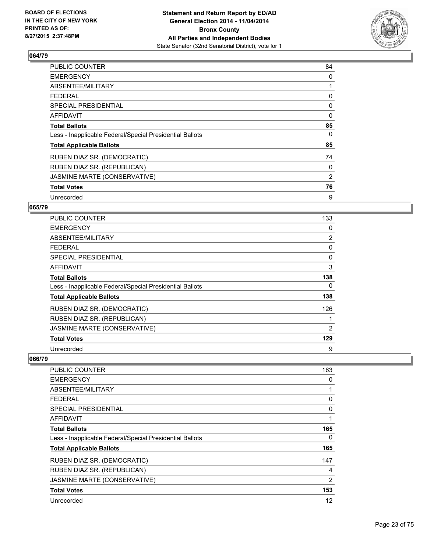

| <b>PUBLIC COUNTER</b>                                    | 84       |
|----------------------------------------------------------|----------|
| <b>EMERGENCY</b>                                         | 0        |
| ABSENTEE/MILITARY                                        | 1        |
| <b>FEDERAL</b>                                           | 0        |
| <b>SPECIAL PRESIDENTIAL</b>                              | 0        |
| AFFIDAVIT                                                | $\Omega$ |
| <b>Total Ballots</b>                                     | 85       |
| Less - Inapplicable Federal/Special Presidential Ballots | 0        |
| <b>Total Applicable Ballots</b>                          | 85       |
| RUBEN DIAZ SR. (DEMOCRATIC)                              | 74       |
| RUBEN DIAZ SR. (REPUBLICAN)                              | 0        |
| JASMINE MARTE (CONSERVATIVE)                             | 2        |
| <b>Total Votes</b>                                       | 76       |
| Unrecorded                                               | 9        |

#### **065/79**

| PUBLIC COUNTER                                           | 133            |
|----------------------------------------------------------|----------------|
| <b>EMERGENCY</b>                                         | 0              |
| ABSENTEE/MILITARY                                        | $\overline{2}$ |
| <b>FEDERAL</b>                                           | 0              |
| <b>SPECIAL PRESIDENTIAL</b>                              | 0              |
| <b>AFFIDAVIT</b>                                         | 3              |
| <b>Total Ballots</b>                                     | 138            |
| Less - Inapplicable Federal/Special Presidential Ballots | 0              |
| <b>Total Applicable Ballots</b>                          | 138            |
| RUBEN DIAZ SR. (DEMOCRATIC)                              | 126            |
| RUBEN DIAZ SR. (REPUBLICAN)                              |                |
| JASMINE MARTE (CONSERVATIVE)                             | 2              |
| <b>Total Votes</b>                                       | 129            |
| Unrecorded                                               | 9              |

| <b>PUBLIC COUNTER</b>                                    | 163 |
|----------------------------------------------------------|-----|
| <b>EMERGENCY</b>                                         | 0   |
| ABSENTEE/MILITARY                                        |     |
| <b>FEDERAL</b>                                           | 0   |
| SPECIAL PRESIDENTIAL                                     | 0   |
| AFFIDAVIT                                                |     |
| <b>Total Ballots</b>                                     | 165 |
| Less - Inapplicable Federal/Special Presidential Ballots | 0   |
| <b>Total Applicable Ballots</b>                          | 165 |
| RUBEN DIAZ SR. (DEMOCRATIC)                              | 147 |
| RUBEN DIAZ SR. (REPUBLICAN)                              | 4   |
| JASMINE MARTE (CONSERVATIVE)                             | 2   |
| <b>Total Votes</b>                                       | 153 |
| Unrecorded                                               | 12  |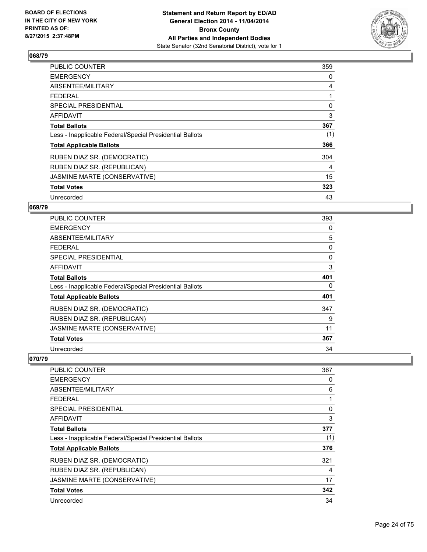

| <b>PUBLIC COUNTER</b>                                    | 359 |
|----------------------------------------------------------|-----|
| <b>EMERGENCY</b>                                         | 0   |
| ABSENTEE/MILITARY                                        | 4   |
| <b>FEDERAL</b>                                           | 1   |
| <b>SPECIAL PRESIDENTIAL</b>                              | 0   |
| <b>AFFIDAVIT</b>                                         | 3   |
| <b>Total Ballots</b>                                     | 367 |
| Less - Inapplicable Federal/Special Presidential Ballots | (1) |
| <b>Total Applicable Ballots</b>                          | 366 |
| RUBEN DIAZ SR. (DEMOCRATIC)                              | 304 |
| RUBEN DIAZ SR. (REPUBLICAN)                              | 4   |
| JASMINE MARTE (CONSERVATIVE)                             | 15  |
| <b>Total Votes</b>                                       | 323 |
| Unrecorded                                               | 43  |

## **069/79**

| <b>PUBLIC COUNTER</b>                                    | 393 |
|----------------------------------------------------------|-----|
| <b>EMERGENCY</b>                                         | 0   |
| ABSENTEE/MILITARY                                        | 5   |
| <b>FEDERAL</b>                                           | 0   |
| <b>SPECIAL PRESIDENTIAL</b>                              | 0   |
| <b>AFFIDAVIT</b>                                         | 3   |
| <b>Total Ballots</b>                                     | 401 |
| Less - Inapplicable Federal/Special Presidential Ballots | 0   |
| <b>Total Applicable Ballots</b>                          | 401 |
| RUBEN DIAZ SR. (DEMOCRATIC)                              | 347 |
| RUBEN DIAZ SR. (REPUBLICAN)                              | 9   |
| JASMINE MARTE (CONSERVATIVE)                             | 11  |
| <b>Total Votes</b>                                       | 367 |
| Unrecorded                                               | 34  |

| <b>PUBLIC COUNTER</b>                                    | 367 |
|----------------------------------------------------------|-----|
| <b>EMERGENCY</b>                                         | 0   |
| ABSENTEE/MILITARY                                        | 6   |
| <b>FEDERAL</b>                                           |     |
| SPECIAL PRESIDENTIAL                                     | 0   |
| AFFIDAVIT                                                | 3   |
| <b>Total Ballots</b>                                     | 377 |
| Less - Inapplicable Federal/Special Presidential Ballots | (1) |
| <b>Total Applicable Ballots</b>                          | 376 |
| RUBEN DIAZ SR. (DEMOCRATIC)                              | 321 |
| RUBEN DIAZ SR. (REPUBLICAN)                              | 4   |
| JASMINE MARTE (CONSERVATIVE)                             | 17  |
| <b>Total Votes</b>                                       | 342 |
| Unrecorded                                               | 34  |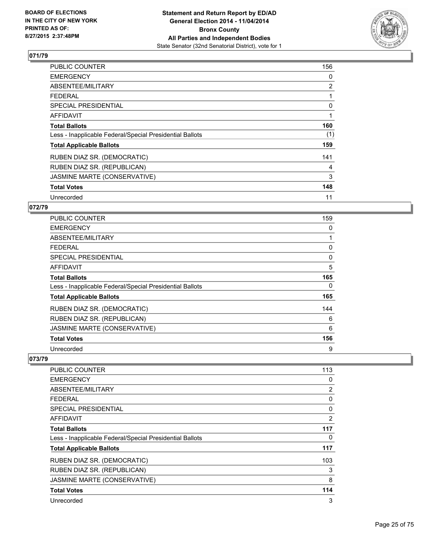

| <b>PUBLIC COUNTER</b>                                    | 156 |
|----------------------------------------------------------|-----|
| <b>EMERGENCY</b>                                         | 0   |
| ABSENTEE/MILITARY                                        | 2   |
| <b>FEDERAL</b>                                           | 1   |
| <b>SPECIAL PRESIDENTIAL</b>                              | 0   |
| AFFIDAVIT                                                | 1   |
| <b>Total Ballots</b>                                     | 160 |
| Less - Inapplicable Federal/Special Presidential Ballots | (1) |
| <b>Total Applicable Ballots</b>                          | 159 |
| RUBEN DIAZ SR. (DEMOCRATIC)                              | 141 |
| RUBEN DIAZ SR. (REPUBLICAN)                              | 4   |
| JASMINE MARTE (CONSERVATIVE)                             | 3   |
| <b>Total Votes</b>                                       | 148 |
| Unrecorded                                               | 11  |

## **072/79**

| PUBLIC COUNTER                                           | 159         |
|----------------------------------------------------------|-------------|
| <b>EMERGENCY</b>                                         | 0           |
| ABSENTEE/MILITARY                                        | 1           |
| <b>FEDERAL</b>                                           | 0           |
| <b>SPECIAL PRESIDENTIAL</b>                              | $\mathbf 0$ |
| <b>AFFIDAVIT</b>                                         | 5           |
| <b>Total Ballots</b>                                     | 165         |
| Less - Inapplicable Federal/Special Presidential Ballots | 0           |
| <b>Total Applicable Ballots</b>                          | 165         |
| RUBEN DIAZ SR. (DEMOCRATIC)                              | 144         |
| RUBEN DIAZ SR. (REPUBLICAN)                              | 6           |
| JASMINE MARTE (CONSERVATIVE)                             | 6           |
| <b>Total Votes</b>                                       | 156         |
| Unrecorded                                               | 9           |

| <b>PUBLIC COUNTER</b>                                    | 113            |
|----------------------------------------------------------|----------------|
| <b>EMERGENCY</b>                                         | 0              |
| ABSENTEE/MILITARY                                        | 2              |
| <b>FEDERAL</b>                                           | 0              |
| SPECIAL PRESIDENTIAL                                     | 0              |
| AFFIDAVIT                                                | $\overline{2}$ |
| <b>Total Ballots</b>                                     | 117            |
| Less - Inapplicable Federal/Special Presidential Ballots | 0              |
| <b>Total Applicable Ballots</b>                          | 117            |
| RUBEN DIAZ SR. (DEMOCRATIC)                              | 103            |
| RUBEN DIAZ SR. (REPUBLICAN)                              | 3              |
| JASMINE MARTE (CONSERVATIVE)                             | 8              |
| <b>Total Votes</b>                                       | 114            |
| Unrecorded                                               | 3              |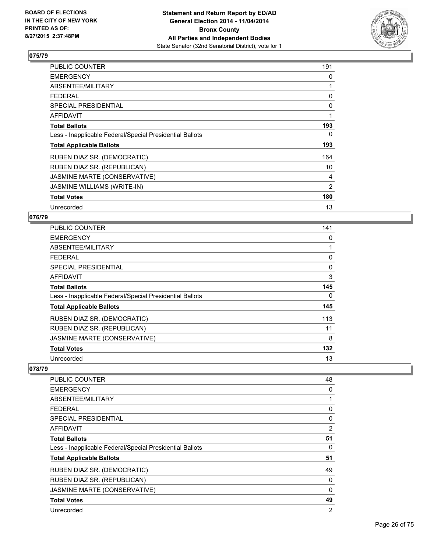

| PUBLIC COUNTER                                           | 191 |
|----------------------------------------------------------|-----|
| <b>EMERGENCY</b>                                         | 0   |
| ABSENTEE/MILITARY                                        | 1   |
| <b>FEDERAL</b>                                           | 0   |
| <b>SPECIAL PRESIDENTIAL</b>                              | 0   |
| AFFIDAVIT                                                | 1   |
| <b>Total Ballots</b>                                     | 193 |
| Less - Inapplicable Federal/Special Presidential Ballots | 0   |
| <b>Total Applicable Ballots</b>                          | 193 |
| RUBEN DIAZ SR. (DEMOCRATIC)                              | 164 |
| RUBEN DIAZ SR. (REPUBLICAN)                              | 10  |
| JASMINE MARTE (CONSERVATIVE)                             | 4   |
| <b>JASMINE WILLIAMS (WRITE-IN)</b>                       | 2   |
| <b>Total Votes</b>                                       | 180 |
| Unrecorded                                               | 13  |

## **076/79**

| <b>PUBLIC COUNTER</b>                                    | 141 |
|----------------------------------------------------------|-----|
| <b>EMERGENCY</b>                                         | 0   |
| ABSENTEE/MILITARY                                        |     |
| <b>FEDERAL</b>                                           | 0   |
| SPECIAL PRESIDENTIAL                                     | 0   |
| AFFIDAVIT                                                | 3   |
| <b>Total Ballots</b>                                     | 145 |
| Less - Inapplicable Federal/Special Presidential Ballots | 0   |
| <b>Total Applicable Ballots</b>                          | 145 |
| RUBEN DIAZ SR. (DEMOCRATIC)                              | 113 |
| RUBEN DIAZ SR. (REPUBLICAN)                              | 11  |
| JASMINE MARTE (CONSERVATIVE)                             | 8   |
| <b>Total Votes</b>                                       | 132 |
| Unrecorded                                               | 13  |

| PUBLIC COUNTER                                           | 48 |
|----------------------------------------------------------|----|
| <b>EMERGENCY</b>                                         | 0  |
| ABSENTEE/MILITARY                                        | 1  |
| <b>FEDERAL</b>                                           | 0  |
| SPECIAL PRESIDENTIAL                                     | 0  |
| AFFIDAVIT                                                | 2  |
| <b>Total Ballots</b>                                     | 51 |
| Less - Inapplicable Federal/Special Presidential Ballots | 0  |
| <b>Total Applicable Ballots</b>                          | 51 |
| RUBEN DIAZ SR. (DEMOCRATIC)                              | 49 |
| RUBEN DIAZ SR. (REPUBLICAN)                              | 0  |
| JASMINE MARTE (CONSERVATIVE)                             | 0  |
| <b>Total Votes</b>                                       | 49 |
| Unrecorded                                               | 2  |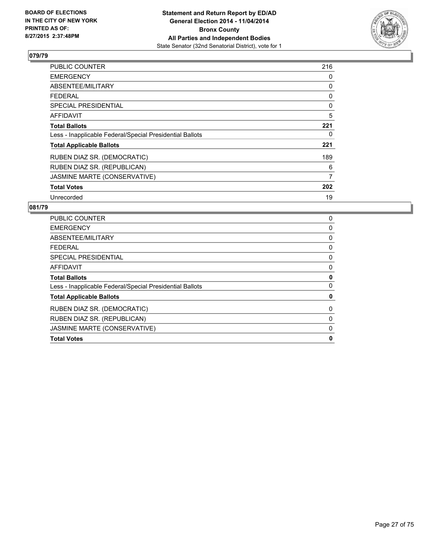

| <b>PUBLIC COUNTER</b>                                    | 216 |
|----------------------------------------------------------|-----|
| <b>EMERGENCY</b>                                         | 0   |
| ABSENTEE/MILITARY                                        | 0   |
| <b>FEDERAL</b>                                           | 0   |
| SPECIAL PRESIDENTIAL                                     | 0   |
| AFFIDAVIT                                                | 5   |
| <b>Total Ballots</b>                                     | 221 |
| Less - Inapplicable Federal/Special Presidential Ballots | 0   |
| <b>Total Applicable Ballots</b>                          | 221 |
| RUBEN DIAZ SR. (DEMOCRATIC)                              | 189 |
| RUBEN DIAZ SR. (REPUBLICAN)                              | 6   |
| JASMINE MARTE (CONSERVATIVE)                             | 7   |
| <b>Total Votes</b>                                       | 202 |
| Unrecorded                                               | 19  |

| <b>Total Votes</b>                                       | 0        |
|----------------------------------------------------------|----------|
| JASMINE MARTE (CONSERVATIVE)                             | $\Omega$ |
| RUBEN DIAZ SR. (REPUBLICAN)                              | 0        |
| RUBEN DIAZ SR. (DEMOCRATIC)                              | 0        |
| <b>Total Applicable Ballots</b>                          | 0        |
| Less - Inapplicable Federal/Special Presidential Ballots | 0        |
| <b>Total Ballots</b>                                     | 0        |
| AFFIDAVIT                                                | 0        |
| SPECIAL PRESIDENTIAL                                     | 0        |
| <b>FEDERAL</b>                                           | 0        |
| ABSENTEE/MILITARY                                        | 0        |
| <b>EMERGENCY</b>                                         | 0        |
| <b>PUBLIC COUNTER</b>                                    | 0        |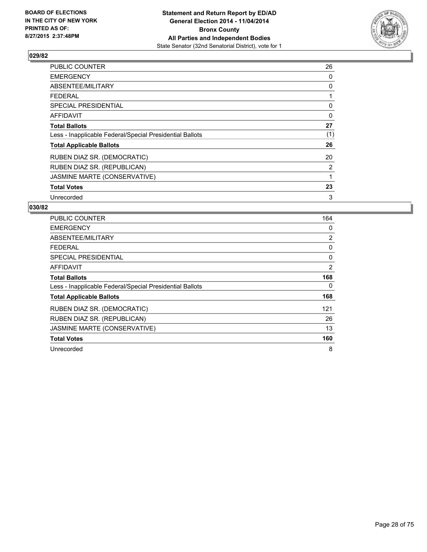

| <b>PUBLIC COUNTER</b>                                    | 26  |
|----------------------------------------------------------|-----|
| <b>EMERGENCY</b>                                         | 0   |
| ABSENTEE/MILITARY                                        | 0   |
| <b>FEDERAL</b>                                           | 1   |
| SPECIAL PRESIDENTIAL                                     | 0   |
| <b>AFFIDAVIT</b>                                         | 0   |
| <b>Total Ballots</b>                                     | 27  |
| Less - Inapplicable Federal/Special Presidential Ballots | (1) |
| <b>Total Applicable Ballots</b>                          | 26  |
| RUBEN DIAZ SR. (DEMOCRATIC)                              | 20  |
| RUBEN DIAZ SR. (REPUBLICAN)                              | 2   |
| JASMINE MARTE (CONSERVATIVE)                             | 1   |
| <b>Total Votes</b>                                       | 23  |
| Unrecorded                                               | 3   |

| <b>PUBLIC COUNTER</b>                                    | 164            |
|----------------------------------------------------------|----------------|
| <b>EMERGENCY</b>                                         | 0              |
| ABSENTEE/MILITARY                                        | 2              |
| <b>FEDERAL</b>                                           | 0              |
| <b>SPECIAL PRESIDENTIAL</b>                              | 0              |
| AFFIDAVIT                                                | $\overline{2}$ |
| <b>Total Ballots</b>                                     | 168            |
| Less - Inapplicable Federal/Special Presidential Ballots | 0              |
| <b>Total Applicable Ballots</b>                          | 168            |
| RUBEN DIAZ SR. (DEMOCRATIC)                              | 121            |
| RUBEN DIAZ SR. (REPUBLICAN)                              | 26             |
| JASMINE MARTE (CONSERVATIVE)                             | 13             |
| <b>Total Votes</b>                                       | 160            |
| Unrecorded                                               | 8              |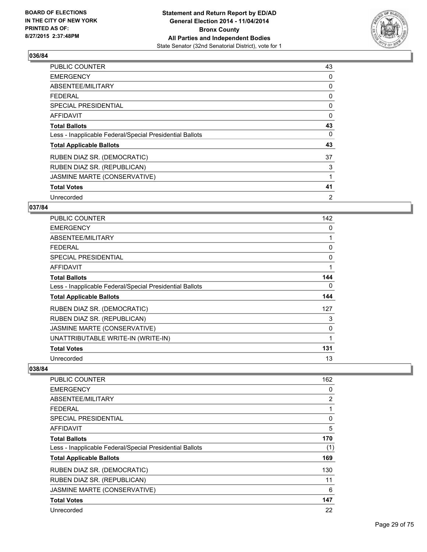

| PUBLIC COUNTER                                           | 43 |
|----------------------------------------------------------|----|
| <b>EMERGENCY</b>                                         | 0  |
| ABSENTEE/MILITARY                                        | 0  |
| <b>FEDERAL</b>                                           | 0  |
| <b>SPECIAL PRESIDENTIAL</b>                              | 0  |
| <b>AFFIDAVIT</b>                                         | 0  |
| <b>Total Ballots</b>                                     | 43 |
| Less - Inapplicable Federal/Special Presidential Ballots | 0  |
| <b>Total Applicable Ballots</b>                          | 43 |
| RUBEN DIAZ SR. (DEMOCRATIC)                              | 37 |
| RUBEN DIAZ SR. (REPUBLICAN)                              | 3  |
| JASMINE MARTE (CONSERVATIVE)                             | 1  |
| <b>Total Votes</b>                                       | 41 |
| Unrecorded                                               | 2  |

### **037/84**

| PUBLIC COUNTER                                           | 142 |
|----------------------------------------------------------|-----|
| <b>EMERGENCY</b>                                         | 0   |
| ABSENTEE/MILITARY                                        |     |
| <b>FEDERAL</b>                                           | 0   |
| <b>SPECIAL PRESIDENTIAL</b>                              | 0   |
| AFFIDAVIT                                                | 1   |
| <b>Total Ballots</b>                                     | 144 |
| Less - Inapplicable Federal/Special Presidential Ballots | 0   |
| <b>Total Applicable Ballots</b>                          | 144 |
| RUBEN DIAZ SR. (DEMOCRATIC)                              | 127 |
| RUBEN DIAZ SR. (REPUBLICAN)                              | 3   |
| JASMINE MARTE (CONSERVATIVE)                             | 0   |
| UNATTRIBUTABLE WRITE-IN (WRITE-IN)                       | 1   |
| <b>Total Votes</b>                                       | 131 |
| Unrecorded                                               | 13  |

| <b>PUBLIC COUNTER</b>                                    | 162            |
|----------------------------------------------------------|----------------|
| <b>EMERGENCY</b>                                         | 0              |
| ABSENTEE/MILITARY                                        | $\overline{2}$ |
| <b>FEDERAL</b>                                           | 1              |
| SPECIAL PRESIDENTIAL                                     | 0              |
| AFFIDAVIT                                                | 5              |
| <b>Total Ballots</b>                                     | 170            |
| Less - Inapplicable Federal/Special Presidential Ballots | (1)            |
| <b>Total Applicable Ballots</b>                          | 169            |
| RUBEN DIAZ SR. (DEMOCRATIC)                              | 130            |
| RUBEN DIAZ SR. (REPUBLICAN)                              | 11             |
| JASMINE MARTE (CONSERVATIVE)                             | 6              |
| <b>Total Votes</b>                                       | 147            |
| Unrecorded                                               | 22             |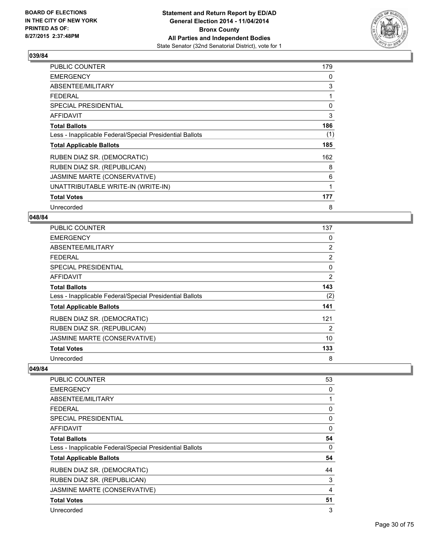

| <b>PUBLIC COUNTER</b>                                    | 179 |
|----------------------------------------------------------|-----|
| <b>EMERGENCY</b>                                         | 0   |
| ABSENTEE/MILITARY                                        | 3   |
| <b>FEDERAL</b>                                           | 1   |
| <b>SPECIAL PRESIDENTIAL</b>                              | 0   |
| <b>AFFIDAVIT</b>                                         | 3   |
| <b>Total Ballots</b>                                     | 186 |
| Less - Inapplicable Federal/Special Presidential Ballots | (1) |
| <b>Total Applicable Ballots</b>                          | 185 |
| RUBEN DIAZ SR. (DEMOCRATIC)                              | 162 |
| RUBEN DIAZ SR. (REPUBLICAN)                              | 8   |
| JASMINE MARTE (CONSERVATIVE)                             | 6   |
| UNATTRIBUTABLE WRITE-IN (WRITE-IN)                       | 1   |
| <b>Total Votes</b>                                       | 177 |
| Unrecorded                                               | 8   |

#### **048/84**

| <b>PUBLIC COUNTER</b>                                    | 137            |
|----------------------------------------------------------|----------------|
| <b>EMERGENCY</b>                                         | 0              |
| ABSENTEE/MILITARY                                        | 2              |
| <b>FEDERAL</b>                                           | 2              |
| SPECIAL PRESIDENTIAL                                     | 0              |
| AFFIDAVIT                                                | $\overline{2}$ |
| <b>Total Ballots</b>                                     | 143            |
| Less - Inapplicable Federal/Special Presidential Ballots | (2)            |
| <b>Total Applicable Ballots</b>                          | 141            |
| RUBEN DIAZ SR. (DEMOCRATIC)                              | 121            |
| RUBEN DIAZ SR. (REPUBLICAN)                              | 2              |
| JASMINE MARTE (CONSERVATIVE)                             | 10             |
| <b>Total Votes</b>                                       | 133            |
| Unrecorded                                               | 8              |

| <b>PUBLIC COUNTER</b>                                    | 53           |
|----------------------------------------------------------|--------------|
| <b>EMERGENCY</b>                                         | 0            |
| ABSENTEE/MILITARY                                        | 1            |
| FEDERAL                                                  | 0            |
| SPECIAL PRESIDENTIAL                                     | 0            |
| <b>AFFIDAVIT</b>                                         | $\mathbf{0}$ |
| <b>Total Ballots</b>                                     | 54           |
| Less - Inapplicable Federal/Special Presidential Ballots | 0            |
| <b>Total Applicable Ballots</b>                          | 54           |
| RUBEN DIAZ SR. (DEMOCRATIC)                              | 44           |
| RUBEN DIAZ SR. (REPUBLICAN)                              | 3            |
| JASMINE MARTE (CONSERVATIVE)                             | 4            |
| <b>Total Votes</b>                                       | 51           |
| Unrecorded                                               | 3            |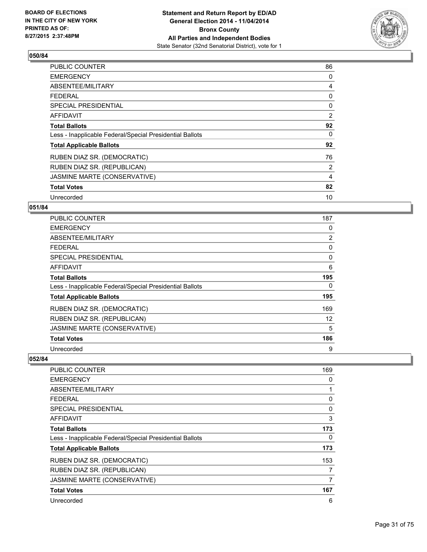

| PUBLIC COUNTER                                           | 86 |
|----------------------------------------------------------|----|
| <b>EMERGENCY</b>                                         | 0  |
| ABSENTEE/MILITARY                                        | 4  |
| FEDERAL                                                  | 0  |
| <b>SPECIAL PRESIDENTIAL</b>                              | 0  |
| <b>AFFIDAVIT</b>                                         | 2  |
| <b>Total Ballots</b>                                     | 92 |
| Less - Inapplicable Federal/Special Presidential Ballots | 0  |
| <b>Total Applicable Ballots</b>                          | 92 |
| RUBEN DIAZ SR. (DEMOCRATIC)                              | 76 |
| RUBEN DIAZ SR. (REPUBLICAN)                              | 2  |
| JASMINE MARTE (CONSERVATIVE)                             | 4  |
| <b>Total Votes</b>                                       | 82 |
| Unrecorded                                               | 10 |

### **051/84**

| <b>PUBLIC COUNTER</b>                                    | 187            |
|----------------------------------------------------------|----------------|
| <b>EMERGENCY</b>                                         | 0              |
| ABSENTEE/MILITARY                                        | $\overline{2}$ |
| <b>FEDERAL</b>                                           | 0              |
| <b>SPECIAL PRESIDENTIAL</b>                              | 0              |
| AFFIDAVIT                                                | 6              |
| <b>Total Ballots</b>                                     | 195            |
| Less - Inapplicable Federal/Special Presidential Ballots | 0              |
| <b>Total Applicable Ballots</b>                          | 195            |
| RUBEN DIAZ SR. (DEMOCRATIC)                              | 169            |
| RUBEN DIAZ SR. (REPUBLICAN)                              | 12             |
| JASMINE MARTE (CONSERVATIVE)                             | 5              |
| <b>Total Votes</b>                                       | 186            |
| Unrecorded                                               | 9              |

| <b>PUBLIC COUNTER</b>                                    | 169 |
|----------------------------------------------------------|-----|
| <b>EMERGENCY</b>                                         | 0   |
| ABSENTEE/MILITARY                                        |     |
| <b>FEDERAL</b>                                           | 0   |
| SPECIAL PRESIDENTIAL                                     | 0   |
| AFFIDAVIT                                                | 3   |
| <b>Total Ballots</b>                                     | 173 |
| Less - Inapplicable Federal/Special Presidential Ballots | 0   |
| <b>Total Applicable Ballots</b>                          | 173 |
| RUBEN DIAZ SR. (DEMOCRATIC)                              | 153 |
| RUBEN DIAZ SR. (REPUBLICAN)                              | 7   |
| JASMINE MARTE (CONSERVATIVE)                             | 7   |
| <b>Total Votes</b>                                       | 167 |
| Unrecorded                                               | 6   |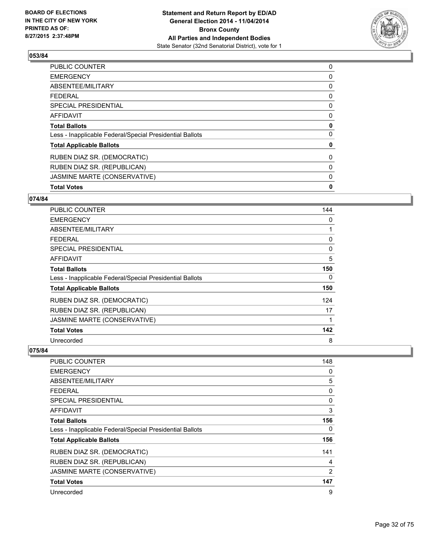

| <b>Total Votes</b>                                       | 0 |
|----------------------------------------------------------|---|
| JASMINE MARTE (CONSERVATIVE)                             | 0 |
| RUBEN DIAZ SR. (REPUBLICAN)                              | 0 |
| RUBEN DIAZ SR. (DEMOCRATIC)                              | 0 |
| <b>Total Applicable Ballots</b>                          | 0 |
| Less - Inapplicable Federal/Special Presidential Ballots | 0 |
| <b>Total Ballots</b>                                     | 0 |
| <b>AFFIDAVIT</b>                                         | 0 |
| SPECIAL PRESIDENTIAL                                     | 0 |
| <b>FEDERAL</b>                                           | 0 |
| ABSENTEE/MILITARY                                        | 0 |
| <b>EMERGENCY</b>                                         | 0 |
| <b>PUBLIC COUNTER</b>                                    | 0 |

## **074/84**

| <b>PUBLIC COUNTER</b>                                    | 144 |
|----------------------------------------------------------|-----|
| <b>EMERGENCY</b>                                         | 0   |
| ABSENTEE/MILITARY                                        | 1   |
| <b>FEDERAL</b>                                           | 0   |
| SPECIAL PRESIDENTIAL                                     | 0   |
| AFFIDAVIT                                                | 5   |
| <b>Total Ballots</b>                                     | 150 |
| Less - Inapplicable Federal/Special Presidential Ballots | 0   |
| <b>Total Applicable Ballots</b>                          | 150 |
| RUBEN DIAZ SR. (DEMOCRATIC)                              | 124 |
| RUBEN DIAZ SR. (REPUBLICAN)                              | 17  |
| JASMINE MARTE (CONSERVATIVE)                             | 1   |
| <b>Total Votes</b>                                       | 142 |
| Unrecorded                                               | 8   |

| <b>PUBLIC COUNTER</b>                                    | 148 |
|----------------------------------------------------------|-----|
| <b>EMERGENCY</b>                                         | 0   |
| ABSENTEE/MILITARY                                        | 5   |
| <b>FEDERAL</b>                                           | 0   |
| <b>SPECIAL PRESIDENTIAL</b>                              | 0   |
| <b>AFFIDAVIT</b>                                         | 3   |
| <b>Total Ballots</b>                                     | 156 |
| Less - Inapplicable Federal/Special Presidential Ballots | 0   |
| <b>Total Applicable Ballots</b>                          | 156 |
| RUBEN DIAZ SR. (DEMOCRATIC)                              | 141 |
| RUBEN DIAZ SR. (REPUBLICAN)                              | 4   |
| JASMINE MARTE (CONSERVATIVE)                             | 2   |
| <b>Total Votes</b>                                       | 147 |
| Unrecorded                                               | 9   |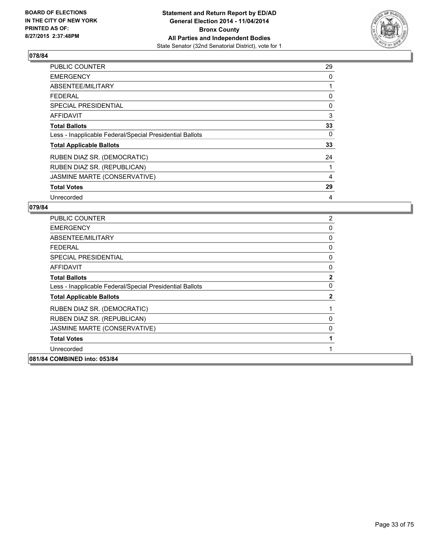

| <b>PUBLIC COUNTER</b>                                    | 29 |
|----------------------------------------------------------|----|
| <b>EMERGENCY</b>                                         | 0  |
| ABSENTEE/MILITARY                                        | 1  |
| <b>FEDERAL</b>                                           | 0  |
| SPECIAL PRESIDENTIAL                                     | 0  |
| <b>AFFIDAVIT</b>                                         | 3  |
| <b>Total Ballots</b>                                     | 33 |
| Less - Inapplicable Federal/Special Presidential Ballots | 0  |
| <b>Total Applicable Ballots</b>                          | 33 |
| RUBEN DIAZ SR. (DEMOCRATIC)                              | 24 |
| RUBEN DIAZ SR. (REPUBLICAN)                              | 1  |
| JASMINE MARTE (CONSERVATIVE)                             | 4  |
| <b>Total Votes</b>                                       | 29 |
| Unrecorded                                               | 4  |

| <b>PUBLIC COUNTER</b>                                    | 2            |
|----------------------------------------------------------|--------------|
| <b>EMERGENCY</b>                                         | 0            |
| ABSENTEE/MILITARY                                        | 0            |
| FEDERAL                                                  | 0            |
| SPECIAL PRESIDENTIAL                                     | 0            |
| <b>AFFIDAVIT</b>                                         | 0            |
| <b>Total Ballots</b>                                     | $\mathbf{2}$ |
| Less - Inapplicable Federal/Special Presidential Ballots | 0            |
| <b>Total Applicable Ballots</b>                          | $\mathbf{2}$ |
| RUBEN DIAZ SR. (DEMOCRATIC)                              | 1            |
| RUBEN DIAZ SR. (REPUBLICAN)                              | 0            |
| JASMINE MARTE (CONSERVATIVE)                             | 0            |
| <b>Total Votes</b>                                       | 1            |
| Unrecorded                                               | 1            |
| 081/84 COMBINED into: 053/84                             |              |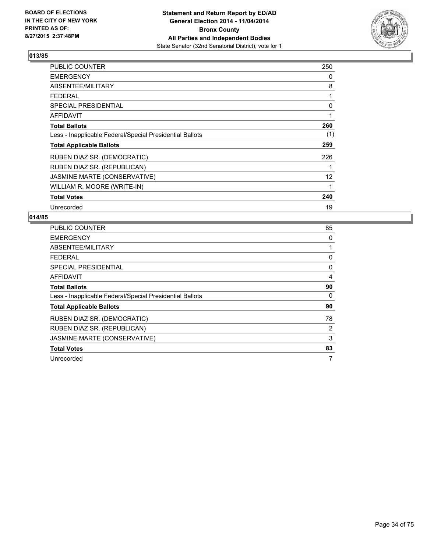

| PUBLIC COUNTER                                           | 250 |
|----------------------------------------------------------|-----|
| <b>EMERGENCY</b>                                         | 0   |
| ABSENTEE/MILITARY                                        | 8   |
| <b>FEDERAL</b>                                           | 1   |
| <b>SPECIAL PRESIDENTIAL</b>                              | 0   |
| <b>AFFIDAVIT</b>                                         | 1   |
| <b>Total Ballots</b>                                     | 260 |
| Less - Inapplicable Federal/Special Presidential Ballots | (1) |
| <b>Total Applicable Ballots</b>                          | 259 |
| RUBEN DIAZ SR. (DEMOCRATIC)                              | 226 |
| RUBEN DIAZ SR. (REPUBLICAN)                              |     |
| JASMINE MARTE (CONSERVATIVE)                             | 12  |
| WILLIAM R. MOORE (WRITE-IN)                              | 1   |
| <b>Total Votes</b>                                       | 240 |
| Unrecorded                                               | 19  |

| <b>PUBLIC COUNTER</b>                                    | 85 |
|----------------------------------------------------------|----|
| <b>EMERGENCY</b>                                         | 0  |
| ABSENTEE/MILITARY                                        |    |
| FEDERAL                                                  | 0  |
| <b>SPECIAL PRESIDENTIAL</b>                              | 0  |
| <b>AFFIDAVIT</b>                                         | 4  |
| <b>Total Ballots</b>                                     | 90 |
| Less - Inapplicable Federal/Special Presidential Ballots | 0  |
| <b>Total Applicable Ballots</b>                          | 90 |
| RUBEN DIAZ SR. (DEMOCRATIC)                              | 78 |
| RUBEN DIAZ SR. (REPUBLICAN)                              | 2  |
| JASMINE MARTE (CONSERVATIVE)                             | 3  |
| <b>Total Votes</b>                                       | 83 |
| Unrecorded                                               | 7  |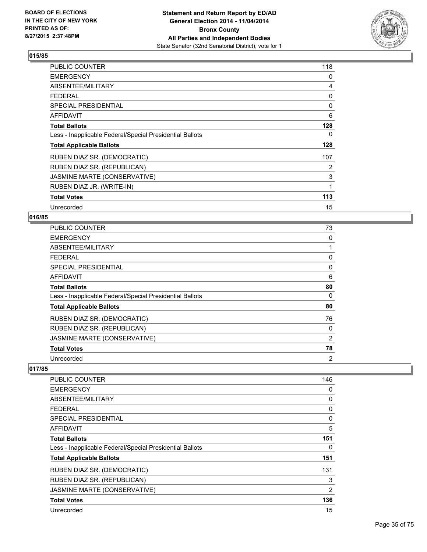

| PUBLIC COUNTER                                           | 118 |
|----------------------------------------------------------|-----|
| <b>EMERGENCY</b>                                         | 0   |
| ABSENTEE/MILITARY                                        | 4   |
| <b>FEDERAL</b>                                           | 0   |
| <b>SPECIAL PRESIDENTIAL</b>                              | 0   |
| <b>AFFIDAVIT</b>                                         | 6   |
| <b>Total Ballots</b>                                     | 128 |
| Less - Inapplicable Federal/Special Presidential Ballots | 0   |
| <b>Total Applicable Ballots</b>                          | 128 |
| RUBEN DIAZ SR. (DEMOCRATIC)                              | 107 |
| RUBEN DIAZ SR. (REPUBLICAN)                              | 2   |
| JASMINE MARTE (CONSERVATIVE)                             | 3   |
| RUBEN DIAZ JR. (WRITE-IN)                                | 1   |
| <b>Total Votes</b>                                       | 113 |
| Unrecorded                                               | 15  |

#### **016/85**

| <b>PUBLIC COUNTER</b>                                    | 73 |
|----------------------------------------------------------|----|
| <b>EMERGENCY</b>                                         | 0  |
| ABSENTEE/MILITARY                                        |    |
| <b>FEDERAL</b>                                           | 0  |
| <b>SPECIAL PRESIDENTIAL</b>                              | 0  |
| AFFIDAVIT                                                | 6  |
| <b>Total Ballots</b>                                     | 80 |
| Less - Inapplicable Federal/Special Presidential Ballots | 0  |
| <b>Total Applicable Ballots</b>                          | 80 |
| RUBEN DIAZ SR. (DEMOCRATIC)                              | 76 |
| RUBEN DIAZ SR. (REPUBLICAN)                              | 0  |
| JASMINE MARTE (CONSERVATIVE)                             | 2  |
| <b>Total Votes</b>                                       | 78 |
| Unrecorded                                               | 2  |

| <b>PUBLIC COUNTER</b>                                    | 146            |
|----------------------------------------------------------|----------------|
| <b>EMERGENCY</b>                                         | 0              |
| ABSENTEE/MILITARY                                        | 0              |
| FEDERAL                                                  | 0              |
| <b>SPECIAL PRESIDENTIAL</b>                              | 0              |
| <b>AFFIDAVIT</b>                                         | 5              |
| <b>Total Ballots</b>                                     | 151            |
| Less - Inapplicable Federal/Special Presidential Ballots | 0              |
| <b>Total Applicable Ballots</b>                          | 151            |
| RUBEN DIAZ SR. (DEMOCRATIC)                              | 131            |
| RUBEN DIAZ SR. (REPUBLICAN)                              | 3              |
| JASMINE MARTE (CONSERVATIVE)                             | $\overline{2}$ |
| <b>Total Votes</b>                                       | 136            |
| Unrecorded                                               | 15             |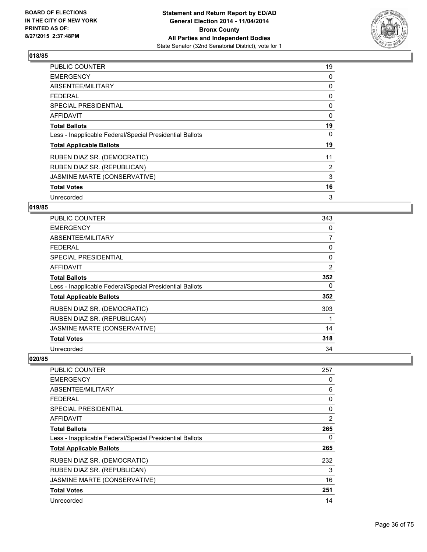

| <b>PUBLIC COUNTER</b>                                    | 19 |
|----------------------------------------------------------|----|
| <b>EMERGENCY</b>                                         | 0  |
| ABSENTEE/MILITARY                                        | 0  |
| <b>FEDERAL</b>                                           | 0  |
| <b>SPECIAL PRESIDENTIAL</b>                              | 0  |
| <b>AFFIDAVIT</b>                                         | 0  |
| <b>Total Ballots</b>                                     | 19 |
| Less - Inapplicable Federal/Special Presidential Ballots | 0  |
| <b>Total Applicable Ballots</b>                          | 19 |
| RUBEN DIAZ SR. (DEMOCRATIC)                              | 11 |
| RUBEN DIAZ SR. (REPUBLICAN)                              | 2  |
| JASMINE MARTE (CONSERVATIVE)                             | 3  |
| <b>Total Votes</b>                                       | 16 |
| Unrecorded                                               | 3  |

### **019/85**

| <b>PUBLIC COUNTER</b>                                    | 343            |
|----------------------------------------------------------|----------------|
| <b>EMERGENCY</b>                                         | 0              |
| ABSENTEE/MILITARY                                        | $\overline{7}$ |
| <b>FEDERAL</b>                                           | 0              |
| <b>SPECIAL PRESIDENTIAL</b>                              | 0              |
| <b>AFFIDAVIT</b>                                         | $\overline{2}$ |
| <b>Total Ballots</b>                                     | 352            |
| Less - Inapplicable Federal/Special Presidential Ballots | 0              |
| <b>Total Applicable Ballots</b>                          | 352            |
| RUBEN DIAZ SR. (DEMOCRATIC)                              | 303            |
| RUBEN DIAZ SR. (REPUBLICAN)                              |                |
| JASMINE MARTE (CONSERVATIVE)                             | 14             |
| <b>Total Votes</b>                                       | 318            |
| Unrecorded                                               | 34             |

| <b>PUBLIC COUNTER</b>                                    | 257 |
|----------------------------------------------------------|-----|
| <b>EMERGENCY</b>                                         | 0   |
| ABSENTEE/MILITARY                                        | 6   |
| <b>FEDERAL</b>                                           | 0   |
| SPECIAL PRESIDENTIAL                                     | 0   |
| AFFIDAVIT                                                | 2   |
| <b>Total Ballots</b>                                     | 265 |
| Less - Inapplicable Federal/Special Presidential Ballots | 0   |
| <b>Total Applicable Ballots</b>                          | 265 |
| RUBEN DIAZ SR. (DEMOCRATIC)                              | 232 |
| RUBEN DIAZ SR. (REPUBLICAN)                              | 3   |
| JASMINE MARTE (CONSERVATIVE)                             | 16  |
| <b>Total Votes</b>                                       | 251 |
| Unrecorded                                               | 14  |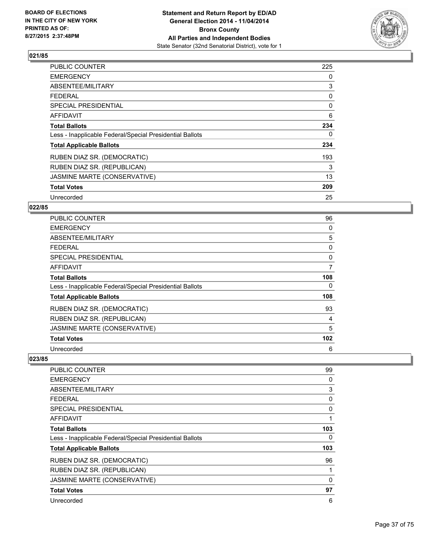

| <b>PUBLIC COUNTER</b>                                    | 225 |
|----------------------------------------------------------|-----|
| <b>EMERGENCY</b>                                         | 0   |
| ABSENTEE/MILITARY                                        | 3   |
| <b>FEDERAL</b>                                           | 0   |
| <b>SPECIAL PRESIDENTIAL</b>                              | 0   |
| AFFIDAVIT                                                | 6   |
| <b>Total Ballots</b>                                     | 234 |
| Less - Inapplicable Federal/Special Presidential Ballots | 0   |
| <b>Total Applicable Ballots</b>                          | 234 |
| RUBEN DIAZ SR. (DEMOCRATIC)                              | 193 |
| RUBEN DIAZ SR. (REPUBLICAN)                              | 3   |
| JASMINE MARTE (CONSERVATIVE)                             | 13  |
| <b>Total Votes</b>                                       | 209 |
| Unrecorded                                               | 25  |

# **022/85**

| <b>PUBLIC COUNTER</b>                                    | 96  |
|----------------------------------------------------------|-----|
| <b>EMERGENCY</b>                                         | 0   |
| ABSENTEE/MILITARY                                        | 5   |
| <b>FEDERAL</b>                                           | 0   |
| <b>SPECIAL PRESIDENTIAL</b>                              | 0   |
| <b>AFFIDAVIT</b>                                         | 7   |
| <b>Total Ballots</b>                                     | 108 |
| Less - Inapplicable Federal/Special Presidential Ballots | 0   |
| <b>Total Applicable Ballots</b>                          | 108 |
| RUBEN DIAZ SR. (DEMOCRATIC)                              | 93  |
| RUBEN DIAZ SR. (REPUBLICAN)                              | 4   |
| JASMINE MARTE (CONSERVATIVE)                             | 5   |
| <b>Total Votes</b>                                       | 102 |
| Unrecorded                                               | 6   |

| <b>PUBLIC COUNTER</b>                                    | 99  |
|----------------------------------------------------------|-----|
| <b>EMERGENCY</b>                                         | 0   |
| ABSENTEE/MILITARY                                        | 3   |
| <b>FEDERAL</b>                                           | 0   |
| SPECIAL PRESIDENTIAL                                     | 0   |
| <b>AFFIDAVIT</b>                                         |     |
| <b>Total Ballots</b>                                     | 103 |
| Less - Inapplicable Federal/Special Presidential Ballots | 0   |
| <b>Total Applicable Ballots</b>                          | 103 |
| RUBEN DIAZ SR. (DEMOCRATIC)                              | 96  |
| RUBEN DIAZ SR. (REPUBLICAN)                              |     |
| JASMINE MARTE (CONSERVATIVE)                             | 0   |
| <b>Total Votes</b>                                       | 97  |
| Unrecorded                                               | 6   |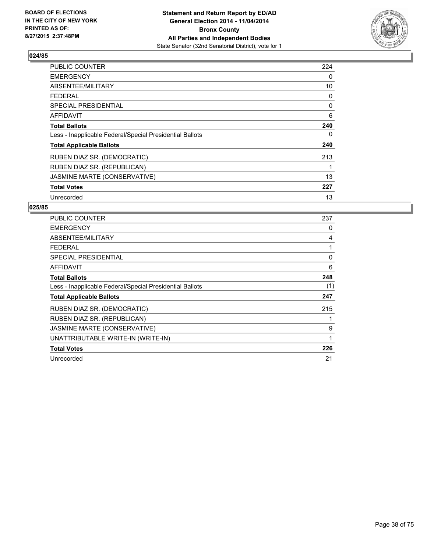

| PUBLIC COUNTER                                           | 224 |
|----------------------------------------------------------|-----|
| <b>EMERGENCY</b>                                         | 0   |
| ABSENTEE/MILITARY                                        | 10  |
| <b>FEDERAL</b>                                           | 0   |
| <b>SPECIAL PRESIDENTIAL</b>                              | 0   |
| <b>AFFIDAVIT</b>                                         | 6   |
| <b>Total Ballots</b>                                     | 240 |
| Less - Inapplicable Federal/Special Presidential Ballots | 0   |
| <b>Total Applicable Ballots</b>                          | 240 |
| RUBEN DIAZ SR. (DEMOCRATIC)                              | 213 |
| RUBEN DIAZ SR. (REPUBLICAN)                              | 1   |
| JASMINE MARTE (CONSERVATIVE)                             | 13  |
| <b>Total Votes</b>                                       | 227 |
| Unrecorded                                               | 13  |

| PUBLIC COUNTER                                           | 237 |
|----------------------------------------------------------|-----|
| <b>EMERGENCY</b>                                         | 0   |
| ABSENTEE/MILITARY                                        | 4   |
| <b>FEDERAL</b>                                           |     |
| <b>SPECIAL PRESIDENTIAL</b>                              | 0   |
| <b>AFFIDAVIT</b>                                         | 6   |
| <b>Total Ballots</b>                                     | 248 |
| Less - Inapplicable Federal/Special Presidential Ballots | (1) |
| <b>Total Applicable Ballots</b>                          | 247 |
| RUBEN DIAZ SR. (DEMOCRATIC)                              | 215 |
| RUBEN DIAZ SR. (REPUBLICAN)                              |     |
| JASMINE MARTE (CONSERVATIVE)                             | 9   |
| UNATTRIBUTABLE WRITE-IN (WRITE-IN)                       | 1   |
| <b>Total Votes</b>                                       | 226 |
| Unrecorded                                               | 21  |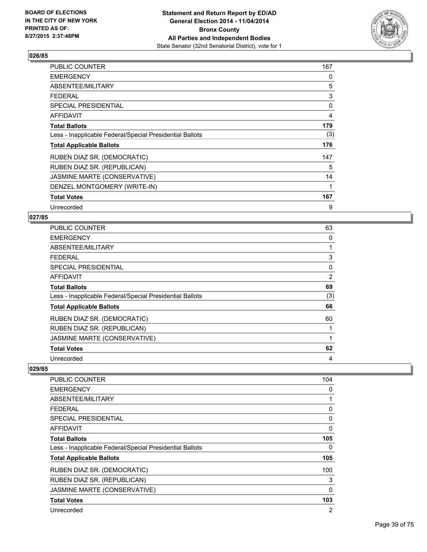

| PUBLIC COUNTER                                           | 167 |
|----------------------------------------------------------|-----|
| <b>EMERGENCY</b>                                         | 0   |
| ABSENTEE/MILITARY                                        | 5   |
| <b>FEDERAL</b>                                           | 3   |
| <b>SPECIAL PRESIDENTIAL</b>                              | 0   |
| <b>AFFIDAVIT</b>                                         | 4   |
| <b>Total Ballots</b>                                     | 179 |
| Less - Inapplicable Federal/Special Presidential Ballots | (3) |
| <b>Total Applicable Ballots</b>                          | 176 |
| RUBEN DIAZ SR. (DEMOCRATIC)                              | 147 |
| RUBEN DIAZ SR. (REPUBLICAN)                              | 5   |
| JASMINE MARTE (CONSERVATIVE)                             | 14  |
| DENZEL MONTGOMERY (WRITE-IN)                             | 1   |
| <b>Total Votes</b>                                       | 167 |
| Unrecorded                                               | 9   |

#### **027/85**

| PUBLIC COUNTER                                           | 63  |
|----------------------------------------------------------|-----|
| <b>EMERGENCY</b>                                         | 0   |
| ABSENTEE/MILITARY                                        | 1   |
| <b>FEDERAL</b>                                           | 3   |
| <b>SPECIAL PRESIDENTIAL</b>                              | 0   |
| AFFIDAVIT                                                | 2   |
| <b>Total Ballots</b>                                     | 69  |
| Less - Inapplicable Federal/Special Presidential Ballots | (3) |
| <b>Total Applicable Ballots</b>                          | 66  |
| RUBEN DIAZ SR. (DEMOCRATIC)                              | 60  |
| RUBEN DIAZ SR. (REPUBLICAN)                              | 1   |
| JASMINE MARTE (CONSERVATIVE)                             | 1   |
| <b>Total Votes</b>                                       | 62  |
| Unrecorded                                               | 4   |

| <b>PUBLIC COUNTER</b>                                    | 104         |
|----------------------------------------------------------|-------------|
| <b>EMERGENCY</b>                                         | 0           |
| ABSENTEE/MILITARY                                        | 1           |
| <b>FEDERAL</b>                                           | 0           |
| <b>SPECIAL PRESIDENTIAL</b>                              | 0           |
| <b>AFFIDAVIT</b>                                         | $\mathbf 0$ |
| <b>Total Ballots</b>                                     | 105         |
| Less - Inapplicable Federal/Special Presidential Ballots | 0           |
| <b>Total Applicable Ballots</b>                          | 105         |
| RUBEN DIAZ SR. (DEMOCRATIC)                              | 100         |
| RUBEN DIAZ SR. (REPUBLICAN)                              | 3           |
| JASMINE MARTE (CONSERVATIVE)                             | 0           |
| <b>Total Votes</b>                                       | 103         |
| Unrecorded                                               | 2           |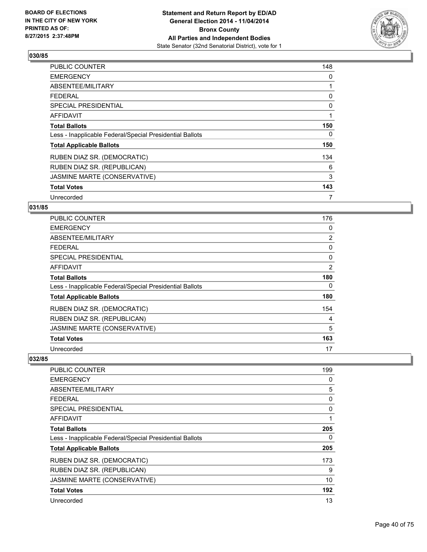

| <b>PUBLIC COUNTER</b>                                    | 148 |
|----------------------------------------------------------|-----|
| <b>EMERGENCY</b>                                         | 0   |
| ABSENTEE/MILITARY                                        | 1   |
| <b>FEDERAL</b>                                           | 0   |
| <b>SPECIAL PRESIDENTIAL</b>                              | 0   |
| AFFIDAVIT                                                | 1   |
| <b>Total Ballots</b>                                     | 150 |
| Less - Inapplicable Federal/Special Presidential Ballots | 0   |
| <b>Total Applicable Ballots</b>                          | 150 |
| RUBEN DIAZ SR. (DEMOCRATIC)                              | 134 |
| RUBEN DIAZ SR. (REPUBLICAN)                              | 6   |
| JASMINE MARTE (CONSERVATIVE)                             | 3   |
| <b>Total Votes</b>                                       | 143 |
| Unrecorded                                               | 7   |

# **031/85**

| PUBLIC COUNTER                                           | 176            |
|----------------------------------------------------------|----------------|
| <b>EMERGENCY</b>                                         | 0              |
| ABSENTEE/MILITARY                                        | $\overline{2}$ |
| <b>FEDERAL</b>                                           | 0              |
| SPECIAL PRESIDENTIAL                                     | 0              |
| AFFIDAVIT                                                | 2              |
| <b>Total Ballots</b>                                     | 180            |
| Less - Inapplicable Federal/Special Presidential Ballots | 0              |
| <b>Total Applicable Ballots</b>                          | 180            |
| RUBEN DIAZ SR. (DEMOCRATIC)                              | 154            |
| RUBEN DIAZ SR. (REPUBLICAN)                              | 4              |
| JASMINE MARTE (CONSERVATIVE)                             | 5              |
| <b>Total Votes</b>                                       | 163            |
| Unrecorded                                               | 17             |

| <b>PUBLIC COUNTER</b>                                    | 199 |
|----------------------------------------------------------|-----|
| <b>EMERGENCY</b>                                         | 0   |
| ABSENTEE/MILITARY                                        | 5   |
| <b>FEDERAL</b>                                           | 0   |
| SPECIAL PRESIDENTIAL                                     | 0   |
| AFFIDAVIT                                                |     |
| <b>Total Ballots</b>                                     | 205 |
| Less - Inapplicable Federal/Special Presidential Ballots | 0   |
| <b>Total Applicable Ballots</b>                          | 205 |
| RUBEN DIAZ SR. (DEMOCRATIC)                              | 173 |
| RUBEN DIAZ SR. (REPUBLICAN)                              | 9   |
| JASMINE MARTE (CONSERVATIVE)                             | 10  |
| <b>Total Votes</b>                                       | 192 |
| Unrecorded                                               | 13  |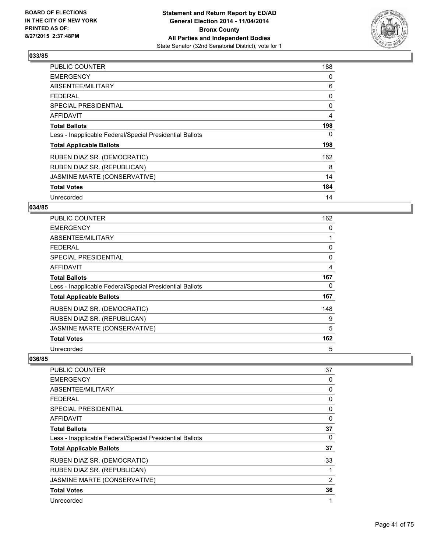

| <b>PUBLIC COUNTER</b>                                    | 188 |
|----------------------------------------------------------|-----|
| <b>EMERGENCY</b>                                         | 0   |
| ABSENTEE/MILITARY                                        | 6   |
| <b>FEDERAL</b>                                           | 0   |
| <b>SPECIAL PRESIDENTIAL</b>                              | 0   |
| <b>AFFIDAVIT</b>                                         | 4   |
| <b>Total Ballots</b>                                     | 198 |
| Less - Inapplicable Federal/Special Presidential Ballots | 0   |
| <b>Total Applicable Ballots</b>                          | 198 |
| RUBEN DIAZ SR. (DEMOCRATIC)                              | 162 |
| RUBEN DIAZ SR. (REPUBLICAN)                              | 8   |
| JASMINE MARTE (CONSERVATIVE)                             | 14  |
| <b>Total Votes</b>                                       | 184 |
| Unrecorded                                               | 14  |

# **034/85**

| PUBLIC COUNTER                                           | 162         |
|----------------------------------------------------------|-------------|
| <b>EMERGENCY</b>                                         | 0           |
| ABSENTEE/MILITARY                                        | 1           |
| <b>FEDERAL</b>                                           | 0           |
| <b>SPECIAL PRESIDENTIAL</b>                              | $\mathbf 0$ |
| <b>AFFIDAVIT</b>                                         | 4           |
| <b>Total Ballots</b>                                     | 167         |
| Less - Inapplicable Federal/Special Presidential Ballots | 0           |
| <b>Total Applicable Ballots</b>                          | 167         |
| RUBEN DIAZ SR. (DEMOCRATIC)                              | 148         |
| RUBEN DIAZ SR. (REPUBLICAN)                              | 9           |
| JASMINE MARTE (CONSERVATIVE)                             | 5           |
| <b>Total Votes</b>                                       | 162         |
| Unrecorded                                               | 5           |

| <b>PUBLIC COUNTER</b>                                    | 37 |
|----------------------------------------------------------|----|
| <b>EMERGENCY</b>                                         | 0  |
| ABSENTEE/MILITARY                                        | 0  |
| <b>FEDERAL</b>                                           | 0  |
| <b>SPECIAL PRESIDENTIAL</b>                              | 0  |
| AFFIDAVIT                                                | 0  |
| <b>Total Ballots</b>                                     | 37 |
| Less - Inapplicable Federal/Special Presidential Ballots | 0  |
| <b>Total Applicable Ballots</b>                          | 37 |
| RUBEN DIAZ SR. (DEMOCRATIC)                              | 33 |
| RUBEN DIAZ SR. (REPUBLICAN)                              |    |
| JASMINE MARTE (CONSERVATIVE)                             | 2  |
| <b>Total Votes</b>                                       | 36 |
| Unrecorded                                               | 1  |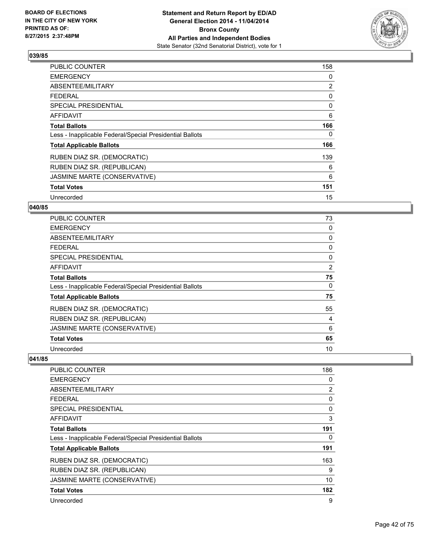

| <b>PUBLIC COUNTER</b>                                    | 158 |
|----------------------------------------------------------|-----|
| <b>EMERGENCY</b>                                         | 0   |
| ABSENTEE/MILITARY                                        | 2   |
| <b>FEDERAL</b>                                           | 0   |
| SPECIAL PRESIDENTIAL                                     | 0   |
| AFFIDAVIT                                                | 6   |
| <b>Total Ballots</b>                                     | 166 |
| Less - Inapplicable Federal/Special Presidential Ballots | 0   |
| <b>Total Applicable Ballots</b>                          | 166 |
| RUBEN DIAZ SR. (DEMOCRATIC)                              | 139 |
| RUBEN DIAZ SR. (REPUBLICAN)                              | 6   |
| JASMINE MARTE (CONSERVATIVE)                             | 6   |
| <b>Total Votes</b>                                       | 151 |
| Unrecorded                                               | 15  |

# **040/85**

| PUBLIC COUNTER                                           | 73 |
|----------------------------------------------------------|----|
| <b>EMERGENCY</b>                                         | 0  |
| ABSENTEE/MILITARY                                        | 0  |
| <b>FEDERAL</b>                                           | 0  |
| SPECIAL PRESIDENTIAL                                     | 0  |
| <b>AFFIDAVIT</b>                                         | 2  |
| <b>Total Ballots</b>                                     | 75 |
| Less - Inapplicable Federal/Special Presidential Ballots | 0  |
| <b>Total Applicable Ballots</b>                          | 75 |
| RUBEN DIAZ SR. (DEMOCRATIC)                              | 55 |
| RUBEN DIAZ SR. (REPUBLICAN)                              | 4  |
| JASMINE MARTE (CONSERVATIVE)                             | 6  |
| <b>Total Votes</b>                                       | 65 |
| Unrecorded                                               | 10 |

| <b>PUBLIC COUNTER</b>                                    | 186 |
|----------------------------------------------------------|-----|
| <b>EMERGENCY</b>                                         | 0   |
| ABSENTEE/MILITARY                                        | 2   |
| <b>FEDERAL</b>                                           | 0   |
| SPECIAL PRESIDENTIAL                                     | 0   |
| AFFIDAVIT                                                | 3   |
| <b>Total Ballots</b>                                     | 191 |
| Less - Inapplicable Federal/Special Presidential Ballots | 0   |
| <b>Total Applicable Ballots</b>                          | 191 |
| RUBEN DIAZ SR. (DEMOCRATIC)                              | 163 |
| RUBEN DIAZ SR. (REPUBLICAN)                              | 9   |
| JASMINE MARTE (CONSERVATIVE)                             | 10  |
| <b>Total Votes</b>                                       | 182 |
| Unrecorded                                               | 9   |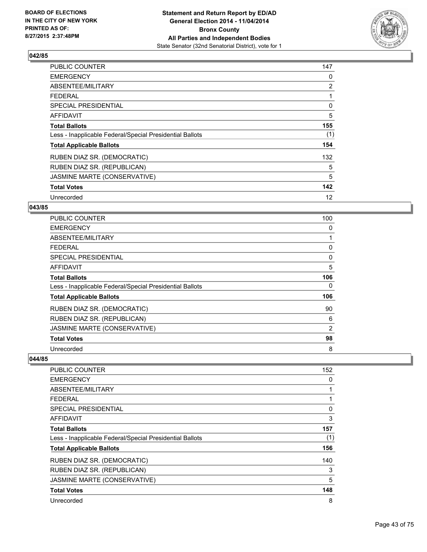

| <b>PUBLIC COUNTER</b>                                    | 147 |
|----------------------------------------------------------|-----|
| <b>EMERGENCY</b>                                         | 0   |
| ABSENTEE/MILITARY                                        | 2   |
| <b>FEDERAL</b>                                           |     |
| SPECIAL PRESIDENTIAL                                     | 0   |
| AFFIDAVIT                                                | 5   |
| <b>Total Ballots</b>                                     | 155 |
| Less - Inapplicable Federal/Special Presidential Ballots | (1) |
| <b>Total Applicable Ballots</b>                          | 154 |
| RUBEN DIAZ SR. (DEMOCRATIC)                              | 132 |
| RUBEN DIAZ SR. (REPUBLICAN)                              | 5   |
| JASMINE MARTE (CONSERVATIVE)                             | 5   |
| <b>Total Votes</b>                                       | 142 |
| Unrecorded                                               | 12  |

### **043/85**

| PUBLIC COUNTER                                           | 100 |
|----------------------------------------------------------|-----|
| <b>EMERGENCY</b>                                         | 0   |
| ABSENTEE/MILITARY                                        |     |
| <b>FEDERAL</b>                                           | 0   |
| <b>SPECIAL PRESIDENTIAL</b>                              | 0   |
| <b>AFFIDAVIT</b>                                         | 5   |
| <b>Total Ballots</b>                                     | 106 |
| Less - Inapplicable Federal/Special Presidential Ballots | 0   |
| <b>Total Applicable Ballots</b>                          | 106 |
| RUBEN DIAZ SR. (DEMOCRATIC)                              | 90  |
| RUBEN DIAZ SR. (REPUBLICAN)                              | 6   |
| JASMINE MARTE (CONSERVATIVE)                             | 2   |
| <b>Total Votes</b>                                       | 98  |
| Unrecorded                                               | 8   |

| <b>PUBLIC COUNTER</b>                                    | 152 |
|----------------------------------------------------------|-----|
| <b>EMERGENCY</b>                                         | 0   |
| ABSENTEE/MILITARY                                        | 1   |
| <b>FEDERAL</b>                                           | 1   |
| SPECIAL PRESIDENTIAL                                     | 0   |
| AFFIDAVIT                                                | 3   |
| <b>Total Ballots</b>                                     | 157 |
| Less - Inapplicable Federal/Special Presidential Ballots | (1) |
| <b>Total Applicable Ballots</b>                          | 156 |
| RUBEN DIAZ SR. (DEMOCRATIC)                              | 140 |
| RUBEN DIAZ SR. (REPUBLICAN)                              | 3   |
| JASMINE MARTE (CONSERVATIVE)                             | 5   |
| <b>Total Votes</b>                                       | 148 |
| Unrecorded                                               | 8   |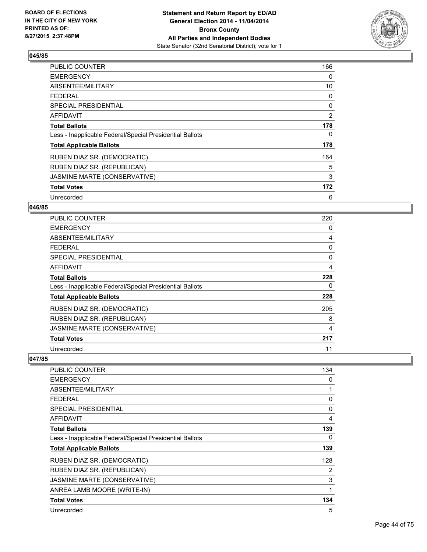

| PUBLIC COUNTER                                           | 166            |
|----------------------------------------------------------|----------------|
| <b>EMERGENCY</b>                                         | 0              |
| ABSENTEE/MILITARY                                        | 10             |
| <b>FEDERAL</b>                                           | 0              |
| <b>SPECIAL PRESIDENTIAL</b>                              | 0              |
| AFFIDAVIT                                                | $\overline{2}$ |
| <b>Total Ballots</b>                                     | 178            |
| Less - Inapplicable Federal/Special Presidential Ballots | 0              |
| <b>Total Applicable Ballots</b>                          | 178            |
| RUBEN DIAZ SR. (DEMOCRATIC)                              | 164            |
| RUBEN DIAZ SR. (REPUBLICAN)                              | 5              |
| JASMINE MARTE (CONSERVATIVE)                             | 3              |
| <b>Total Votes</b>                                       | 172            |
| Unrecorded                                               | 6              |

### **046/85**

| <b>PUBLIC COUNTER</b>                                    | 220 |
|----------------------------------------------------------|-----|
| <b>EMERGENCY</b>                                         | 0   |
| ABSENTEE/MILITARY                                        | 4   |
| <b>FEDERAL</b>                                           | 0   |
| <b>SPECIAL PRESIDENTIAL</b>                              | 0   |
| AFFIDAVIT                                                | 4   |
| <b>Total Ballots</b>                                     | 228 |
| Less - Inapplicable Federal/Special Presidential Ballots | 0   |
| <b>Total Applicable Ballots</b>                          | 228 |
| RUBEN DIAZ SR. (DEMOCRATIC)                              | 205 |
| RUBEN DIAZ SR. (REPUBLICAN)                              | 8   |
| JASMINE MARTE (CONSERVATIVE)                             | 4   |
| <b>Total Votes</b>                                       | 217 |
| Unrecorded                                               | 11  |

| <b>PUBLIC COUNTER</b>                                    | 134 |
|----------------------------------------------------------|-----|
| <b>EMERGENCY</b>                                         | 0   |
| ABSENTEE/MILITARY                                        | 1   |
| <b>FEDERAL</b>                                           | 0   |
| SPECIAL PRESIDENTIAL                                     | 0   |
| <b>AFFIDAVIT</b>                                         | 4   |
| <b>Total Ballots</b>                                     | 139 |
| Less - Inapplicable Federal/Special Presidential Ballots | 0   |
| <b>Total Applicable Ballots</b>                          | 139 |
| RUBEN DIAZ SR. (DEMOCRATIC)                              | 128 |
| RUBEN DIAZ SR. (REPUBLICAN)                              | 2   |
| JASMINE MARTE (CONSERVATIVE)                             | 3   |
| ANREA LAMB MOORE (WRITE-IN)                              | 1   |
| <b>Total Votes</b>                                       | 134 |
| Unrecorded                                               | 5   |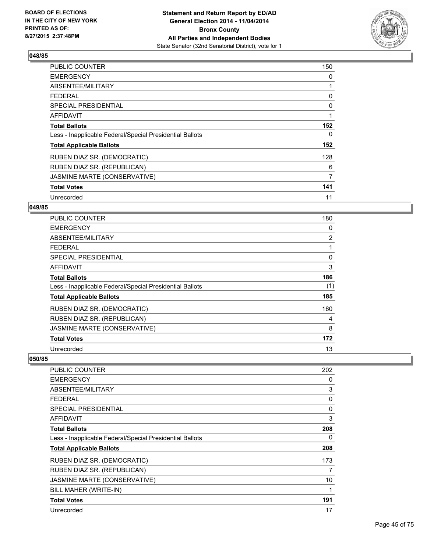

| PUBLIC COUNTER                                           | 150 |
|----------------------------------------------------------|-----|
| <b>EMERGENCY</b>                                         | 0   |
| ABSENTEE/MILITARY                                        |     |
| <b>FEDERAL</b>                                           | 0   |
| <b>SPECIAL PRESIDENTIAL</b>                              | 0   |
| AFFIDAVIT                                                | 1   |
| <b>Total Ballots</b>                                     | 152 |
| Less - Inapplicable Federal/Special Presidential Ballots | 0   |
| <b>Total Applicable Ballots</b>                          | 152 |
| RUBEN DIAZ SR. (DEMOCRATIC)                              | 128 |
| RUBEN DIAZ SR. (REPUBLICAN)                              | 6   |
| JASMINE MARTE (CONSERVATIVE)                             | 7   |
| <b>Total Votes</b>                                       | 141 |
| Unrecorded                                               | 11  |

### **049/85**

| PUBLIC COUNTER                                           | 180            |
|----------------------------------------------------------|----------------|
| <b>EMERGENCY</b>                                         | 0              |
| ABSENTEE/MILITARY                                        | $\overline{2}$ |
| <b>FEDERAL</b>                                           |                |
| SPECIAL PRESIDENTIAL                                     | 0              |
| AFFIDAVIT                                                | 3              |
| <b>Total Ballots</b>                                     | 186            |
| Less - Inapplicable Federal/Special Presidential Ballots | (1)            |
| <b>Total Applicable Ballots</b>                          | 185            |
| RUBEN DIAZ SR. (DEMOCRATIC)                              | 160            |
| RUBEN DIAZ SR. (REPUBLICAN)                              | 4              |
| JASMINE MARTE (CONSERVATIVE)                             | 8              |
| <b>Total Votes</b>                                       | 172            |
| Unrecorded                                               | 13             |

| PUBLIC COUNTER                                           | 202 |
|----------------------------------------------------------|-----|
| <b>EMERGENCY</b>                                         | 0   |
| ABSENTEE/MILITARY                                        | 3   |
| <b>FEDERAL</b>                                           | 0   |
| <b>SPECIAL PRESIDENTIAL</b>                              | 0   |
| AFFIDAVIT                                                | 3   |
| <b>Total Ballots</b>                                     | 208 |
| Less - Inapplicable Federal/Special Presidential Ballots | 0   |
| <b>Total Applicable Ballots</b>                          | 208 |
| RUBEN DIAZ SR. (DEMOCRATIC)                              | 173 |
| RUBEN DIAZ SR. (REPUBLICAN)                              | 7   |
| JASMINE MARTE (CONSERVATIVE)                             | 10  |
| BILL MAHER (WRITE-IN)                                    | 1   |
| <b>Total Votes</b>                                       | 191 |
| Unrecorded                                               | 17  |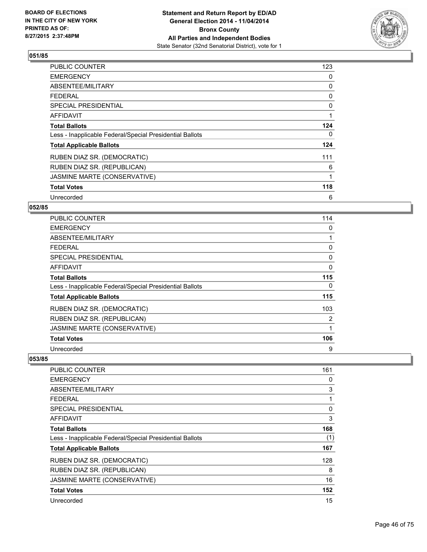

| PUBLIC COUNTER                                           | 123 |
|----------------------------------------------------------|-----|
| <b>EMERGENCY</b>                                         | 0   |
| ABSENTEE/MILITARY                                        | 0   |
| <b>FEDERAL</b>                                           | 0   |
| <b>SPECIAL PRESIDENTIAL</b>                              | 0   |
| AFFIDAVIT                                                | 1   |
| <b>Total Ballots</b>                                     | 124 |
| Less - Inapplicable Federal/Special Presidential Ballots | 0   |
| <b>Total Applicable Ballots</b>                          | 124 |
| RUBEN DIAZ SR. (DEMOCRATIC)                              | 111 |
| RUBEN DIAZ SR. (REPUBLICAN)                              | 6   |
| JASMINE MARTE (CONSERVATIVE)                             | 1   |
| <b>Total Votes</b>                                       | 118 |
| Unrecorded                                               | 6   |

# **052/85**

| PUBLIC COUNTER                                           | 114 |
|----------------------------------------------------------|-----|
| <b>EMERGENCY</b>                                         | 0   |
| ABSENTEE/MILITARY                                        |     |
| <b>FEDERAL</b>                                           | 0   |
| SPECIAL PRESIDENTIAL                                     | 0   |
| AFFIDAVIT                                                | 0   |
| <b>Total Ballots</b>                                     | 115 |
| Less - Inapplicable Federal/Special Presidential Ballots | 0   |
| <b>Total Applicable Ballots</b>                          | 115 |
| RUBEN DIAZ SR. (DEMOCRATIC)                              | 103 |
| RUBEN DIAZ SR. (REPUBLICAN)                              | 2   |
| JASMINE MARTE (CONSERVATIVE)                             | 1   |
| <b>Total Votes</b>                                       | 106 |
| Unrecorded                                               | 9   |

| <b>PUBLIC COUNTER</b>                                    | 161 |
|----------------------------------------------------------|-----|
| <b>EMERGENCY</b>                                         | 0   |
| ABSENTEE/MILITARY                                        | 3   |
| <b>FEDERAL</b>                                           |     |
| SPECIAL PRESIDENTIAL                                     | 0   |
| AFFIDAVIT                                                | 3   |
| <b>Total Ballots</b>                                     | 168 |
| Less - Inapplicable Federal/Special Presidential Ballots | (1) |
| <b>Total Applicable Ballots</b>                          | 167 |
| RUBEN DIAZ SR. (DEMOCRATIC)                              | 128 |
| RUBEN DIAZ SR. (REPUBLICAN)                              | 8   |
| JASMINE MARTE (CONSERVATIVE)                             | 16  |
| <b>Total Votes</b>                                       | 152 |
| Unrecorded                                               | 15  |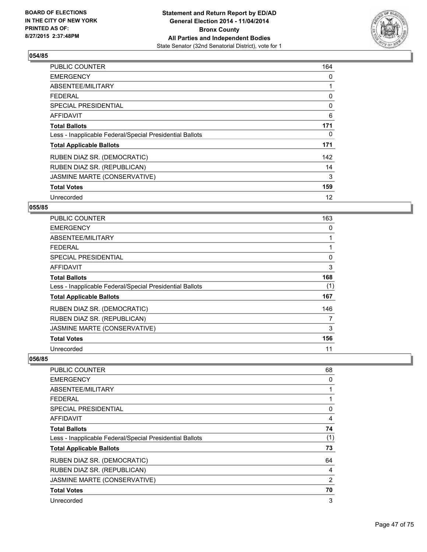

| <b>PUBLIC COUNTER</b>                                    | 164 |
|----------------------------------------------------------|-----|
| <b>EMERGENCY</b>                                         | 0   |
| ABSENTEE/MILITARY                                        |     |
| <b>FEDERAL</b>                                           | 0   |
| <b>SPECIAL PRESIDENTIAL</b>                              | 0   |
| <b>AFFIDAVIT</b>                                         | 6   |
| <b>Total Ballots</b>                                     | 171 |
| Less - Inapplicable Federal/Special Presidential Ballots | 0   |
| <b>Total Applicable Ballots</b>                          | 171 |
| RUBEN DIAZ SR. (DEMOCRATIC)                              | 142 |
| RUBEN DIAZ SR. (REPUBLICAN)                              | 14  |
| JASMINE MARTE (CONSERVATIVE)                             | 3   |
| <b>Total Votes</b>                                       | 159 |
| Unrecorded                                               | 12  |

# **055/85**

| <b>PUBLIC COUNTER</b>                                    | 163 |
|----------------------------------------------------------|-----|
| <b>EMERGENCY</b>                                         | 0   |
| ABSENTEE/MILITARY                                        |     |
| <b>FEDERAL</b>                                           |     |
| <b>SPECIAL PRESIDENTIAL</b>                              | 0   |
| <b>AFFIDAVIT</b>                                         | 3   |
| <b>Total Ballots</b>                                     | 168 |
| Less - Inapplicable Federal/Special Presidential Ballots | (1) |
| <b>Total Applicable Ballots</b>                          | 167 |
| RUBEN DIAZ SR. (DEMOCRATIC)                              | 146 |
| RUBEN DIAZ SR. (REPUBLICAN)                              | 7   |
| JASMINE MARTE (CONSERVATIVE)                             | 3   |
| <b>Total Votes</b>                                       | 156 |
| Unrecorded                                               | 11  |

| <b>PUBLIC COUNTER</b>                                    | 68  |
|----------------------------------------------------------|-----|
| <b>EMERGENCY</b>                                         | 0   |
| ABSENTEE/MILITARY                                        |     |
| <b>FEDERAL</b>                                           |     |
| SPECIAL PRESIDENTIAL                                     | 0   |
| AFFIDAVIT                                                | 4   |
| <b>Total Ballots</b>                                     | 74  |
| Less - Inapplicable Federal/Special Presidential Ballots | (1) |
| <b>Total Applicable Ballots</b>                          | 73  |
| RUBEN DIAZ SR. (DEMOCRATIC)                              | 64  |
| RUBEN DIAZ SR. (REPUBLICAN)                              | 4   |
| JASMINE MARTE (CONSERVATIVE)                             | 2   |
| <b>Total Votes</b>                                       | 70  |
| Unrecorded                                               | 3   |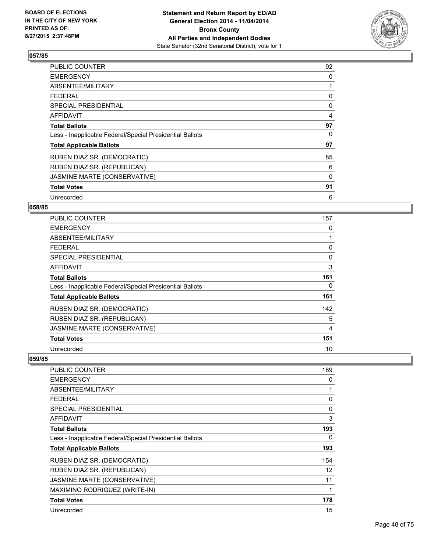

| PUBLIC COUNTER                                           | 92 |
|----------------------------------------------------------|----|
| <b>EMERGENCY</b>                                         | 0  |
| ABSENTEE/MILITARY                                        | 1  |
| <b>FEDERAL</b>                                           | 0  |
| SPECIAL PRESIDENTIAL                                     | 0  |
| AFFIDAVIT                                                | 4  |
| <b>Total Ballots</b>                                     | 97 |
| Less - Inapplicable Federal/Special Presidential Ballots | 0  |
| <b>Total Applicable Ballots</b>                          | 97 |
| RUBEN DIAZ SR. (DEMOCRATIC)                              | 85 |
| RUBEN DIAZ SR. (REPUBLICAN)                              | 6  |
| JASMINE MARTE (CONSERVATIVE)                             | 0  |
| <b>Total Votes</b>                                       | 91 |
| Unrecorded                                               | 6  |

# **058/85**

| <b>PUBLIC COUNTER</b>                                    | 157 |
|----------------------------------------------------------|-----|
| <b>EMERGENCY</b>                                         | 0   |
| ABSENTEE/MILITARY                                        |     |
| <b>FEDERAL</b>                                           | 0   |
| <b>SPECIAL PRESIDENTIAL</b>                              | 0   |
| AFFIDAVIT                                                | 3   |
| <b>Total Ballots</b>                                     | 161 |
| Less - Inapplicable Federal/Special Presidential Ballots | 0   |
| <b>Total Applicable Ballots</b>                          | 161 |
| RUBEN DIAZ SR. (DEMOCRATIC)                              | 142 |
| RUBEN DIAZ SR. (REPUBLICAN)                              | 5   |
| JASMINE MARTE (CONSERVATIVE)                             | 4   |
| <b>Total Votes</b>                                       | 151 |
| Unrecorded                                               | 10  |

| PUBLIC COUNTER                                           | 189          |
|----------------------------------------------------------|--------------|
| <b>EMERGENCY</b>                                         | 0            |
| ABSENTEE/MILITARY                                        | 1            |
| <b>FEDERAL</b>                                           | 0            |
| <b>SPECIAL PRESIDENTIAL</b>                              | $\Omega$     |
| <b>AFFIDAVIT</b>                                         | 3            |
| <b>Total Ballots</b>                                     | 193          |
| Less - Inapplicable Federal/Special Presidential Ballots | 0            |
| <b>Total Applicable Ballots</b>                          | 193          |
| RUBEN DIAZ SR. (DEMOCRATIC)                              | 154          |
| RUBEN DIAZ SR. (REPUBLICAN)                              | 12           |
| JASMINE MARTE (CONSERVATIVE)                             | 11           |
| MAXIMINO RODRIGUEZ (WRITE-IN)                            | $\mathbf{1}$ |
| <b>Total Votes</b>                                       | 178          |
| Unrecorded                                               | 15           |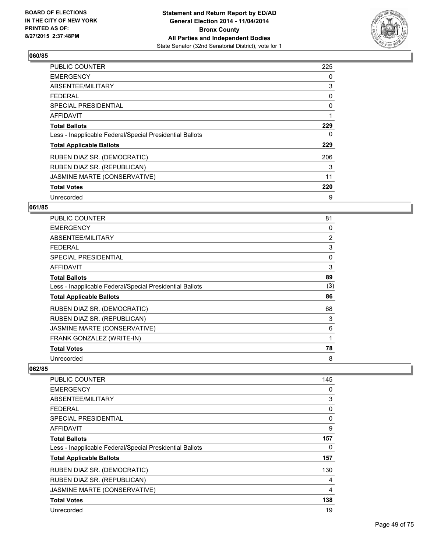

| <b>PUBLIC COUNTER</b>                                    | 225 |
|----------------------------------------------------------|-----|
| <b>EMERGENCY</b>                                         | 0   |
| ABSENTEE/MILITARY                                        | 3   |
| <b>FEDERAL</b>                                           | 0   |
| SPECIAL PRESIDENTIAL                                     | 0   |
| AFFIDAVIT                                                | 1   |
| <b>Total Ballots</b>                                     | 229 |
| Less - Inapplicable Federal/Special Presidential Ballots | 0   |
| <b>Total Applicable Ballots</b>                          | 229 |
| RUBEN DIAZ SR. (DEMOCRATIC)                              | 206 |
| RUBEN DIAZ SR. (REPUBLICAN)                              | 3   |
| JASMINE MARTE (CONSERVATIVE)                             | 11  |
| <b>Total Votes</b>                                       | 220 |
| Unrecorded                                               | 9   |

# **061/85**

| PUBLIC COUNTER                                           | 81             |
|----------------------------------------------------------|----------------|
| <b>EMERGENCY</b>                                         | 0              |
| ABSENTEE/MILITARY                                        | $\overline{2}$ |
| <b>FEDERAL</b>                                           | 3              |
| <b>SPECIAL PRESIDENTIAL</b>                              | 0              |
| AFFIDAVIT                                                | 3              |
| <b>Total Ballots</b>                                     | 89             |
| Less - Inapplicable Federal/Special Presidential Ballots | (3)            |
| <b>Total Applicable Ballots</b>                          | 86             |
| RUBEN DIAZ SR. (DEMOCRATIC)                              | 68             |
| RUBEN DIAZ SR. (REPUBLICAN)                              | 3              |
| JASMINE MARTE (CONSERVATIVE)                             | 6              |
| FRANK GONZALEZ (WRITE-IN)                                | 1              |
| <b>Total Votes</b>                                       | 78             |
| Unrecorded                                               | 8              |

| <b>PUBLIC COUNTER</b>                                    | 145 |
|----------------------------------------------------------|-----|
| <b>EMERGENCY</b>                                         | 0   |
| ABSENTEE/MILITARY                                        | 3   |
| <b>FEDERAL</b>                                           | 0   |
| <b>SPECIAL PRESIDENTIAL</b>                              | 0   |
| AFFIDAVIT                                                | 9   |
| <b>Total Ballots</b>                                     | 157 |
| Less - Inapplicable Federal/Special Presidential Ballots | 0   |
| <b>Total Applicable Ballots</b>                          | 157 |
| RUBEN DIAZ SR. (DEMOCRATIC)                              | 130 |
| RUBEN DIAZ SR. (REPUBLICAN)                              | 4   |
| JASMINE MARTE (CONSERVATIVE)                             | 4   |
| <b>Total Votes</b>                                       | 138 |
| Unrecorded                                               | 19  |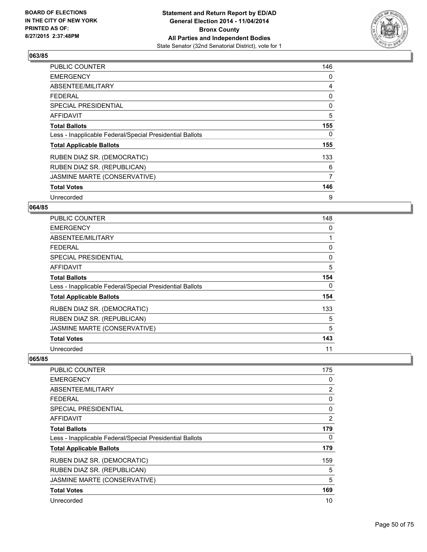

| <b>PUBLIC COUNTER</b>                                    | 146 |
|----------------------------------------------------------|-----|
| <b>EMERGENCY</b>                                         | 0   |
| ABSENTEE/MILITARY                                        | 4   |
| <b>FEDERAL</b>                                           | 0   |
| SPECIAL PRESIDENTIAL                                     | 0   |
| <b>AFFIDAVIT</b>                                         | 5   |
| <b>Total Ballots</b>                                     | 155 |
| Less - Inapplicable Federal/Special Presidential Ballots | 0   |
| <b>Total Applicable Ballots</b>                          | 155 |
| RUBEN DIAZ SR. (DEMOCRATIC)                              | 133 |
| RUBEN DIAZ SR. (REPUBLICAN)                              | 6   |
| JASMINE MARTE (CONSERVATIVE)                             | 7   |
| <b>Total Votes</b>                                       | 146 |
| Unrecorded                                               | 9   |

# **064/85**

| PUBLIC COUNTER                                           | 148 |
|----------------------------------------------------------|-----|
| <b>EMERGENCY</b>                                         | 0   |
| ABSENTEE/MILITARY                                        |     |
| <b>FEDERAL</b>                                           | 0   |
| <b>SPECIAL PRESIDENTIAL</b>                              | 0   |
| <b>AFFIDAVIT</b>                                         | 5   |
| <b>Total Ballots</b>                                     | 154 |
| Less - Inapplicable Federal/Special Presidential Ballots | 0   |
| <b>Total Applicable Ballots</b>                          | 154 |
| RUBEN DIAZ SR. (DEMOCRATIC)                              | 133 |
| RUBEN DIAZ SR. (REPUBLICAN)                              | 5   |
| JASMINE MARTE (CONSERVATIVE)                             | 5   |
| <b>Total Votes</b>                                       | 143 |
| Unrecorded                                               | 11  |

| <b>PUBLIC COUNTER</b>                                    | 175 |
|----------------------------------------------------------|-----|
| <b>EMERGENCY</b>                                         | 0   |
| ABSENTEE/MILITARY                                        | 2   |
| <b>FEDERAL</b>                                           | 0   |
| SPECIAL PRESIDENTIAL                                     | 0   |
| AFFIDAVIT                                                | 2   |
| <b>Total Ballots</b>                                     | 179 |
| Less - Inapplicable Federal/Special Presidential Ballots | 0   |
| <b>Total Applicable Ballots</b>                          | 179 |
| RUBEN DIAZ SR. (DEMOCRATIC)                              | 159 |
| RUBEN DIAZ SR. (REPUBLICAN)                              | 5   |
| JASMINE MARTE (CONSERVATIVE)                             | 5   |
| <b>Total Votes</b>                                       | 169 |
| Unrecorded                                               | 10  |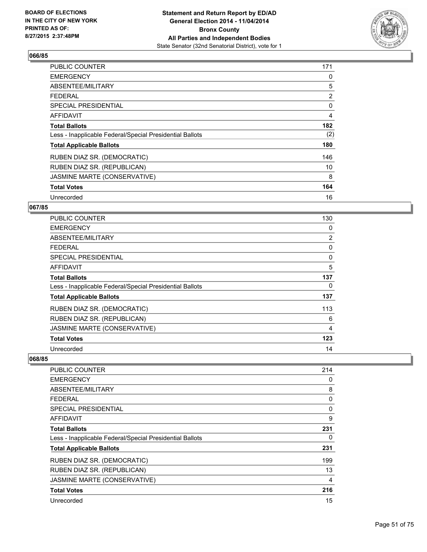

| <b>PUBLIC COUNTER</b>                                    | 171 |
|----------------------------------------------------------|-----|
| <b>EMERGENCY</b>                                         | 0   |
| ABSENTEE/MILITARY                                        | 5   |
| <b>FEDERAL</b>                                           | 2   |
| SPECIAL PRESIDENTIAL                                     | 0   |
| AFFIDAVIT                                                | 4   |
| <b>Total Ballots</b>                                     | 182 |
| Less - Inapplicable Federal/Special Presidential Ballots | (2) |
| <b>Total Applicable Ballots</b>                          | 180 |
| RUBEN DIAZ SR. (DEMOCRATIC)                              | 146 |
| RUBEN DIAZ SR. (REPUBLICAN)                              | 10  |
| JASMINE MARTE (CONSERVATIVE)                             | 8   |
| <b>Total Votes</b>                                       | 164 |
| Unrecorded                                               | 16  |

# **067/85**

| <b>PUBLIC COUNTER</b>                                    | 130            |
|----------------------------------------------------------|----------------|
| <b>EMERGENCY</b>                                         | 0              |
| ABSENTEE/MILITARY                                        | $\overline{2}$ |
| <b>FEDERAL</b>                                           | 0              |
| SPECIAL PRESIDENTIAL                                     | 0              |
| <b>AFFIDAVIT</b>                                         | 5              |
| <b>Total Ballots</b>                                     | 137            |
| Less - Inapplicable Federal/Special Presidential Ballots | 0              |
| <b>Total Applicable Ballots</b>                          | 137            |
| RUBEN DIAZ SR. (DEMOCRATIC)                              | 113            |
| RUBEN DIAZ SR. (REPUBLICAN)                              | 6              |
| JASMINE MARTE (CONSERVATIVE)                             | 4              |
| <b>Total Votes</b>                                       | 123            |
| Unrecorded                                               | 14             |

| <b>PUBLIC COUNTER</b>                                    | 214 |
|----------------------------------------------------------|-----|
| <b>EMERGENCY</b>                                         | 0   |
| ABSENTEE/MILITARY                                        | 8   |
| <b>FEDERAL</b>                                           | 0   |
| SPECIAL PRESIDENTIAL                                     | 0   |
| AFFIDAVIT                                                | 9   |
| <b>Total Ballots</b>                                     | 231 |
| Less - Inapplicable Federal/Special Presidential Ballots | 0   |
| <b>Total Applicable Ballots</b>                          | 231 |
| RUBEN DIAZ SR. (DEMOCRATIC)                              | 199 |
| RUBEN DIAZ SR. (REPUBLICAN)                              | 13  |
| JASMINE MARTE (CONSERVATIVE)                             | 4   |
| <b>Total Votes</b>                                       | 216 |
| Unrecorded                                               | 15  |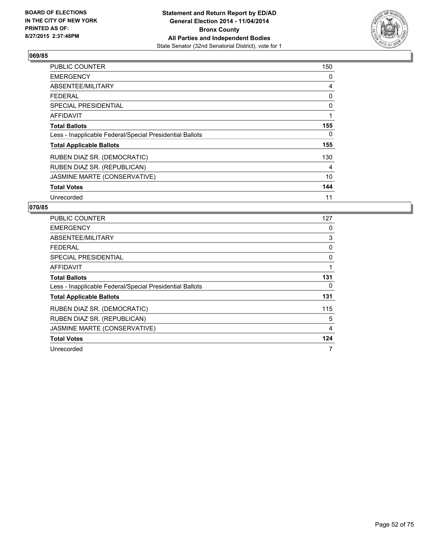

| PUBLIC COUNTER                                           | 150 |
|----------------------------------------------------------|-----|
| <b>EMERGENCY</b>                                         | 0   |
| ABSENTEE/MILITARY                                        | 4   |
| <b>FEDERAL</b>                                           | 0   |
| SPECIAL PRESIDENTIAL                                     | 0   |
| <b>AFFIDAVIT</b>                                         | 1   |
| <b>Total Ballots</b>                                     | 155 |
| Less - Inapplicable Federal/Special Presidential Ballots | 0   |
| <b>Total Applicable Ballots</b>                          | 155 |
| RUBEN DIAZ SR. (DEMOCRATIC)                              | 130 |
| RUBEN DIAZ SR. (REPUBLICAN)                              | 4   |
| JASMINE MARTE (CONSERVATIVE)                             | 10  |
| <b>Total Votes</b>                                       | 144 |
| Unrecorded                                               | 11  |

| <b>PUBLIC COUNTER</b>                                    | 127 |
|----------------------------------------------------------|-----|
| <b>EMERGENCY</b>                                         | 0   |
| ABSENTEE/MILITARY                                        | 3   |
| <b>FEDERAL</b>                                           | 0   |
| <b>SPECIAL PRESIDENTIAL</b>                              | 0   |
| <b>AFFIDAVIT</b>                                         | 1   |
| <b>Total Ballots</b>                                     | 131 |
| Less - Inapplicable Federal/Special Presidential Ballots | 0   |
| <b>Total Applicable Ballots</b>                          | 131 |
| RUBEN DIAZ SR. (DEMOCRATIC)                              | 115 |
| RUBEN DIAZ SR. (REPUBLICAN)                              | 5   |
| JASMINE MARTE (CONSERVATIVE)                             | 4   |
| <b>Total Votes</b>                                       | 124 |
| Unrecorded                                               | 7   |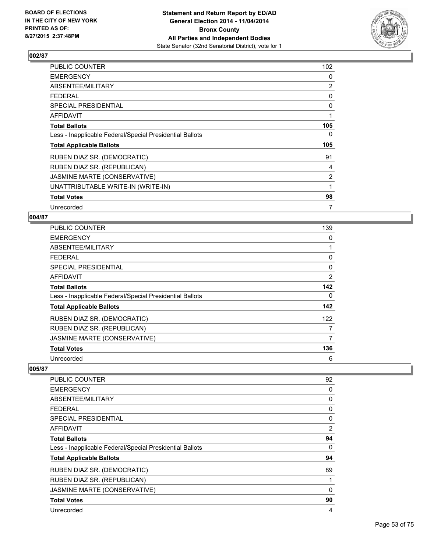

| PUBLIC COUNTER                                           | 102            |
|----------------------------------------------------------|----------------|
| <b>EMERGENCY</b>                                         | 0              |
| ABSENTEE/MILITARY                                        | $\overline{2}$ |
| <b>FEDERAL</b>                                           | 0              |
| <b>SPECIAL PRESIDENTIAL</b>                              | 0              |
| <b>AFFIDAVIT</b>                                         | 1              |
| <b>Total Ballots</b>                                     | 105            |
| Less - Inapplicable Federal/Special Presidential Ballots | 0              |
| <b>Total Applicable Ballots</b>                          | 105            |
| RUBEN DIAZ SR. (DEMOCRATIC)                              | 91             |
| RUBEN DIAZ SR. (REPUBLICAN)                              | 4              |
| JASMINE MARTE (CONSERVATIVE)                             | $\overline{2}$ |
| UNATTRIBUTABLE WRITE-IN (WRITE-IN)                       | 1              |
| <b>Total Votes</b>                                       | 98             |
| Unrecorded                                               | 7              |

## **004/87**

| <b>PUBLIC COUNTER</b>                                    | 139            |
|----------------------------------------------------------|----------------|
| <b>EMERGENCY</b>                                         | 0              |
| ABSENTEE/MILITARY                                        | 1              |
| <b>FEDERAL</b>                                           | 0              |
| SPECIAL PRESIDENTIAL                                     | 0              |
| AFFIDAVIT                                                | $\overline{2}$ |
| <b>Total Ballots</b>                                     | 142            |
| Less - Inapplicable Federal/Special Presidential Ballots | 0              |
| <b>Total Applicable Ballots</b>                          | 142            |
| RUBEN DIAZ SR. (DEMOCRATIC)                              | 122            |
| RUBEN DIAZ SR. (REPUBLICAN)                              | 7              |
| JASMINE MARTE (CONSERVATIVE)                             | 7              |
| <b>Total Votes</b>                                       | 136            |
| Unrecorded                                               | 6              |

| <b>PUBLIC COUNTER</b>                                    | 92             |
|----------------------------------------------------------|----------------|
| <b>EMERGENCY</b>                                         | 0              |
| ABSENTEE/MILITARY                                        | 0              |
| FEDERAL                                                  | 0              |
| <b>SPECIAL PRESIDENTIAL</b>                              | 0              |
| <b>AFFIDAVIT</b>                                         | $\overline{2}$ |
| <b>Total Ballots</b>                                     | 94             |
| Less - Inapplicable Federal/Special Presidential Ballots | 0              |
| <b>Total Applicable Ballots</b>                          | 94             |
| RUBEN DIAZ SR. (DEMOCRATIC)                              | 89             |
| RUBEN DIAZ SR. (REPUBLICAN)                              | 1              |
| JASMINE MARTE (CONSERVATIVE)                             | 0              |
| <b>Total Votes</b>                                       | 90             |
| Unrecorded                                               | 4              |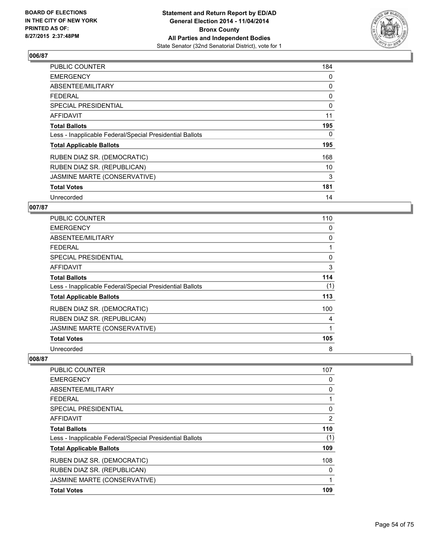

| <b>PUBLIC COUNTER</b>                                    | 184 |
|----------------------------------------------------------|-----|
| <b>EMERGENCY</b>                                         | 0   |
| ABSENTEE/MILITARY                                        | 0   |
| <b>FEDERAL</b>                                           | 0   |
| SPECIAL PRESIDENTIAL                                     | 0   |
| AFFIDAVIT                                                | 11  |
| <b>Total Ballots</b>                                     | 195 |
| Less - Inapplicable Federal/Special Presidential Ballots | 0   |
| <b>Total Applicable Ballots</b>                          | 195 |
| RUBEN DIAZ SR. (DEMOCRATIC)                              | 168 |
| RUBEN DIAZ SR. (REPUBLICAN)                              | 10  |
| JASMINE MARTE (CONSERVATIVE)                             | 3   |
| <b>Total Votes</b>                                       | 181 |
| Unrecorded                                               | 14  |

# **007/87**

| PUBLIC COUNTER                                           | 110 |
|----------------------------------------------------------|-----|
| <b>EMERGENCY</b>                                         | 0   |
| ABSENTEE/MILITARY                                        | 0   |
| <b>FEDERAL</b>                                           |     |
| <b>SPECIAL PRESIDENTIAL</b>                              | 0   |
| <b>AFFIDAVIT</b>                                         | 3   |
| <b>Total Ballots</b>                                     | 114 |
| Less - Inapplicable Federal/Special Presidential Ballots | (1) |
| <b>Total Applicable Ballots</b>                          | 113 |
| RUBEN DIAZ SR. (DEMOCRATIC)                              | 100 |
| RUBEN DIAZ SR. (REPUBLICAN)                              | 4   |
| JASMINE MARTE (CONSERVATIVE)                             | 1   |
| <b>Total Votes</b>                                       | 105 |
| Unrecorded                                               | 8   |

| <b>PUBLIC COUNTER</b>                                    | 107 |
|----------------------------------------------------------|-----|
| <b>EMERGENCY</b>                                         | 0   |
| ABSENTEE/MILITARY                                        | 0   |
| <b>FEDERAL</b>                                           |     |
| SPECIAL PRESIDENTIAL                                     | 0   |
| AFFIDAVIT                                                | 2   |
| <b>Total Ballots</b>                                     | 110 |
| Less - Inapplicable Federal/Special Presidential Ballots | (1) |
| <b>Total Applicable Ballots</b>                          | 109 |
| RUBEN DIAZ SR. (DEMOCRATIC)                              | 108 |
| RUBEN DIAZ SR. (REPUBLICAN)                              | 0   |
| JASMINE MARTE (CONSERVATIVE)                             | 1   |
| <b>Total Votes</b>                                       | 109 |
|                                                          |     |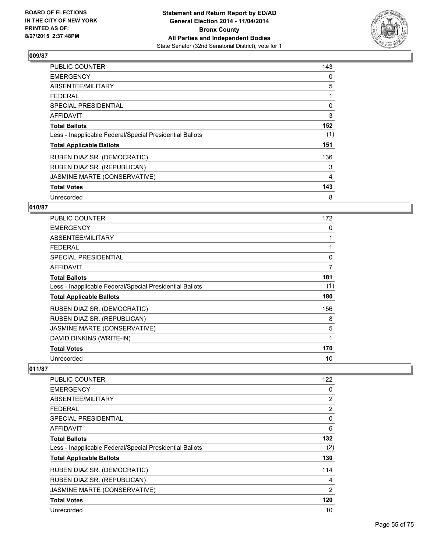

| PUBLIC COUNTER                                           | 143 |
|----------------------------------------------------------|-----|
| <b>EMERGENCY</b>                                         | 0   |
| ABSENTEE/MILITARY                                        | 5   |
| <b>FEDERAL</b>                                           |     |
| SPECIAL PRESIDENTIAL                                     | 0   |
| AFFIDAVIT                                                | 3   |
| <b>Total Ballots</b>                                     | 152 |
| Less - Inapplicable Federal/Special Presidential Ballots | (1) |
| <b>Total Applicable Ballots</b>                          | 151 |
| RUBEN DIAZ SR. (DEMOCRATIC)                              | 136 |
| RUBEN DIAZ SR. (REPUBLICAN)                              | 3   |
| JASMINE MARTE (CONSERVATIVE)                             | 4   |
| <b>Total Votes</b>                                       | 143 |
| Unrecorded                                               | 8   |

# **010/87**

| <b>PUBLIC COUNTER</b>                                    | 172 |
|----------------------------------------------------------|-----|
| <b>EMERGENCY</b>                                         | 0   |
| ABSENTEE/MILITARY                                        | 1   |
| <b>FEDERAL</b>                                           |     |
| <b>SPECIAL PRESIDENTIAL</b>                              | 0   |
| AFFIDAVIT                                                | 7   |
| <b>Total Ballots</b>                                     | 181 |
| Less - Inapplicable Federal/Special Presidential Ballots | (1) |
| <b>Total Applicable Ballots</b>                          | 180 |
| RUBEN DIAZ SR. (DEMOCRATIC)                              | 156 |
| RUBEN DIAZ SR. (REPUBLICAN)                              | 8   |
| JASMINE MARTE (CONSERVATIVE)                             | 5   |
| DAVID DINKINS (WRITE-IN)                                 | 1   |
| <b>Total Votes</b>                                       | 170 |
| Unrecorded                                               | 10  |

| PUBLIC COUNTER                                           | 122            |
|----------------------------------------------------------|----------------|
| <b>EMERGENCY</b>                                         | 0              |
| ABSENTEE/MILITARY                                        | 2              |
| <b>FEDERAL</b>                                           | $\overline{2}$ |
| SPECIAL PRESIDENTIAL                                     | 0              |
| AFFIDAVIT                                                | 6              |
| <b>Total Ballots</b>                                     | 132            |
| Less - Inapplicable Federal/Special Presidential Ballots | (2)            |
| <b>Total Applicable Ballots</b>                          | 130            |
| RUBEN DIAZ SR. (DEMOCRATIC)                              | 114            |
| RUBEN DIAZ SR. (REPUBLICAN)                              | 4              |
| JASMINE MARTE (CONSERVATIVE)                             | $\overline{2}$ |
| <b>Total Votes</b>                                       | 120            |
| Unrecorded                                               | 10             |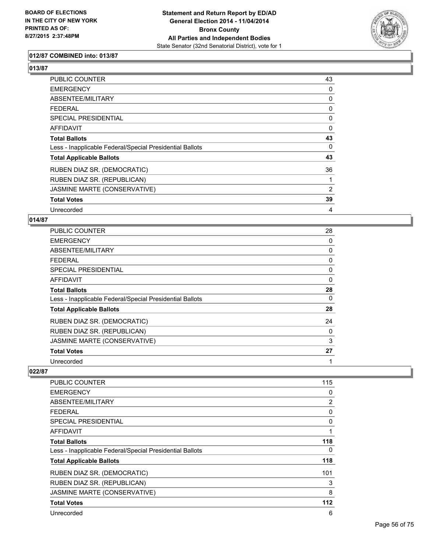

## **012/87 COMBINED into: 013/87**

**013/87** 

| PUBLIC COUNTER                                           | 43 |
|----------------------------------------------------------|----|
| <b>EMERGENCY</b>                                         | 0  |
| ABSENTEE/MILITARY                                        | 0  |
| <b>FEDERAL</b>                                           | 0  |
| <b>SPECIAL PRESIDENTIAL</b>                              | 0  |
| AFFIDAVIT                                                | 0  |
| <b>Total Ballots</b>                                     | 43 |
| Less - Inapplicable Federal/Special Presidential Ballots | 0  |
| <b>Total Applicable Ballots</b>                          | 43 |
| RUBEN DIAZ SR. (DEMOCRATIC)                              | 36 |
| RUBEN DIAZ SR. (REPUBLICAN)                              |    |
| JASMINE MARTE (CONSERVATIVE)                             | 2  |
| <b>Total Votes</b>                                       | 39 |
| Unrecorded                                               | 4  |

#### **014/87**

| <b>PUBLIC COUNTER</b>                                    | 28 |
|----------------------------------------------------------|----|
| <b>EMERGENCY</b>                                         | 0  |
| ABSENTEE/MILITARY                                        | 0  |
| <b>FEDERAL</b>                                           | 0  |
| SPECIAL PRESIDENTIAL                                     | 0  |
| AFFIDAVIT                                                | 0  |
| <b>Total Ballots</b>                                     | 28 |
| Less - Inapplicable Federal/Special Presidential Ballots | 0  |
| <b>Total Applicable Ballots</b>                          | 28 |
| RUBEN DIAZ SR. (DEMOCRATIC)                              | 24 |
| RUBEN DIAZ SR. (REPUBLICAN)                              | 0  |
| JASMINE MARTE (CONSERVATIVE)                             | 3  |
| <b>Total Votes</b>                                       | 27 |
| Unrecorded                                               | 1  |

| <b>PUBLIC COUNTER</b>                                    | 115 |
|----------------------------------------------------------|-----|
| <b>EMERGENCY</b>                                         | 0   |
| ABSENTEE/MILITARY                                        | 2   |
| FEDERAL                                                  | 0   |
| <b>SPECIAL PRESIDENTIAL</b>                              | 0   |
| AFFIDAVIT                                                | 1   |
| <b>Total Ballots</b>                                     | 118 |
| Less - Inapplicable Federal/Special Presidential Ballots | 0   |
| <b>Total Applicable Ballots</b>                          | 118 |
| RUBEN DIAZ SR. (DEMOCRATIC)                              | 101 |
| RUBEN DIAZ SR. (REPUBLICAN)                              | 3   |
| JASMINE MARTE (CONSERVATIVE)                             | 8   |
| <b>Total Votes</b>                                       | 112 |
| Unrecorded                                               | 6   |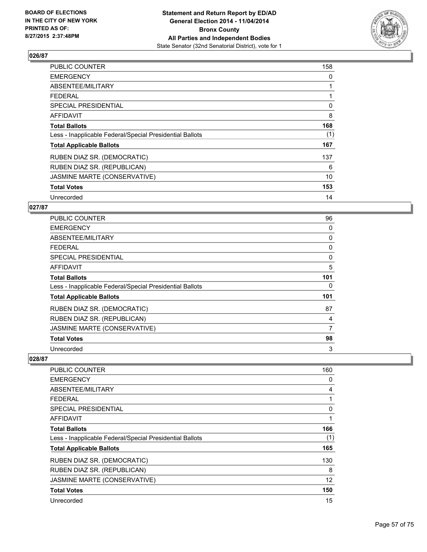

| <b>PUBLIC COUNTER</b>                                    | 158 |
|----------------------------------------------------------|-----|
| <b>EMERGENCY</b>                                         | 0   |
| ABSENTEE/MILITARY                                        | 1   |
| <b>FEDERAL</b>                                           | 1   |
| <b>SPECIAL PRESIDENTIAL</b>                              | 0   |
| <b>AFFIDAVIT</b>                                         | 8   |
| <b>Total Ballots</b>                                     | 168 |
| Less - Inapplicable Federal/Special Presidential Ballots | (1) |
| <b>Total Applicable Ballots</b>                          | 167 |
| RUBEN DIAZ SR. (DEMOCRATIC)                              | 137 |
| RUBEN DIAZ SR. (REPUBLICAN)                              | 6   |
| JASMINE MARTE (CONSERVATIVE)                             | 10  |
| <b>Total Votes</b>                                       | 153 |
| Unrecorded                                               | 14  |

### **027/87**

| PUBLIC COUNTER                                           | 96       |
|----------------------------------------------------------|----------|
| <b>EMERGENCY</b>                                         | 0        |
| ABSENTEE/MILITARY                                        | 0        |
| <b>FEDERAL</b>                                           | 0        |
| <b>SPECIAL PRESIDENTIAL</b>                              | $\Omega$ |
| <b>AFFIDAVIT</b>                                         | 5        |
| <b>Total Ballots</b>                                     | 101      |
| Less - Inapplicable Federal/Special Presidential Ballots | 0        |
| <b>Total Applicable Ballots</b>                          | 101      |
| RUBEN DIAZ SR. (DEMOCRATIC)                              | 87       |
| RUBEN DIAZ SR. (REPUBLICAN)                              | 4        |
| JASMINE MARTE (CONSERVATIVE)                             | 7        |
| <b>Total Votes</b>                                       | 98       |
| Unrecorded                                               | 3        |

| <b>PUBLIC COUNTER</b>                                    | 160 |
|----------------------------------------------------------|-----|
| <b>EMERGENCY</b>                                         | 0   |
| ABSENTEE/MILITARY                                        | 4   |
| <b>FEDERAL</b>                                           |     |
| <b>SPECIAL PRESIDENTIAL</b>                              | 0   |
| <b>AFFIDAVIT</b>                                         |     |
| <b>Total Ballots</b>                                     | 166 |
| Less - Inapplicable Federal/Special Presidential Ballots | (1) |
| <b>Total Applicable Ballots</b>                          | 165 |
| RUBEN DIAZ SR. (DEMOCRATIC)                              | 130 |
| RUBEN DIAZ SR. (REPUBLICAN)                              | 8   |
| JASMINE MARTE (CONSERVATIVE)                             | 12  |
| <b>Total Votes</b>                                       | 150 |
| Unrecorded                                               | 15  |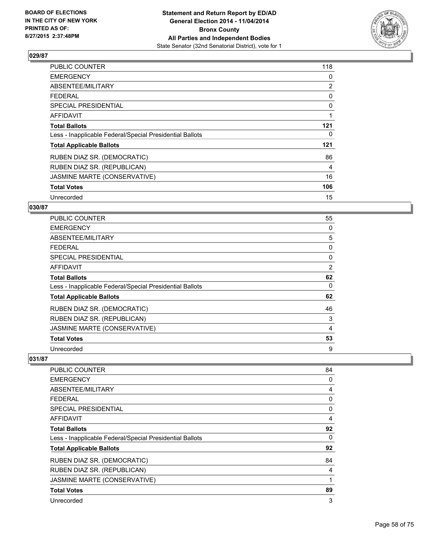

| PUBLIC COUNTER                                           | 118 |
|----------------------------------------------------------|-----|
| <b>EMERGENCY</b>                                         | 0   |
| ABSENTEE/MILITARY                                        | 2   |
| <b>FEDERAL</b>                                           | 0   |
| <b>SPECIAL PRESIDENTIAL</b>                              | 0   |
| AFFIDAVIT                                                | 1   |
| <b>Total Ballots</b>                                     | 121 |
| Less - Inapplicable Federal/Special Presidential Ballots | 0   |
| <b>Total Applicable Ballots</b>                          | 121 |
| RUBEN DIAZ SR. (DEMOCRATIC)                              | 86  |
| RUBEN DIAZ SR. (REPUBLICAN)                              | 4   |
| JASMINE MARTE (CONSERVATIVE)                             | 16  |
| <b>Total Votes</b>                                       | 106 |
| Unrecorded                                               | 15  |

# **030/87**

| PUBLIC COUNTER                                           | 55 |
|----------------------------------------------------------|----|
| <b>EMERGENCY</b>                                         | 0  |
| ABSENTEE/MILITARY                                        | 5  |
| FEDERAL                                                  | 0  |
| <b>SPECIAL PRESIDENTIAL</b>                              | 0  |
| <b>AFFIDAVIT</b>                                         | 2  |
| <b>Total Ballots</b>                                     | 62 |
| Less - Inapplicable Federal/Special Presidential Ballots | 0  |
| <b>Total Applicable Ballots</b>                          | 62 |
| RUBEN DIAZ SR. (DEMOCRATIC)                              | 46 |
| RUBEN DIAZ SR. (REPUBLICAN)                              | 3  |
| JASMINE MARTE (CONSERVATIVE)                             | 4  |
| <b>Total Votes</b>                                       | 53 |
| Unrecorded                                               | 9  |

| <b>PUBLIC COUNTER</b>                                    | 84 |
|----------------------------------------------------------|----|
| <b>EMERGENCY</b>                                         | 0  |
| ABSENTEE/MILITARY                                        | 4  |
| <b>FEDERAL</b>                                           | 0  |
| SPECIAL PRESIDENTIAL                                     | 0  |
| AFFIDAVIT                                                | 4  |
| <b>Total Ballots</b>                                     | 92 |
| Less - Inapplicable Federal/Special Presidential Ballots | 0  |
| <b>Total Applicable Ballots</b>                          | 92 |
| RUBEN DIAZ SR. (DEMOCRATIC)                              | 84 |
| RUBEN DIAZ SR. (REPUBLICAN)                              | 4  |
| JASMINE MARTE (CONSERVATIVE)                             | 1  |
| <b>Total Votes</b>                                       | 89 |
| Unrecorded                                               | 3  |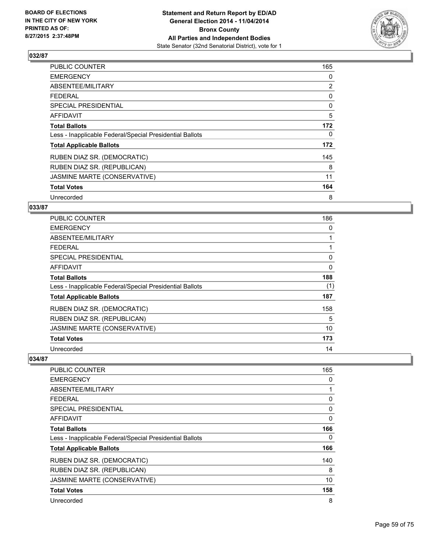

| <b>PUBLIC COUNTER</b>                                    | 165 |
|----------------------------------------------------------|-----|
| <b>EMERGENCY</b>                                         | 0   |
| ABSENTEE/MILITARY                                        | 2   |
| <b>FEDERAL</b>                                           | 0   |
| SPECIAL PRESIDENTIAL                                     | 0   |
| <b>AFFIDAVIT</b>                                         | 5   |
| <b>Total Ballots</b>                                     | 172 |
| Less - Inapplicable Federal/Special Presidential Ballots | 0   |
| <b>Total Applicable Ballots</b>                          | 172 |
| RUBEN DIAZ SR. (DEMOCRATIC)                              | 145 |
| RUBEN DIAZ SR. (REPUBLICAN)                              | 8   |
| JASMINE MARTE (CONSERVATIVE)                             | 11  |
| <b>Total Votes</b>                                       | 164 |
| Unrecorded                                               | 8   |

# **033/87**

| PUBLIC COUNTER                                           | 186 |
|----------------------------------------------------------|-----|
| <b>EMERGENCY</b>                                         | 0   |
| ABSENTEE/MILITARY                                        |     |
| <b>FEDERAL</b>                                           |     |
| <b>SPECIAL PRESIDENTIAL</b>                              | 0   |
| <b>AFFIDAVIT</b>                                         | 0   |
| <b>Total Ballots</b>                                     | 188 |
| Less - Inapplicable Federal/Special Presidential Ballots | (1) |
| <b>Total Applicable Ballots</b>                          | 187 |
| RUBEN DIAZ SR. (DEMOCRATIC)                              | 158 |
| RUBEN DIAZ SR. (REPUBLICAN)                              | 5   |
| JASMINE MARTE (CONSERVATIVE)                             | 10  |
| <b>Total Votes</b>                                       | 173 |
| Unrecorded                                               | 14  |

| <b>PUBLIC COUNTER</b>                                    | 165 |
|----------------------------------------------------------|-----|
| <b>EMERGENCY</b>                                         | 0   |
| ABSENTEE/MILITARY                                        |     |
| <b>FEDERAL</b>                                           | 0   |
| SPECIAL PRESIDENTIAL                                     | 0   |
| AFFIDAVIT                                                | 0   |
| <b>Total Ballots</b>                                     | 166 |
| Less - Inapplicable Federal/Special Presidential Ballots | 0   |
| <b>Total Applicable Ballots</b>                          | 166 |
| RUBEN DIAZ SR. (DEMOCRATIC)                              | 140 |
| RUBEN DIAZ SR. (REPUBLICAN)                              | 8   |
| JASMINE MARTE (CONSERVATIVE)                             | 10  |
| <b>Total Votes</b>                                       | 158 |
| Unrecorded                                               | 8   |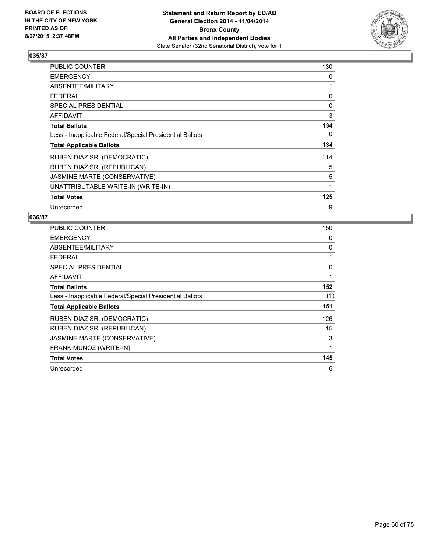

| PUBLIC COUNTER                                           | 130 |
|----------------------------------------------------------|-----|
| <b>EMERGENCY</b>                                         | 0   |
| ABSENTEE/MILITARY                                        | 1   |
| <b>FEDERAL</b>                                           | 0   |
| <b>SPECIAL PRESIDENTIAL</b>                              | 0   |
| <b>AFFIDAVIT</b>                                         | 3   |
| <b>Total Ballots</b>                                     | 134 |
| Less - Inapplicable Federal/Special Presidential Ballots | 0   |
| <b>Total Applicable Ballots</b>                          | 134 |
| RUBEN DIAZ SR. (DEMOCRATIC)                              | 114 |
| RUBEN DIAZ SR. (REPUBLICAN)                              | 5   |
| JASMINE MARTE (CONSERVATIVE)                             | 5   |
| UNATTRIBUTABLE WRITE-IN (WRITE-IN)                       | 1   |
| <b>Total Votes</b>                                       | 125 |
| Unrecorded                                               | 9   |

| <b>PUBLIC COUNTER</b>                                    | 150 |
|----------------------------------------------------------|-----|
| <b>EMERGENCY</b>                                         | 0   |
| ABSENTEE/MILITARY                                        | 0   |
| <b>FEDERAL</b>                                           | 1   |
| SPECIAL PRESIDENTIAL                                     | 0   |
| <b>AFFIDAVIT</b>                                         | 1   |
| <b>Total Ballots</b>                                     | 152 |
| Less - Inapplicable Federal/Special Presidential Ballots | (1) |
| <b>Total Applicable Ballots</b>                          | 151 |
| RUBEN DIAZ SR. (DEMOCRATIC)                              | 126 |
| RUBEN DIAZ SR. (REPUBLICAN)                              | 15  |
| JASMINE MARTE (CONSERVATIVE)                             | 3   |
| FRANK MUNOZ (WRITE-IN)                                   | 1   |
| <b>Total Votes</b>                                       | 145 |
| Unrecorded                                               | 6   |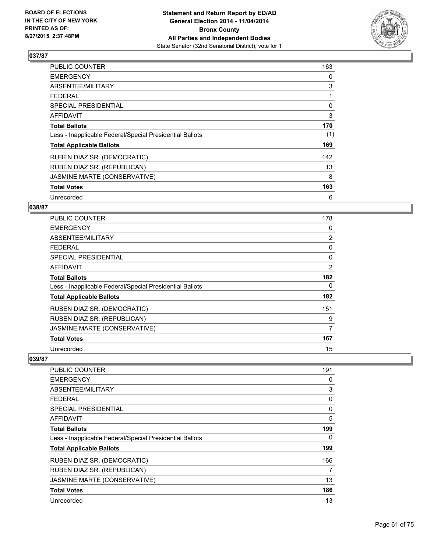

| PUBLIC COUNTER                                           | 163 |
|----------------------------------------------------------|-----|
| <b>EMERGENCY</b>                                         | 0   |
| ABSENTEE/MILITARY                                        | 3   |
| <b>FEDERAL</b>                                           | 1   |
| SPECIAL PRESIDENTIAL                                     | 0   |
| AFFIDAVIT                                                | 3   |
| <b>Total Ballots</b>                                     | 170 |
| Less - Inapplicable Federal/Special Presidential Ballots | (1) |
| <b>Total Applicable Ballots</b>                          | 169 |
| RUBEN DIAZ SR. (DEMOCRATIC)                              | 142 |
| RUBEN DIAZ SR. (REPUBLICAN)                              | 13  |
| JASMINE MARTE (CONSERVATIVE)                             | 8   |
| <b>Total Votes</b>                                       | 163 |
| Unrecorded                                               | 6   |

# **038/87**

| PUBLIC COUNTER                                           | 178            |
|----------------------------------------------------------|----------------|
| <b>EMERGENCY</b>                                         | 0              |
| ABSENTEE/MILITARY                                        | $\overline{2}$ |
| <b>FEDERAL</b>                                           | 0              |
| <b>SPECIAL PRESIDENTIAL</b>                              | 0              |
| <b>AFFIDAVIT</b>                                         | $\overline{2}$ |
| <b>Total Ballots</b>                                     | 182            |
| Less - Inapplicable Federal/Special Presidential Ballots | 0              |
| <b>Total Applicable Ballots</b>                          | 182            |
| RUBEN DIAZ SR. (DEMOCRATIC)                              | 151            |
| RUBEN DIAZ SR. (REPUBLICAN)                              | 9              |
| JASMINE MARTE (CONSERVATIVE)                             | 7              |
| <b>Total Votes</b>                                       | 167            |
| Unrecorded                                               | 15             |

| <b>PUBLIC COUNTER</b>                                    | 191 |
|----------------------------------------------------------|-----|
| <b>EMERGENCY</b>                                         | 0   |
| ABSENTEE/MILITARY                                        | 3   |
| <b>FEDERAL</b>                                           | 0   |
| SPECIAL PRESIDENTIAL                                     | 0   |
| AFFIDAVIT                                                | 5   |
| <b>Total Ballots</b>                                     | 199 |
| Less - Inapplicable Federal/Special Presidential Ballots | 0   |
| <b>Total Applicable Ballots</b>                          | 199 |
| RUBEN DIAZ SR. (DEMOCRATIC)                              | 166 |
| RUBEN DIAZ SR. (REPUBLICAN)                              | 7   |
| JASMINE MARTE (CONSERVATIVE)                             | 13  |
| <b>Total Votes</b>                                       | 186 |
| Unrecorded                                               | 13  |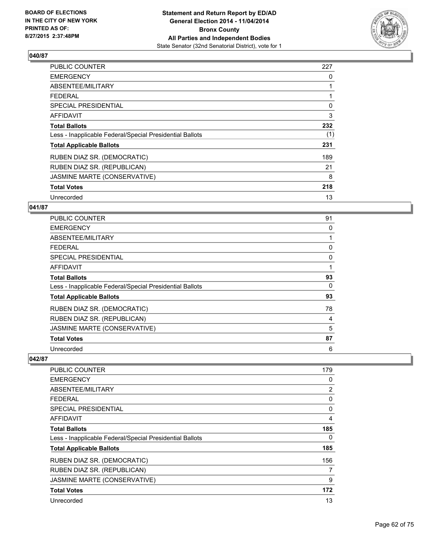

| <b>PUBLIC COUNTER</b>                                    | 227 |
|----------------------------------------------------------|-----|
| <b>EMERGENCY</b>                                         | 0   |
| ABSENTEE/MILITARY                                        | 1   |
| <b>FEDERAL</b>                                           |     |
| SPECIAL PRESIDENTIAL                                     | 0   |
| AFFIDAVIT                                                | 3   |
| <b>Total Ballots</b>                                     | 232 |
| Less - Inapplicable Federal/Special Presidential Ballots | (1) |
| <b>Total Applicable Ballots</b>                          | 231 |
| RUBEN DIAZ SR. (DEMOCRATIC)                              | 189 |
| RUBEN DIAZ SR. (REPUBLICAN)                              | 21  |
| JASMINE MARTE (CONSERVATIVE)                             | 8   |
| <b>Total Votes</b>                                       | 218 |
| Unrecorded                                               | 13  |

### **041/87**

| <b>PUBLIC COUNTER</b>                                    | 91 |
|----------------------------------------------------------|----|
| <b>EMERGENCY</b>                                         | 0  |
| ABSENTEE/MILITARY                                        |    |
| <b>FEDERAL</b>                                           | 0  |
| <b>SPECIAL PRESIDENTIAL</b>                              | 0  |
| <b>AFFIDAVIT</b>                                         |    |
| <b>Total Ballots</b>                                     | 93 |
| Less - Inapplicable Federal/Special Presidential Ballots | 0  |
| <b>Total Applicable Ballots</b>                          | 93 |
| RUBEN DIAZ SR. (DEMOCRATIC)                              | 78 |
| RUBEN DIAZ SR. (REPUBLICAN)                              | 4  |
| JASMINE MARTE (CONSERVATIVE)                             | 5  |
| <b>Total Votes</b>                                       | 87 |
| Unrecorded                                               | 6  |

| <b>PUBLIC COUNTER</b>                                    | 179            |
|----------------------------------------------------------|----------------|
| <b>EMERGENCY</b>                                         | 0              |
| ABSENTEE/MILITARY                                        | $\overline{2}$ |
| <b>FEDERAL</b>                                           | 0              |
| SPECIAL PRESIDENTIAL                                     | 0              |
| AFFIDAVIT                                                | 4              |
| <b>Total Ballots</b>                                     | 185            |
| Less - Inapplicable Federal/Special Presidential Ballots | 0              |
| <b>Total Applicable Ballots</b>                          | 185            |
| RUBEN DIAZ SR. (DEMOCRATIC)                              | 156            |
| RUBEN DIAZ SR. (REPUBLICAN)                              | 7              |
| JASMINE MARTE (CONSERVATIVE)                             | 9              |
| <b>Total Votes</b>                                       | 172            |
| Unrecorded                                               | 13             |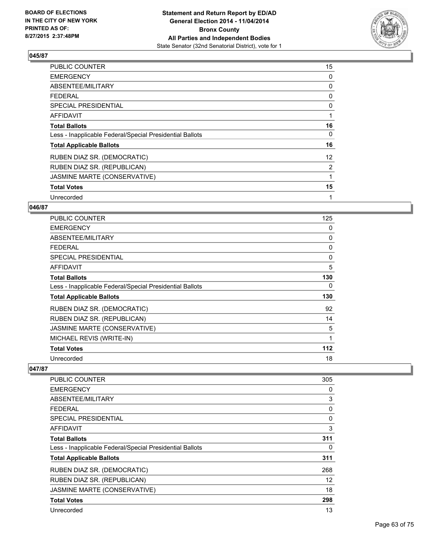

| <b>PUBLIC COUNTER</b>                                    | 15                |
|----------------------------------------------------------|-------------------|
| <b>EMERGENCY</b>                                         | 0                 |
| ABSENTEE/MILITARY                                        | 0                 |
| <b>FEDERAL</b>                                           | 0                 |
| <b>SPECIAL PRESIDENTIAL</b>                              | 0                 |
| AFFIDAVIT                                                | 1                 |
| <b>Total Ballots</b>                                     | 16                |
| Less - Inapplicable Federal/Special Presidential Ballots | 0                 |
| <b>Total Applicable Ballots</b>                          | 16                |
| RUBEN DIAZ SR. (DEMOCRATIC)                              | $12 \overline{ }$ |
| RUBEN DIAZ SR. (REPUBLICAN)                              | 2                 |
| JASMINE MARTE (CONSERVATIVE)                             | 1                 |
| <b>Total Votes</b>                                       | 15                |
| Unrecorded                                               | 1                 |

### **046/87**

| <b>PUBLIC COUNTER</b>                                    | 125 |
|----------------------------------------------------------|-----|
| <b>EMERGENCY</b>                                         | 0   |
| ABSENTEE/MILITARY                                        | 0   |
| <b>FEDERAL</b>                                           | 0   |
| <b>SPECIAL PRESIDENTIAL</b>                              | 0   |
| AFFIDAVIT                                                | 5   |
| <b>Total Ballots</b>                                     | 130 |
| Less - Inapplicable Federal/Special Presidential Ballots | 0   |
| <b>Total Applicable Ballots</b>                          | 130 |
| RUBEN DIAZ SR. (DEMOCRATIC)                              | 92  |
| RUBEN DIAZ SR. (REPUBLICAN)                              | 14  |
| JASMINE MARTE (CONSERVATIVE)                             | 5   |
| MICHAEL REVIS (WRITE-IN)                                 | 1   |
| <b>Total Votes</b>                                       | 112 |
| Unrecorded                                               | 18  |

| PUBLIC COUNTER                                           | 305               |
|----------------------------------------------------------|-------------------|
| <b>EMERGENCY</b>                                         | 0                 |
| ABSENTEE/MILITARY                                        | 3                 |
| <b>FEDERAL</b>                                           | 0                 |
| SPECIAL PRESIDENTIAL                                     | 0                 |
| AFFIDAVIT                                                | 3                 |
| <b>Total Ballots</b>                                     | 311               |
| Less - Inapplicable Federal/Special Presidential Ballots | 0                 |
| <b>Total Applicable Ballots</b>                          | 311               |
| RUBEN DIAZ SR. (DEMOCRATIC)                              | 268               |
| RUBEN DIAZ SR. (REPUBLICAN)                              | $12 \overline{ }$ |
| JASMINE MARTE (CONSERVATIVE)                             | 18                |
| <b>Total Votes</b>                                       | 298               |
| Unrecorded                                               | 13                |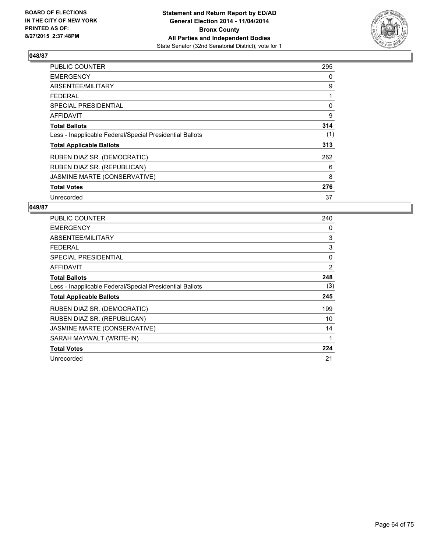

| <b>PUBLIC COUNTER</b>                                    | 295 |
|----------------------------------------------------------|-----|
| <b>EMERGENCY</b>                                         | 0   |
| ABSENTEE/MILITARY                                        | 9   |
| <b>FEDERAL</b>                                           | 1   |
| SPECIAL PRESIDENTIAL                                     | 0   |
| <b>AFFIDAVIT</b>                                         | 9   |
| <b>Total Ballots</b>                                     | 314 |
| Less - Inapplicable Federal/Special Presidential Ballots | (1) |
| <b>Total Applicable Ballots</b>                          | 313 |
| RUBEN DIAZ SR. (DEMOCRATIC)                              | 262 |
| RUBEN DIAZ SR. (REPUBLICAN)                              | 6   |
| JASMINE MARTE (CONSERVATIVE)                             | 8   |
| <b>Total Votes</b>                                       | 276 |
| Unrecorded                                               | 37  |

| <b>PUBLIC COUNTER</b>                                    | 240 |
|----------------------------------------------------------|-----|
| <b>EMERGENCY</b>                                         | 0   |
| ABSENTEE/MILITARY                                        | 3   |
| <b>FEDERAL</b>                                           | 3   |
| <b>SPECIAL PRESIDENTIAL</b>                              | 0   |
| AFFIDAVIT                                                | 2   |
| <b>Total Ballots</b>                                     | 248 |
| Less - Inapplicable Federal/Special Presidential Ballots | (3) |
| <b>Total Applicable Ballots</b>                          | 245 |
| RUBEN DIAZ SR. (DEMOCRATIC)                              | 199 |
| RUBEN DIAZ SR. (REPUBLICAN)                              | 10  |
| JASMINE MARTE (CONSERVATIVE)                             | 14  |
| SARAH MAYWALT (WRITE-IN)                                 | 1   |
| <b>Total Votes</b>                                       | 224 |
| Unrecorded                                               | 21  |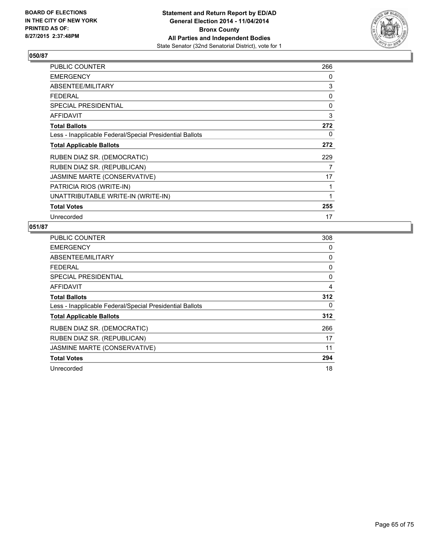

| PUBLIC COUNTER                                           | 266 |
|----------------------------------------------------------|-----|
| <b>EMERGENCY</b>                                         | 0   |
| ABSENTEE/MILITARY                                        | 3   |
| <b>FEDERAL</b>                                           | 0   |
| <b>SPECIAL PRESIDENTIAL</b>                              | 0   |
| AFFIDAVIT                                                | 3   |
| <b>Total Ballots</b>                                     | 272 |
| Less - Inapplicable Federal/Special Presidential Ballots | 0   |
| <b>Total Applicable Ballots</b>                          | 272 |
| RUBEN DIAZ SR. (DEMOCRATIC)                              | 229 |
| RUBEN DIAZ SR. (REPUBLICAN)                              | 7   |
| JASMINE MARTE (CONSERVATIVE)                             | 17  |
| PATRICIA RIOS (WRITE-IN)                                 | 1   |
| UNATTRIBUTABLE WRITE-IN (WRITE-IN)                       | 1   |
| <b>Total Votes</b>                                       | 255 |
| Unrecorded                                               | 17  |

| <b>PUBLIC COUNTER</b>                                    | 308 |
|----------------------------------------------------------|-----|
| <b>EMERGENCY</b>                                         | 0   |
| ABSENTEE/MILITARY                                        | 0   |
| <b>FEDERAL</b>                                           | 0   |
| <b>SPECIAL PRESIDENTIAL</b>                              | 0   |
| <b>AFFIDAVIT</b>                                         | 4   |
| <b>Total Ballots</b>                                     | 312 |
| Less - Inapplicable Federal/Special Presidential Ballots | 0   |
| <b>Total Applicable Ballots</b>                          | 312 |
| RUBEN DIAZ SR. (DEMOCRATIC)                              | 266 |
| RUBEN DIAZ SR. (REPUBLICAN)                              | 17  |
| JASMINE MARTE (CONSERVATIVE)                             | 11  |
| <b>Total Votes</b>                                       | 294 |
| Unrecorded                                               | 18  |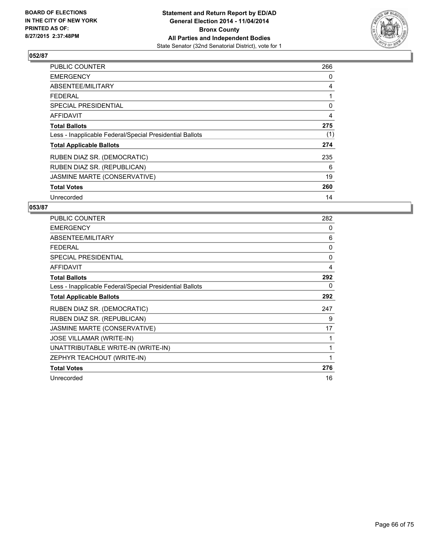

| <b>PUBLIC COUNTER</b>                                    | 266 |
|----------------------------------------------------------|-----|
| <b>EMERGENCY</b>                                         | 0   |
| ABSENTEE/MILITARY                                        | 4   |
| <b>FEDERAL</b>                                           |     |
| SPECIAL PRESIDENTIAL                                     | 0   |
| AFFIDAVIT                                                | 4   |
| <b>Total Ballots</b>                                     | 275 |
| Less - Inapplicable Federal/Special Presidential Ballots | (1) |
| <b>Total Applicable Ballots</b>                          | 274 |
| RUBEN DIAZ SR. (DEMOCRATIC)                              | 235 |
| RUBEN DIAZ SR. (REPUBLICAN)                              | 6   |
| JASMINE MARTE (CONSERVATIVE)                             | 19  |
| <b>Total Votes</b>                                       | 260 |
| Unrecorded                                               | 14  |

| <b>PUBLIC COUNTER</b>                                    | 282      |
|----------------------------------------------------------|----------|
| <b>EMERGENCY</b>                                         | 0        |
| ABSENTEE/MILITARY                                        | 6        |
| <b>FEDERAL</b>                                           | $\Omega$ |
| <b>SPECIAL PRESIDENTIAL</b>                              | $\Omega$ |
| AFFIDAVIT                                                | 4        |
| <b>Total Ballots</b>                                     | 292      |
| Less - Inapplicable Federal/Special Presidential Ballots | 0        |
| <b>Total Applicable Ballots</b>                          | 292      |
| RUBEN DIAZ SR. (DEMOCRATIC)                              | 247      |
| RUBEN DIAZ SR. (REPUBLICAN)                              | 9        |
| JASMINE MARTE (CONSERVATIVE)                             | 17       |
| <b>JOSE VILLAMAR (WRITE-IN)</b>                          |          |
| UNATTRIBUTABLE WRITE-IN (WRITE-IN)                       | 1        |
| ZEPHYR TEACHOUT (WRITE-IN)                               | 1        |
| <b>Total Votes</b>                                       | 276      |
| Unrecorded                                               | 16       |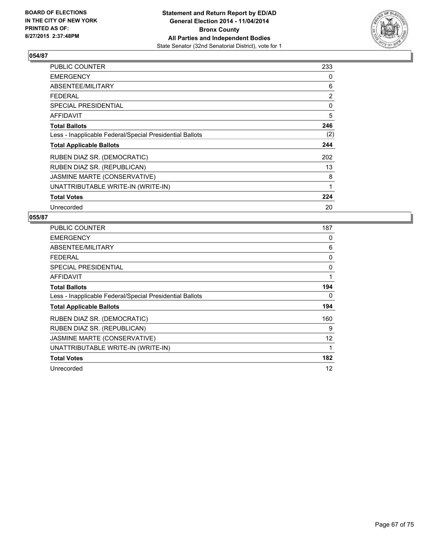

| <b>PUBLIC COUNTER</b>                                    | 233 |
|----------------------------------------------------------|-----|
| <b>EMERGENCY</b>                                         | 0   |
| ABSENTEE/MILITARY                                        | 6   |
| <b>FEDERAL</b>                                           | 2   |
| <b>SPECIAL PRESIDENTIAL</b>                              | 0   |
| <b>AFFIDAVIT</b>                                         | 5   |
| <b>Total Ballots</b>                                     | 246 |
| Less - Inapplicable Federal/Special Presidential Ballots | (2) |
| <b>Total Applicable Ballots</b>                          | 244 |
| RUBEN DIAZ SR. (DEMOCRATIC)                              | 202 |
| RUBEN DIAZ SR. (REPUBLICAN)                              | 13  |
| JASMINE MARTE (CONSERVATIVE)                             | 8   |
| UNATTRIBUTABLE WRITE-IN (WRITE-IN)                       | 1   |
| <b>Total Votes</b>                                       | 224 |
| Unrecorded                                               | 20  |

| <b>PUBLIC COUNTER</b>                                    | 187 |
|----------------------------------------------------------|-----|
| <b>EMERGENCY</b>                                         | 0   |
| ABSENTEE/MILITARY                                        | 6   |
| <b>FEDERAL</b>                                           | 0   |
| <b>SPECIAL PRESIDENTIAL</b>                              | 0   |
| AFFIDAVIT                                                | 1   |
| <b>Total Ballots</b>                                     | 194 |
| Less - Inapplicable Federal/Special Presidential Ballots | 0   |
| <b>Total Applicable Ballots</b>                          | 194 |
| RUBEN DIAZ SR. (DEMOCRATIC)                              | 160 |
| RUBEN DIAZ SR. (REPUBLICAN)                              | 9   |
| JASMINE MARTE (CONSERVATIVE)                             | 12  |
| UNATTRIBUTABLE WRITE-IN (WRITE-IN)                       | 1   |
| <b>Total Votes</b>                                       | 182 |
| Unrecorded                                               | 12  |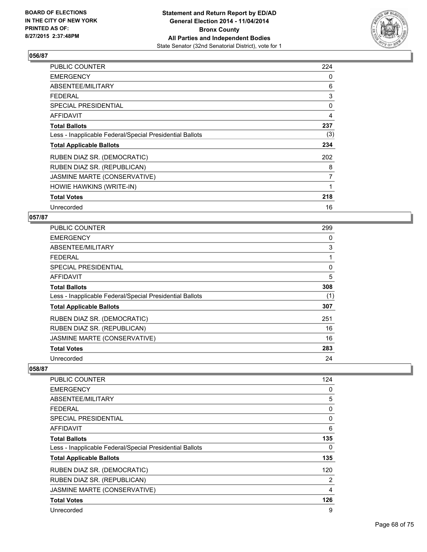

| PUBLIC COUNTER                                           | 224 |
|----------------------------------------------------------|-----|
| <b>EMERGENCY</b>                                         | 0   |
| ABSENTEE/MILITARY                                        | 6   |
| <b>FEDERAL</b>                                           | 3   |
| <b>SPECIAL PRESIDENTIAL</b>                              | 0   |
| <b>AFFIDAVIT</b>                                         | 4   |
| <b>Total Ballots</b>                                     | 237 |
| Less - Inapplicable Federal/Special Presidential Ballots | (3) |
| <b>Total Applicable Ballots</b>                          | 234 |
| RUBEN DIAZ SR. (DEMOCRATIC)                              | 202 |
| RUBEN DIAZ SR. (REPUBLICAN)                              | 8   |
| JASMINE MARTE (CONSERVATIVE)                             | 7   |
| HOWIE HAWKINS (WRITE-IN)                                 | 1   |
| <b>Total Votes</b>                                       | 218 |
| Unrecorded                                               | 16  |

# **057/87**

| <b>PUBLIC COUNTER</b>                                    | 299 |
|----------------------------------------------------------|-----|
| <b>EMERGENCY</b>                                         | 0   |
| ABSENTEE/MILITARY                                        | 3   |
| <b>FEDERAL</b>                                           | 1   |
| SPECIAL PRESIDENTIAL                                     | 0   |
| AFFIDAVIT                                                | 5   |
| <b>Total Ballots</b>                                     | 308 |
| Less - Inapplicable Federal/Special Presidential Ballots | (1) |
| <b>Total Applicable Ballots</b>                          | 307 |
| RUBEN DIAZ SR. (DEMOCRATIC)                              | 251 |
| RUBEN DIAZ SR. (REPUBLICAN)                              | 16  |
| JASMINE MARTE (CONSERVATIVE)                             | 16  |
| <b>Total Votes</b>                                       | 283 |
| Unrecorded                                               | 24  |

| <b>PUBLIC COUNTER</b>                                    | 124 |
|----------------------------------------------------------|-----|
| <b>EMERGENCY</b>                                         | 0   |
| ABSENTEE/MILITARY                                        | 5   |
| <b>FEDERAL</b>                                           | 0   |
| <b>SPECIAL PRESIDENTIAL</b>                              | 0   |
| AFFIDAVIT                                                | 6   |
| <b>Total Ballots</b>                                     | 135 |
| Less - Inapplicable Federal/Special Presidential Ballots | 0   |
| <b>Total Applicable Ballots</b>                          | 135 |
| RUBEN DIAZ SR. (DEMOCRATIC)                              | 120 |
| RUBEN DIAZ SR. (REPUBLICAN)                              | 2   |
| JASMINE MARTE (CONSERVATIVE)                             | 4   |
| <b>Total Votes</b>                                       | 126 |
| Unrecorded                                               | 9   |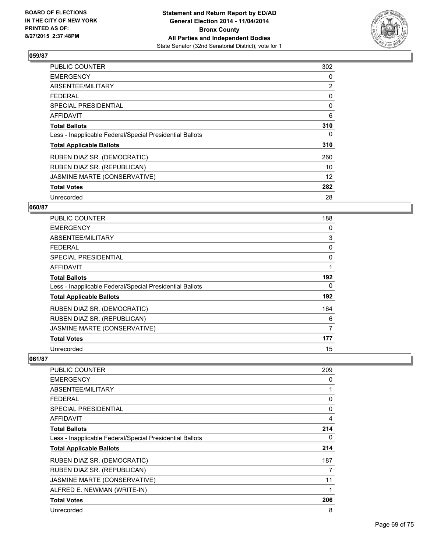

| <b>PUBLIC COUNTER</b>                                    | 302            |
|----------------------------------------------------------|----------------|
| <b>EMERGENCY</b>                                         | 0              |
| ABSENTEE/MILITARY                                        | $\overline{2}$ |
| <b>FEDERAL</b>                                           | 0              |
| <b>SPECIAL PRESIDENTIAL</b>                              | 0              |
| AFFIDAVIT                                                | 6              |
| <b>Total Ballots</b>                                     | 310            |
| Less - Inapplicable Federal/Special Presidential Ballots | 0              |
| <b>Total Applicable Ballots</b>                          | 310            |
| RUBEN DIAZ SR. (DEMOCRATIC)                              | 260            |
| RUBEN DIAZ SR. (REPUBLICAN)                              | 10             |
| JASMINE MARTE (CONSERVATIVE)                             | 12             |
| <b>Total Votes</b>                                       | 282            |
| Unrecorded                                               | 28             |

# **060/87**

| PUBLIC COUNTER                                           | 188 |
|----------------------------------------------------------|-----|
| <b>EMERGENCY</b>                                         | 0   |
| ABSENTEE/MILITARY                                        | 3   |
| <b>FEDERAL</b>                                           | 0   |
| <b>SPECIAL PRESIDENTIAL</b>                              | 0   |
| <b>AFFIDAVIT</b>                                         | 1   |
| <b>Total Ballots</b>                                     | 192 |
| Less - Inapplicable Federal/Special Presidential Ballots | 0   |
| <b>Total Applicable Ballots</b>                          | 192 |
| RUBEN DIAZ SR. (DEMOCRATIC)                              | 164 |
| RUBEN DIAZ SR. (REPUBLICAN)                              | 6   |
| JASMINE MARTE (CONSERVATIVE)                             | 7   |
| <b>Total Votes</b>                                       | 177 |
| Unrecorded                                               | 15  |

| PUBLIC COUNTER                                           | 209 |
|----------------------------------------------------------|-----|
| <b>EMERGENCY</b>                                         | 0   |
| ABSENTEE/MILITARY                                        | 1   |
| <b>FEDERAL</b>                                           | 0   |
| <b>SPECIAL PRESIDENTIAL</b>                              | 0   |
| <b>AFFIDAVIT</b>                                         | 4   |
| <b>Total Ballots</b>                                     | 214 |
| Less - Inapplicable Federal/Special Presidential Ballots | 0   |
| <b>Total Applicable Ballots</b>                          | 214 |
| RUBEN DIAZ SR. (DEMOCRATIC)                              | 187 |
| RUBEN DIAZ SR. (REPUBLICAN)                              | 7   |
| JASMINE MARTE (CONSERVATIVE)                             | 11  |
| ALFRED E. NEWMAN (WRITE-IN)                              | 1   |
| <b>Total Votes</b>                                       | 206 |
| Unrecorded                                               | 8   |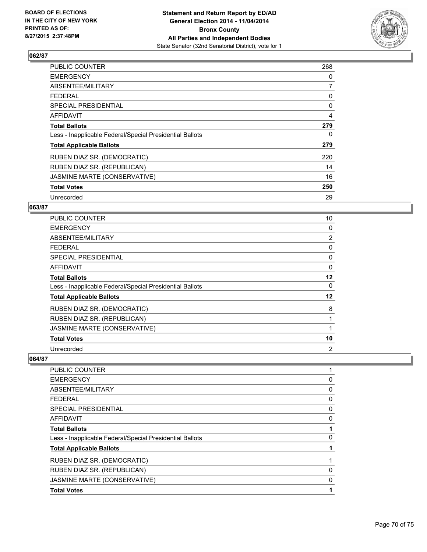

| <b>PUBLIC COUNTER</b>                                    | 268 |
|----------------------------------------------------------|-----|
| <b>EMERGENCY</b>                                         | 0   |
| ABSENTEE/MILITARY                                        | 7   |
| <b>FEDERAL</b>                                           | 0   |
| SPECIAL PRESIDENTIAL                                     | 0   |
| <b>AFFIDAVIT</b>                                         | 4   |
| <b>Total Ballots</b>                                     | 279 |
| Less - Inapplicable Federal/Special Presidential Ballots | 0   |
| <b>Total Applicable Ballots</b>                          | 279 |
| RUBEN DIAZ SR. (DEMOCRATIC)                              | 220 |
| RUBEN DIAZ SR. (REPUBLICAN)                              | 14  |
| JASMINE MARTE (CONSERVATIVE)                             | 16  |
| <b>Total Votes</b>                                       | 250 |
| Unrecorded                                               | 29  |

#### **063/87**

| <b>PUBLIC COUNTER</b>                                    | 10             |
|----------------------------------------------------------|----------------|
| <b>EMERGENCY</b>                                         | 0              |
| ABSENTEE/MILITARY                                        | $\overline{2}$ |
| <b>FEDERAL</b>                                           | 0              |
| <b>SPECIAL PRESIDENTIAL</b>                              | 0              |
| AFFIDAVIT                                                | 0              |
| <b>Total Ballots</b>                                     | $12 \,$        |
| Less - Inapplicable Federal/Special Presidential Ballots | 0              |
| <b>Total Applicable Ballots</b>                          | $12 \,$        |
| RUBEN DIAZ SR. (DEMOCRATIC)                              | 8              |
| RUBEN DIAZ SR. (REPUBLICAN)                              | 1              |
| JASMINE MARTE (CONSERVATIVE)                             |                |
| <b>Total Votes</b>                                       | 10             |
| Unrecorded                                               | $\overline{2}$ |

| <b>PUBLIC COUNTER</b>                                    |   |
|----------------------------------------------------------|---|
| <b>EMERGENCY</b>                                         | 0 |
| ABSENTEE/MILITARY                                        | 0 |
| <b>FEDERAL</b>                                           | 0 |
| SPECIAL PRESIDENTIAL                                     | 0 |
| <b>AFFIDAVIT</b>                                         | 0 |
| <b>Total Ballots</b>                                     |   |
| Less - Inapplicable Federal/Special Presidential Ballots | 0 |
| <b>Total Applicable Ballots</b>                          |   |
| RUBEN DIAZ SR. (DEMOCRATIC)                              |   |
| RUBEN DIAZ SR. (REPUBLICAN)                              | 0 |
| JASMINE MARTE (CONSERVATIVE)                             | 0 |
| <b>Total Votes</b>                                       |   |
|                                                          |   |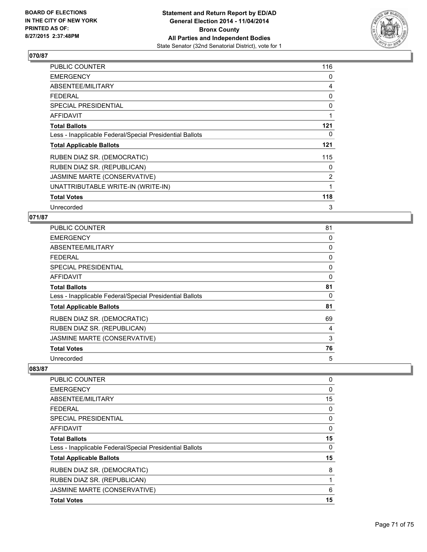

| PUBLIC COUNTER                                           | 116 |
|----------------------------------------------------------|-----|
| <b>EMERGENCY</b>                                         | 0   |
| ABSENTEE/MILITARY                                        | 4   |
| <b>FEDERAL</b>                                           | 0   |
| <b>SPECIAL PRESIDENTIAL</b>                              | 0   |
| <b>AFFIDAVIT</b>                                         | 1   |
| <b>Total Ballots</b>                                     | 121 |
| Less - Inapplicable Federal/Special Presidential Ballots | 0   |
| <b>Total Applicable Ballots</b>                          | 121 |
| RUBEN DIAZ SR. (DEMOCRATIC)                              | 115 |
| RUBEN DIAZ SR. (REPUBLICAN)                              | 0   |
| JASMINE MARTE (CONSERVATIVE)                             | 2   |
| UNATTRIBUTABLE WRITE-IN (WRITE-IN)                       | 1   |
| <b>Total Votes</b>                                       | 118 |
| Unrecorded                                               | 3   |

# **071/87**

| <b>PUBLIC COUNTER</b>                                    | 81 |
|----------------------------------------------------------|----|
| <b>EMERGENCY</b>                                         | 0  |
| ABSENTEE/MILITARY                                        | 0  |
| <b>FEDERAL</b>                                           | 0  |
| <b>SPECIAL PRESIDENTIAL</b>                              | 0  |
| <b>AFFIDAVIT</b>                                         | 0  |
| <b>Total Ballots</b>                                     | 81 |
| Less - Inapplicable Federal/Special Presidential Ballots | 0  |
| <b>Total Applicable Ballots</b>                          | 81 |
| RUBEN DIAZ SR. (DEMOCRATIC)                              | 69 |
| RUBEN DIAZ SR. (REPUBLICAN)                              | 4  |
| JASMINE MARTE (CONSERVATIVE)                             | 3  |
| <b>Total Votes</b>                                       | 76 |
| Unrecorded                                               | 5  |

| 0  |
|----|
| 0  |
| 15 |
| 0  |
| 0  |
| 0  |
| 15 |
| 0  |
| 15 |
| 8  |
| 1  |
| 6  |
| 15 |
|    |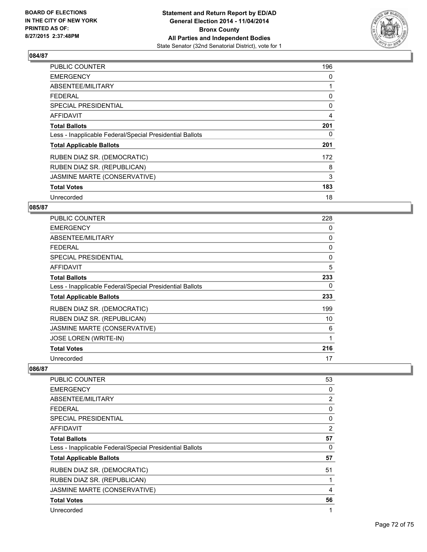

| PUBLIC COUNTER                                           | 196 |
|----------------------------------------------------------|-----|
| <b>EMERGENCY</b>                                         | 0   |
| ABSENTEE/MILITARY                                        | 1   |
| <b>FEDERAL</b>                                           | 0   |
| <b>SPECIAL PRESIDENTIAL</b>                              | 0   |
| AFFIDAVIT                                                | 4   |
| <b>Total Ballots</b>                                     | 201 |
| Less - Inapplicable Federal/Special Presidential Ballots | 0   |
| <b>Total Applicable Ballots</b>                          | 201 |
| RUBEN DIAZ SR. (DEMOCRATIC)                              | 172 |
| RUBEN DIAZ SR. (REPUBLICAN)                              | 8   |
| JASMINE MARTE (CONSERVATIVE)                             | 3   |
| <b>Total Votes</b>                                       | 183 |
| Unrecorded                                               | 18  |

# **085/87**

| PUBLIC COUNTER                                           | 228 |
|----------------------------------------------------------|-----|
| <b>EMERGENCY</b>                                         | 0   |
| ABSENTEE/MILITARY                                        | 0   |
| <b>FEDERAL</b>                                           | 0   |
| <b>SPECIAL PRESIDENTIAL</b>                              | 0   |
| <b>AFFIDAVIT</b>                                         | 5   |
| <b>Total Ballots</b>                                     | 233 |
| Less - Inapplicable Federal/Special Presidential Ballots | 0   |
| <b>Total Applicable Ballots</b>                          | 233 |
| RUBEN DIAZ SR. (DEMOCRATIC)                              | 199 |
| RUBEN DIAZ SR. (REPUBLICAN)                              | 10  |
| JASMINE MARTE (CONSERVATIVE)                             | 6   |
| JOSE LOREN (WRITE-IN)                                    | 1   |
| <b>Total Votes</b>                                       | 216 |
| Unrecorded                                               | 17  |

| <b>PUBLIC COUNTER</b>                                    | 53             |
|----------------------------------------------------------|----------------|
| <b>EMERGENCY</b>                                         | 0              |
| ABSENTEE/MILITARY                                        | 2              |
| <b>FEDERAL</b>                                           | 0              |
| SPECIAL PRESIDENTIAL                                     | 0              |
| AFFIDAVIT                                                | $\overline{2}$ |
| <b>Total Ballots</b>                                     | 57             |
| Less - Inapplicable Federal/Special Presidential Ballots | 0              |
| <b>Total Applicable Ballots</b>                          | 57             |
| RUBEN DIAZ SR. (DEMOCRATIC)                              | 51             |
| RUBEN DIAZ SR. (REPUBLICAN)                              | 1              |
| JASMINE MARTE (CONSERVATIVE)                             | 4              |
| <b>Total Votes</b>                                       | 56             |
| Unrecorded                                               | 1              |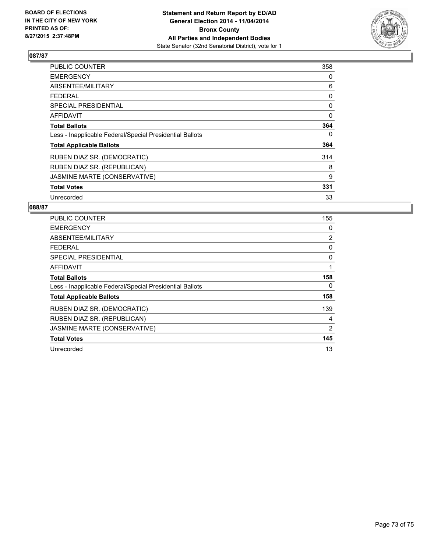

## **087/87**

| <b>PUBLIC COUNTER</b>                                    | 358 |
|----------------------------------------------------------|-----|
| <b>EMERGENCY</b>                                         | 0   |
| ABSENTEE/MILITARY                                        | 6   |
| <b>FEDERAL</b>                                           | 0   |
| <b>SPECIAL PRESIDENTIAL</b>                              | 0   |
| AFFIDAVIT                                                | 0   |
| <b>Total Ballots</b>                                     | 364 |
| Less - Inapplicable Federal/Special Presidential Ballots | 0   |
| <b>Total Applicable Ballots</b>                          | 364 |
| RUBEN DIAZ SR. (DEMOCRATIC)                              | 314 |
| RUBEN DIAZ SR. (REPUBLICAN)                              | 8   |
| JASMINE MARTE (CONSERVATIVE)                             | 9   |
| <b>Total Votes</b>                                       | 331 |
| Unrecorded                                               | 33  |

## **088/87**

| <b>PUBLIC COUNTER</b>                                    | 155            |
|----------------------------------------------------------|----------------|
| <b>EMERGENCY</b>                                         | 0              |
| ABSENTEE/MILITARY                                        | $\overline{2}$ |
| <b>FEDERAL</b>                                           | 0              |
| SPECIAL PRESIDENTIAL                                     | 0              |
| AFFIDAVIT                                                | 1              |
| <b>Total Ballots</b>                                     | 158            |
| Less - Inapplicable Federal/Special Presidential Ballots | 0              |
| <b>Total Applicable Ballots</b>                          | 158            |
| RUBEN DIAZ SR. (DEMOCRATIC)                              | 139            |
| RUBEN DIAZ SR. (REPUBLICAN)                              | 4              |
| JASMINE MARTE (CONSERVATIVE)                             | 2              |
| <b>Total Votes</b>                                       | 145            |
| Unrecorded                                               | 13             |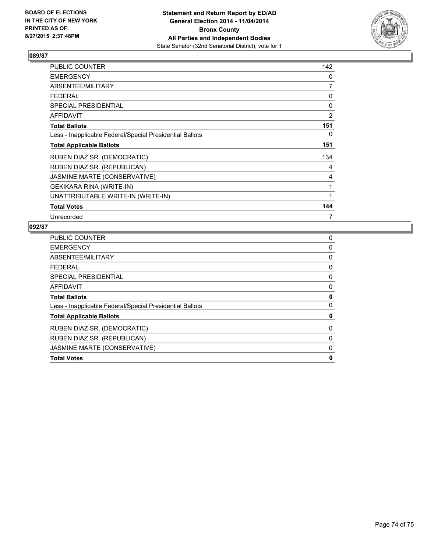

## **089/87**

| <b>PUBLIC COUNTER</b>                                    | 142 |
|----------------------------------------------------------|-----|
| <b>EMERGENCY</b>                                         | 0   |
| ABSENTEE/MILITARY                                        | 7   |
| <b>FEDERAL</b>                                           | 0   |
| SPECIAL PRESIDENTIAL                                     | 0   |
| AFFIDAVIT                                                | 2   |
| <b>Total Ballots</b>                                     | 151 |
| Less - Inapplicable Federal/Special Presidential Ballots | 0   |
| <b>Total Applicable Ballots</b>                          | 151 |
| RUBEN DIAZ SR. (DEMOCRATIC)                              | 134 |
| RUBEN DIAZ SR. (REPUBLICAN)                              | 4   |
| JASMINE MARTE (CONSERVATIVE)                             | 4   |
| GEKIKARA RINA (WRITE-IN)                                 | 1   |
| UNATTRIBUTABLE WRITE-IN (WRITE-IN)                       | 1   |
| <b>Total Votes</b>                                       | 144 |
| Unrecorded                                               | 7   |

## **092/87**

| <b>PUBLIC COUNTER</b>                                    | 0 |
|----------------------------------------------------------|---|
| <b>EMERGENCY</b>                                         | 0 |
| ABSENTEE/MILITARY                                        | 0 |
| <b>FEDERAL</b>                                           | 0 |
| SPECIAL PRESIDENTIAL                                     | 0 |
| <b>AFFIDAVIT</b>                                         | 0 |
| <b>Total Ballots</b>                                     | 0 |
| Less - Inapplicable Federal/Special Presidential Ballots | 0 |
| <b>Total Applicable Ballots</b>                          | 0 |
| RUBEN DIAZ SR. (DEMOCRATIC)                              | 0 |
| RUBEN DIAZ SR. (REPUBLICAN)                              | 0 |
| JASMINE MARTE (CONSERVATIVE)                             | 0 |
| <b>Total Votes</b>                                       | 0 |